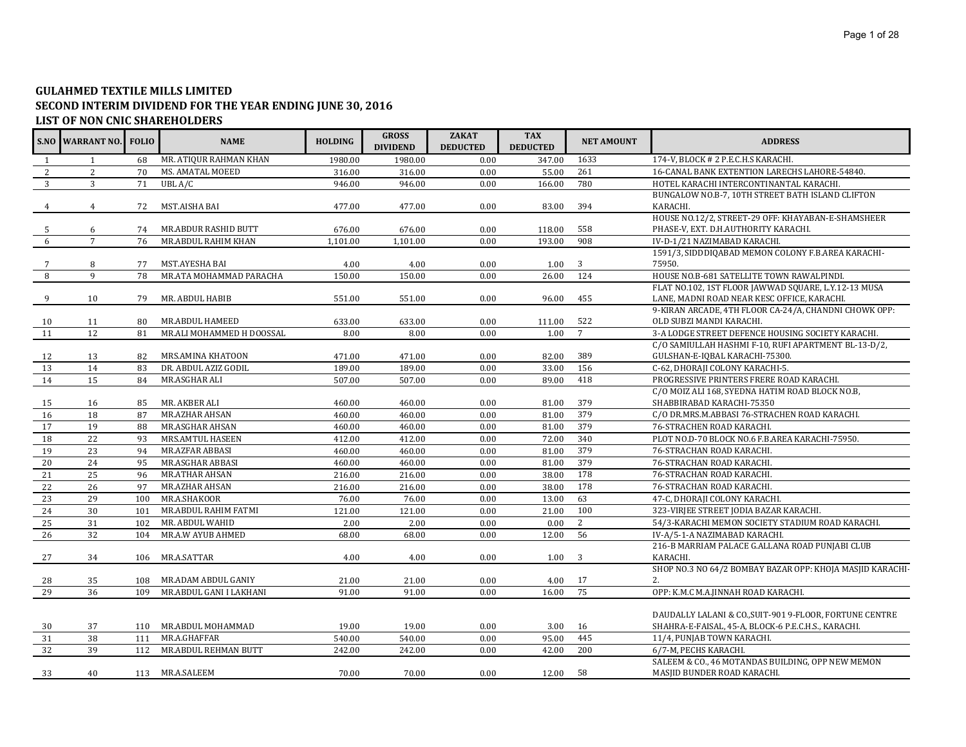## **GULAHMED TEXTILE MILLS LIMITED SECOND INTERIM DIVIDEND FOR THE YEAR ENDING JUNE 30, 2016 LIST OF NON CNIC SHAREHOLDERS**

|              | S.NO WARRANT NO. | <b>FOLIO</b> | <b>NAME</b>               | <b>HOLDING</b> | <b>GROSS</b><br><b>DIVIDEND</b> | <b>ZAKAT</b><br><b>DEDUCTED</b> | <b>TAX</b><br><b>DEDUCTED</b> | <b>NET AMOUNT</b> | <b>ADDRESS</b>                                                                    |
|--------------|------------------|--------------|---------------------------|----------------|---------------------------------|---------------------------------|-------------------------------|-------------------|-----------------------------------------------------------------------------------|
| $\mathbf{1}$ | 1                | 68           | MR. ATIQUR RAHMAN KHAN    | 1980.00        | 1980.00                         | 0.00                            | 347.00                        | 1633              | 174-V, BLOCK # 2 P.E.C.H.S KARACHI.                                               |
| 2            | 2                | 70           | MS. AMATAL MOEED          | 316.00         | 316.00                          | 0.00                            | 55.00                         | 261               | 16-CANAL BANK EXTENTION LARECHS LAHORE-54840.                                     |
| 3            | 3                | 71           | UBL A/C                   | 946.00         | 946.00                          | 0.00                            | 166.00                        | 780               | HOTEL KARACHI INTERCONTINANTAL KARACHI.                                           |
|              |                  |              |                           |                |                                 |                                 |                               |                   | BUNGALOW NO.B-7, 10TH STREET BATH ISLAND CLIFTON                                  |
|              | $\overline{4}$   | 72           | MST.AISHA BAI             | 477.00         | 477.00                          | 0.00                            | 83.00                         | 394               | KARACHI.                                                                          |
|              |                  |              |                           |                |                                 |                                 |                               |                   | HOUSE NO.12/2, STREET-29 OFF: KHAYABAN-E-SHAMSHEER                                |
| -5           | 6                | 74           | MR.ABDUR RASHID BUTT      | 676.00         | 676.00                          | 0.00                            | 118.00                        | 558               | PHASE-V, EXT. D.H.AUTHORITY KARACHI.                                              |
| 6            | $7\overline{ }$  | 76           | MR.ABDUL RAHIM KHAN       | 1,101.00       | 1,101.00                        | 0.00                            | 193.00                        | 908               | IV-D-1/21 NAZIMABAD KARACHI.                                                      |
|              |                  |              |                           |                |                                 |                                 |                               |                   | 1591/3, SIDDDIQABAD MEMON COLONY F.B.AREA KARACHI-                                |
|              | 8                | 77           | MST.AYESHA BAI            | 4.00           | 4.00                            | 0.00                            | 1.00                          | 3                 | 75950.                                                                            |
|              | $\mathbf{q}$     | 78           | MR.ATA MOHAMMAD PARACHA   | 150.00         | 150.00                          | 0.00                            | 26.00                         | 124               | HOUSE NO.B-681 SATELLITE TOWN RAWALPINDI.                                         |
|              |                  |              |                           |                |                                 |                                 |                               |                   | FLAT NO.102, 1ST FLOOR JAWWAD SQUARE, L.Y.12-13 MUSA                              |
| 9            | 10               | 79           | MR. ABDUL HABIB           | 551.00         | 551.00                          | 0.00                            | 96.00                         | 455               | LANE, MADNI ROAD NEAR KESC OFFICE, KARACHI.                                       |
|              |                  |              | MR.ABDUL HAMEED           |                |                                 | 0.00                            |                               | 522               | 9-KIRAN ARCADE, 4TH FLOOR CA-24/A, CHANDNI CHOWK OPP:<br>OLD SUBZI MANDI KARACHI. |
| 10           | 11<br>12         | 80<br>81     | MR.ALI MOHAMMED H DOOSSAL | 633.00         | 633.00                          |                                 | 111.00                        | $7\overline{ }$   | 3-A LODGE STREET DEFENCE HOUSING SOCIETY KARACHI.                                 |
| 11           |                  |              |                           | 8.00           | 8.00                            | 0.00                            | 1.00                          |                   | C/O SAMIULLAH HASHMI F-10, RUFI APARTMENT BL-13-D/2,                              |
| 12           | 13               | 82           | MRS.AMINA KHATOON         | 471.00         | 471.00                          | 0.00                            | 82.00                         | 389               | GULSHAN-E-IQBAL KARACHI-75300.                                                    |
| 13           | 14               | 83           | DR. ABDUL AZIZ GODIL      | 189.00         | 189.00                          | 0.00                            | 33.00                         | 156               | C-62, DHORAJI COLONY KARACHI-5.                                                   |
| 14           | 15               | 84           | MR.ASGHAR ALI             | 507.00         | 507.00                          | 0.00                            | 89.00                         | 418               | PROGRESSIVE PRINTERS FRERE ROAD KARACHI.                                          |
|              |                  |              |                           |                |                                 |                                 |                               |                   | C/O MOIZ ALI 168, SYEDNA HATIM ROAD BLOCK NO.B,                                   |
| 15           | 16               | 85           | MR. AKBER ALI             | 460.00         | 460.00                          | 0.00                            | 81.00                         | 379               | SHABBIRABAD KARACHI-75350                                                         |
| 16           | 18               | 87           | MR.AZHAR AHSAN            | 460.00         | 460.00                          | 0.00                            | 81.00                         | 379               | C/O DR.MRS.M.ABBASI 76-STRACHEN ROAD KARACHI.                                     |
| 17           | 19               | 88           | MR.ASGHAR AHSAN           | 460.00         | 460.00                          | 0.00                            | 81.00                         | 379               | 76-STRACHEN ROAD KARACHI.                                                         |
| 18           | 22               | 93           | MRS.AMTUL HASEEN          | 412.00         | 412.00                          | 0.00                            | 72.00                         | 340               | PLOT NO.D-70 BLOCK NO.6 F.B.AREA KARACHI-75950.                                   |
| 19           | 23               | 94           | MR.AZFAR ABBASI           | 460.00         | 460.00                          | 0.00                            | 81.00                         | 379               | 76-STRACHAN ROAD KARACHI.                                                         |
| 20           | 24               | 95           | MR.ASGHAR ABBASI          | 460.00         | 460.00                          | 0.00                            | 81.00                         | 379               | 76-STRACHAN ROAD KARACHI.                                                         |
| 21           | 25               | 96           | <b>MR.ATHAR AHSAN</b>     | 216.00         | 216.00                          | 0.00                            | 38.00                         | 178               | 76-STRACHAN ROAD KARACHI.                                                         |
| 22           | 26               | 97           | MR.AZHAR AHSAN            | 216.00         | 216.00                          | 0.00                            | 38.00                         | 178               | 76-STRACHAN ROAD KARACHI.                                                         |
| 23           | 29               | 100          | MR.A.SHAKOOR              | 76.00          | 76.00                           | 0.00                            | 13.00                         | 63                | 47-C, DHORAJI COLONY KARACHI.                                                     |
| 24           | 30               | 101          | MR.ABDUL RAHIM FATMI      | 121.00         | 121.00                          | 0.00                            | 21.00                         | 100               | 323-VIRJEE STREET JODIA BAZAR KARACHI.                                            |
| 25           | 31               | 102          | MR. ABDUL WAHID           | 2.00           | 2.00                            | 0.00                            | 0.00                          | 2                 | 54/3-KARACHI MEMON SOCIETY STADIUM ROAD KARACHI.                                  |
| 26           | 32               | 104          | MR.A.W AYUB AHMED         | 68.00          | 68.00                           | 0.00                            | 12.00                         | 56                | IV-A/5-1-A NAZIMABAD KARACHI.                                                     |
|              |                  |              |                           |                |                                 |                                 |                               |                   | 216-B MARRIAM PALACE G.ALLANA ROAD PUNJABI CLUB                                   |
| 27           | 34               | 106          | MR.A.SATTAR               | 4.00           | 4.00                            | 0.00                            | 1.00                          | 3                 | KARACHI.                                                                          |
|              |                  |              |                           |                |                                 |                                 |                               |                   | SHOP NO.3 NO 64/2 BOMBAY BAZAR OPP: KHOJA MASJID KARACHI-                         |
| 28           | 35               | 108          | MR.ADAM ABDUL GANIY       | 21.00          | 21.00                           | 0.00                            | 4.00                          | 17                | 2.                                                                                |
| 29           | 36               | 109          | MR.ABDUL GANI I LAKHANI   | 91.00          | 91.00                           | 0.00                            | 16.00                         | 75                | OPP: K.M.C M.A.JINNAH ROAD KARACHI.                                               |
|              |                  |              |                           |                |                                 |                                 |                               |                   |                                                                                   |
|              |                  |              |                           |                |                                 |                                 |                               |                   | DAUDALLY LALANI & CO., SUIT-901 9-FLOOR, FORTUNE CENTRE                           |
| 30           | 37               | 110          | MR.ABDUL MOHAMMAD         | 19.00          | 19.00                           | 0.00                            | 3.00                          | 16                | SHAHRA-E-FAISAL, 45-A, BLOCK-6 P.E.C.H.S., KARACHI.                               |
| 31           | 38               | 111          | MR.A.GHAFFAR              | 540.00         | 540.00                          | 0.00                            | 95.00                         | 445               | 11/4, PUNJAB TOWN KARACHI.                                                        |
| 32           | 39               | 112          | MR.ABDUL REHMAN BUTT      | 242.00         | 242.00                          | 0.00                            | 42.00                         | 200               | 6/7-M, PECHS KARACHI.                                                             |
|              |                  |              |                           |                |                                 |                                 |                               |                   | SALEEM & CO., 46 MOTANDAS BUILDING, OPP NEW MEMON                                 |
| 33           | 40               |              | 113 MR.A.SALEEM           | 70.00          | 70.00                           | 0.00                            | 12.00                         | 58                | MASJID BUNDER ROAD KARACHI.                                                       |
|              |                  |              |                           |                |                                 |                                 |                               |                   |                                                                                   |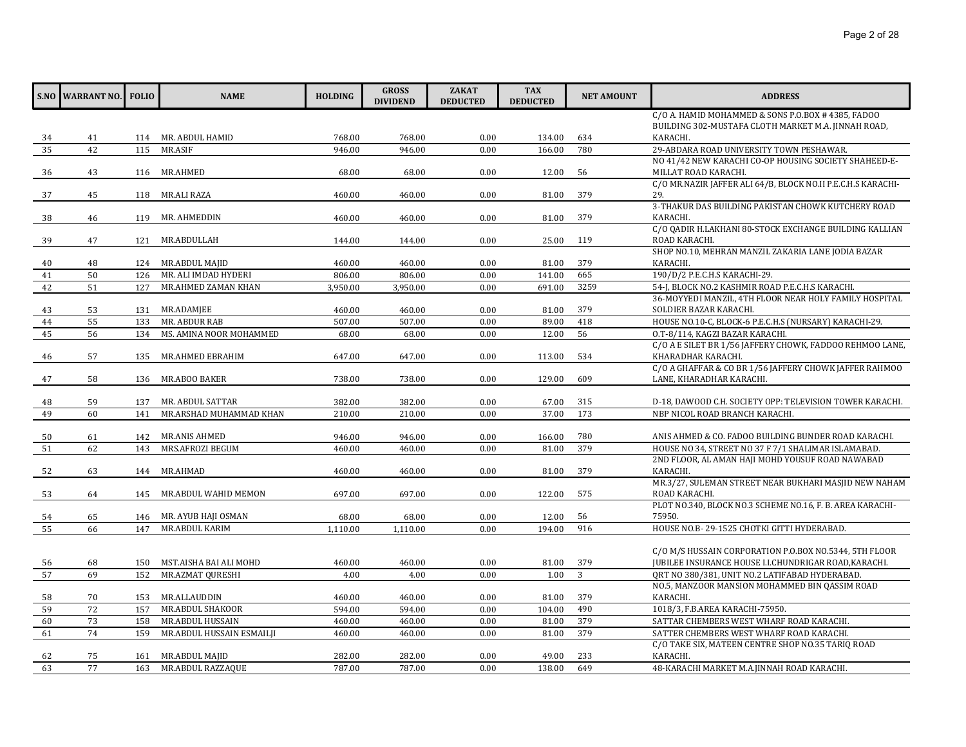|          | <b>S.NO WARRANT NO.</b> | <b>FOLIO</b> | <b>NAME</b>                           | <b>HOLDING</b>    | <b>GROSS</b><br><b>DIVIDEND</b> | <b>ZAKAT</b><br><b>DEDUCTED</b> | <b>TAX</b><br><b>DEDUCTED</b> | <b>NET AMOUNT</b> | <b>ADDRESS</b>                                                                                            |
|----------|-------------------------|--------------|---------------------------------------|-------------------|---------------------------------|---------------------------------|-------------------------------|-------------------|-----------------------------------------------------------------------------------------------------------|
|          |                         |              |                                       |                   |                                 |                                 |                               |                   | C/O A. HAMID MOHAMMED & SONS P.O.BOX # 4385, FADOO<br>BUILDING 302-MUSTAFA CLOTH MARKET M.A. JINNAH ROAD, |
| 34       | 41                      |              | 114 MR. ABDUL HAMID                   | 768.00            | 768.00                          | 0.00                            | 134.00                        | 634               | KARACHI.                                                                                                  |
| 35       | 42                      | 115          | MR.ASIF                               | 946.00            | 946.00                          | 0.00                            | 166.00                        | 780               | 29-ABDARA ROAD UNIVERSITY TOWN PESHAWAR.                                                                  |
|          |                         |              |                                       |                   |                                 |                                 |                               |                   | NO 41/42 NEW KARACHI CO-OP HOUSING SOCIETY SHAHEED-E-                                                     |
| 36       | 43                      | 116          | MR.AHMED                              | 68.00             | 68.00                           | 0.00                            | 12.00                         | 56                | MILLAT ROAD KARACHI.                                                                                      |
|          |                         |              |                                       |                   |                                 |                                 |                               |                   | C/O MR.NAZIR JAFFER ALI 64/B, BLOCK NO.II P.E.C.H.S KARACHI-                                              |
| 37       | 45                      | 118          | MR.ALI RAZA                           | 460.00            | 460.00                          | 0.00                            | 81.00                         | 379               | 29.                                                                                                       |
| 38       | 46                      | 119          | MR. AHMEDDIN                          | 460.00            | 460.00                          | 0.00                            | 81.00                         | 379               | 3-THAKUR DAS BUILDING PAKISTAN CHOWK KUTCHERY ROAD<br>KARACHI.                                            |
|          |                         |              |                                       |                   |                                 |                                 |                               |                   | C/O QADIR H.LAKHANI 80-STOCK EXCHANGE BUILDING KALLIAN                                                    |
| 39       | 47                      | 121          | MR.ABDULLAH                           | 144.00            | 144.00                          | 0.00                            | 25.00                         | 119               | ROAD KARACHI.                                                                                             |
|          |                         |              |                                       |                   |                                 |                                 |                               |                   | SHOP NO.10, MEHRAN MANZIL ZAKARIA LANE JODIA BAZAR                                                        |
| 40       | 48                      | 124          | MR.ABDUL MAJID                        | 460.00            | 460.00                          | 0.00                            | 81.00                         | 379               | KARACHI.                                                                                                  |
| 41       | 50                      | 126          | MR. ALI IMDAD HYDERI                  | 806.00            | 806.00                          | 0.00                            | 141.00                        | 665               | 190/D/2 P.E.C.H.S KARACHI-29.                                                                             |
| 42       | 51                      | 127          | MR.AHMED ZAMAN KHAN                   | 3,950.00          | 3,950.00                        | 0.00                            | 691.00                        | 3259              | 54-J, BLOCK NO.2 KASHMIR ROAD P.E.C.H.S KARACHI.                                                          |
|          |                         |              |                                       |                   |                                 |                                 |                               |                   | 36-MOYYEDI MANZIL, 4TH FLOOR NEAR HOLY FAMILY HOSPITAL                                                    |
| 43       | 53                      | 131          | MR.ADAMJEE                            | 460.00            | 460.00                          | 0.00                            | 81.00                         | 379               | SOLDIER BAZAR KARACHI.                                                                                    |
| 44       | 55                      | 133          | MR. ABDUR RAB                         | 507.00            | 507.00                          | 0.00                            | 89.00                         | 418               | HOUSE NO.10-C, BLOCK-6 P.E.C.H.S (NURSARY) KARACHI-29.                                                    |
| 45       | 56                      | 134          | MS. AMINA NOOR MOHAMMED               | 68.00             | 68.00                           | 0.00                            | 12.00                         | 56                | O.T-8/114, KAGZI BAZAR KARACHI.                                                                           |
|          |                         |              |                                       |                   |                                 |                                 |                               |                   | C/O A E SILET BR 1/56 JAFFERY CHOWK, FADDOO REHMOO LANE,                                                  |
| 46       | 57                      | 135          | MR.AHMED EBRAHIM                      | 647.00            | 647.00                          | 0.00                            | 113.00                        | 534               | KHARADHAR KARACHI.                                                                                        |
|          |                         |              |                                       |                   |                                 |                                 |                               |                   | C/O A GHAFFAR & CO BR 1/56 JAFFERY CHOWK JAFFER RAHMOO                                                    |
| 47       | 58                      | 136          | MR.ABOO BAKER                         | 738.00            | 738.00                          | 0.00                            | 129.00                        | 609               | LANE, KHARADHAR KARACHI.                                                                                  |
| 48       | 59                      | 137          | MR. ABDUL SATTAR                      | 382.00            | 382.00                          | 0.00                            | 67.00                         | 315               | D-18, DAWOOD C.H. SOCIETY OPP: TELEVISION TOWER KARACHI.                                                  |
| 49       | 60                      | 141          | MR.ARSHAD MUHAMMAD KHAN               | 210.00            | 210.00                          | 0.00                            | 37.00                         | 173               | NBP NICOL ROAD BRANCH KARACHI.                                                                            |
|          |                         |              |                                       |                   |                                 |                                 |                               |                   |                                                                                                           |
| 50       | 61                      | 142          | MR.ANIS AHMED                         | 946.00            | 946.00                          | 0.00                            | 166.00                        | 780               | ANIS AHMED & CO. FADOO BUILDING BUNDER ROAD KARACHI.                                                      |
| 51       | 62                      | 143          | MRS.AFROZI BEGUM                      | 460.00            | 460.00                          | 0.00                            | 81.00                         | 379               | HOUSE NO 34, STREET NO 37 F 7/1 SHALIMAR ISLAMABAD.                                                       |
|          |                         |              |                                       |                   |                                 |                                 |                               |                   | 2ND FLOOR, AL AMAN HAJI MOHD YOUSUF ROAD NAWABAD                                                          |
| 52       | 63                      | 144          | MR.AHMAD                              | 460.00            | 460.00                          | 0.00                            | 81.00                         | 379               | KARACHI.                                                                                                  |
|          |                         |              |                                       |                   |                                 |                                 |                               |                   | MR.3/27, SULEMAN STREET NEAR BUKHARI MASJID NEW NAHAM                                                     |
| 53       | 64                      | 145          | MR.ABDUL WAHID MEMON                  | 697.00            | 697.00                          | 0.00                            | 122.00                        | 575               | ROAD KARACHI.                                                                                             |
|          |                         |              |                                       |                   |                                 | 0.00                            | 12.00                         | 56                | PLOT NO.340, BLOCK NO.3 SCHEME NO.16, F. B. AREA KARACHI-<br>75950.                                       |
| 54<br>55 | 65<br>66                | 146<br>147   | MR. AYUB HAJI OSMAN<br>MR.ABDUL KARIM | 68.00<br>1,110.00 | 68.00<br>1,110.00               | 0.00                            | 194.00                        | 916               | HOUSE NO.B-29-1525 CHOTKI GITTI HYDERABAD.                                                                |
|          |                         |              |                                       |                   |                                 |                                 |                               |                   |                                                                                                           |
|          |                         |              |                                       |                   |                                 |                                 |                               |                   | C/O M/S HUSSAIN CORPORATION P.O.BOX NO.5344, 5TH FLOOR                                                    |
| 56       | 68                      | 150          | MST.AISHA BAI ALI MOHD                | 460.00            | 460.00                          | 0.00                            | 81.00                         | 379               | JUBILEE INSURANCE HOUSE I.I.CHUNDRIGAR ROAD, KARACHI.                                                     |
| 57       | 69                      | 152          | MR.AZMAT QURESHI                      | 4.00              | 4.00                            | 0.00                            | 1.00                          | 3                 | ORT NO 380/381, UNIT NO.2 LATIFABAD HYDERABAD.                                                            |
|          |                         |              |                                       |                   |                                 |                                 |                               |                   | NO.5, MANZOOR MANSION MOHAMMED BIN QASSIM ROAD                                                            |
| 58       | 70                      | 153          | MR.ALLAUDDIN                          | 460.00            | 460.00                          | 0.00                            | 81.00                         | 379               | KARACHI.                                                                                                  |
| 59       | 72                      | 157          | MR.ABDUL SHAKOOR                      | 594.00            | 594.00                          | 0.00                            | 104.00                        | 490               | 1018/3, F.B.AREA KARACHI-75950.                                                                           |
| 60       | 73                      | 158          | MR.ABDUL HUSSAIN                      | 460.00            | 460.00                          | 0.00                            | 81.00                         | 379               | SATTAR CHEMBERS WEST WHARF ROAD KARACHI.                                                                  |
| 61       | 74                      | 159          | MR.ABDUL HUSSAIN ESMAILJI             | 460.00            | 460.00                          | 0.00                            | 81.00                         | 379               | SATTER CHEMBERS WEST WHARF ROAD KARACHI.                                                                  |
|          |                         |              |                                       |                   |                                 |                                 |                               |                   | C/O TAKE SIX, MATEEN CENTRE SHOP NO.35 TARIQ ROAD                                                         |
| 62       | 75                      | 161          | MR.ABDUL MAJID                        | 282.00            | 282.00                          | 0.00                            | 49.00                         | 233               | KARACHI.                                                                                                  |
| 63       | 77                      | 163          | MR.ABDUL RAZZAQUE                     | 787.00            | 787.00                          | 0.00                            | 138.00                        | 649               | 48-KARACHI MARKET M.A.JINNAH ROAD KARACHI.                                                                |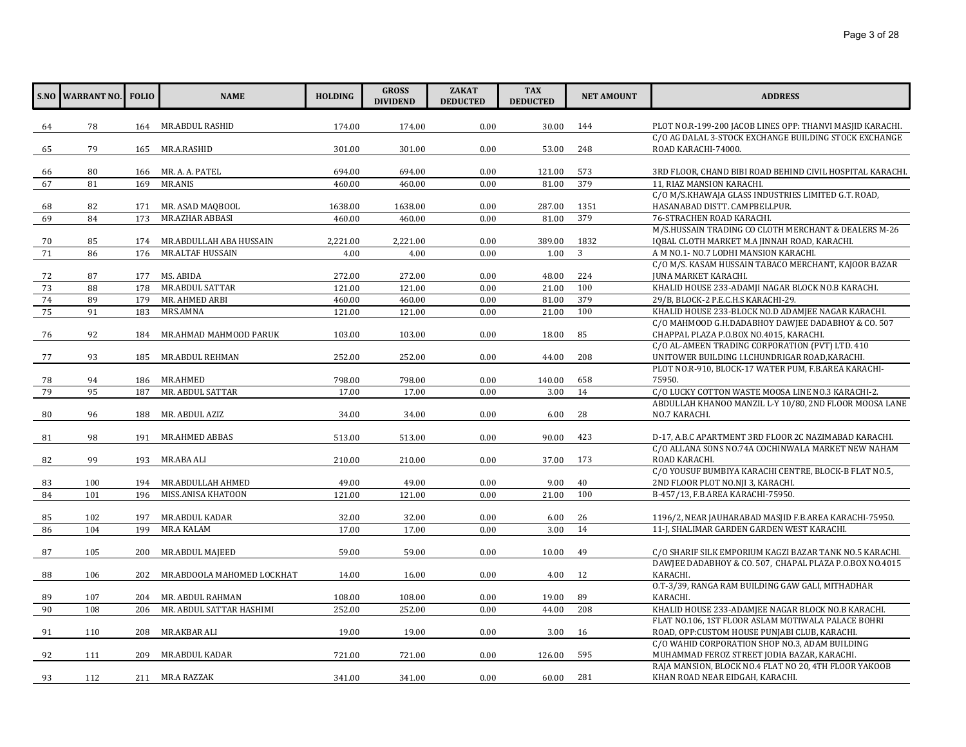|          | <b>S.NO WARRANT NO. FOLIO</b> |            | <b>NAME</b>                             | <b>HOLDING</b> | <b>GROSS</b><br><b>DIVIDEND</b> | <b>ZAKAT</b><br><b>DEDUCTED</b> | <b>TAX</b><br><b>DEDUCTED</b> | <b>NET AMOUNT</b> | <b>ADDRESS</b>                                                                                           |
|----------|-------------------------------|------------|-----------------------------------------|----------------|---------------------------------|---------------------------------|-------------------------------|-------------------|----------------------------------------------------------------------------------------------------------|
|          | 78                            |            | 164 MR.ABDUL RASHID                     | 174.00         | 174.00                          | 0.00                            | 30.00                         | 144               | PLOT NO.R-199-200 JACOB LINES OPP: THANVI MASJID KARACHI.                                                |
| 64       |                               |            |                                         |                |                                 |                                 |                               |                   | C/O AG DALAL 3-STOCK EXCHANGE BUILDING STOCK EXCHANGE                                                    |
| 65       | 79                            | 165        | MR.A.RASHID                             | 301.00         | 301.00                          | 0.00                            | 53.00                         | 248               | ROAD KARACHI-74000.                                                                                      |
|          |                               |            |                                         |                |                                 |                                 |                               |                   |                                                                                                          |
| 66       | 80                            | 166        | MR. A. A. PATEL                         | 694.00         | 694.00                          | 0.00                            | 121.00                        | 573               | 3RD FLOOR, CHAND BIBI ROAD BEHIND CIVIL HOSPITAL KARACHI.                                                |
| 67       | 81                            | 169        | <b>MR.ANIS</b>                          | 460.00         | 460.00                          | 0.00                            | 81.00                         | 379               | 11, RIAZ MANSION KARACHI.                                                                                |
|          |                               |            |                                         |                |                                 |                                 |                               |                   | C/O M/S.KHAWAJA GLASS INDUSTRIES LIMITED G.T. ROAD,                                                      |
| 68       | 82                            | 171        | MR. ASAD MAQBOOL                        | 1638.00        | 1638.00                         | 0.00                            | 287.00                        | 1351              | HASANABAD DISTT. CAMPBELLPUR.                                                                            |
| 69       | 84                            | 173        | MR.AZHAR ABBASI                         | 460.00         | 460.00                          | 0.00                            | 81.00                         | 379               | 76-STRACHEN ROAD KARACHI.                                                                                |
|          |                               |            |                                         |                |                                 |                                 |                               |                   | M/S.HUSSAIN TRADING CO CLOTH MERCHANT & DEALERS M-26                                                     |
| 70       | 85                            | 174        | MR.ABDULLAH ABA HUSSAIN                 | 2,221.00       | 2,221.00                        | 0.00                            | 389.00                        | 1832              | IQBAL CLOTH MARKET M.A JINNAH ROAD, KARACHI.                                                             |
| 71       | 86                            | 176        | <b>MR.ALTAF HUSSAIN</b>                 | 4.00           | 4.00                            | 0.00                            | 1.00                          | 3                 | A M NO.1- NO.7 LODHI MANSION KARACHI.                                                                    |
|          |                               |            |                                         |                |                                 |                                 |                               |                   | C/O M/S. KASAM HUSSAIN TABACO MERCHANT, KAJOOR BAZAR                                                     |
| 72       | 87                            | 177        | MS. ABIDA                               | 272.00         | 272.00                          | 0.00                            | 48.00                         | 224               | JUNA MARKET KARACHI.                                                                                     |
| 73       | 88                            | 178        | MR.ABDUL SATTAR                         | 121.00         | 121.00                          | 0.00                            | 21.00                         | 100               | KHALID HOUSE 233-ADAMJI NAGAR BLOCK NO.B KARACHI.                                                        |
| 74       | 89                            | 179        | MR. AHMED ARBI                          | 460.00         | 460.00                          | 0.00                            | 81.00                         | 379               | 29/B, BLOCK-2 P.E.C.H.S KARACHI-29.                                                                      |
| 75       | 91                            | 183        | MRS.AMNA                                | 121.00         | 121.00                          | 0.00                            | 21.00                         | 100               | KHALID HOUSE 233-BLOCK NO.D ADAMJEE NAGAR KARACHI.<br>C/O MAHMOOD G.H.DADABHOY DAWJEE DADABHOY & CO. 507 |
|          | 92                            | 184        | MR.AHMAD MAHMOOD PARUK                  | 103.00         | 103.00                          | 0.00                            | 18.00                         | 85                | CHAPPAL PLAZA P.O.BOX NO.4015, KARACHI.                                                                  |
| 76       |                               |            |                                         |                |                                 |                                 |                               |                   | C/O AL-AMEEN TRADING CORPORATION (PVT) LTD. 410                                                          |
| 77       | 93                            | 185        | MR.ABDUL REHMAN                         | 252.00         | 252.00                          | 0.00                            | 44.00                         | 208               | UNITOWER BUILDING I.I.CHUNDRIGAR ROAD, KARACHI.                                                          |
|          |                               |            |                                         |                |                                 |                                 |                               |                   | PLOT NO.R-910, BLOCK-17 WATER PUM, F.B.AREA KARACHI-                                                     |
| 78       | 94                            | 186        | MR.AHMED                                | 798.00         | 798.00                          | 0.00                            | 140.00                        | 658               | 75950.                                                                                                   |
| 79       | 95                            | 187        | MR. ABDUL SATTAR                        | 17.00          | 17.00                           | 0.00                            | 3.00                          | 14                | C/O LUCKY COTTON WASTE MOOSA LINE NO.3 KARACHI-2.                                                        |
|          |                               |            |                                         |                |                                 |                                 |                               |                   | ABDULLAH KHANOO MANZIL L-Y 10/80, 2ND FLOOR MOOSA LANE                                                   |
| 80       | 96                            | 188        | MR. ABDUL AZIZ                          | 34.00          | 34.00                           | 0.00                            | 6.00                          | 28                | NO.7 KARACHI.                                                                                            |
|          |                               |            |                                         |                |                                 |                                 |                               |                   |                                                                                                          |
| 81       | 98                            | 191        | MR.AHMED ABBAS                          | 513.00         | 513.00                          | 0.00                            | 90.00                         | 423               | D-17, A.B.C APARTMENT 3RD FLOOR 2C NAZIMABAD KARACHI.                                                    |
|          |                               |            |                                         |                |                                 |                                 |                               |                   | C/O ALLANA SONS NO.74A COCHINWALA MARKET NEW NAHAM                                                       |
| 82       | 99                            | 193        | MR.ABA ALI                              | 210.00         | 210.00                          | 0.00                            | 37.00                         | 173               | ROAD KARACHI.                                                                                            |
|          |                               |            |                                         |                |                                 |                                 |                               |                   | C/O YOUSUF BUMBIYA KARACHI CENTRE, BLOCK-B FLAT NO.5,                                                    |
| 83<br>84 | 100<br>101                    | 194<br>196 | MR.ABDULLAH AHMED<br>MISS.ANISA KHATOON | 49.00          | 49.00                           | 0.00<br>0.00                    | 9.00<br>21.00                 | 40<br>100         | 2ND FLOOR PLOT NO.NJI 3, KARACHI.                                                                        |
|          |                               |            |                                         | 121.00         | 121.00                          |                                 |                               |                   | B-457/13, F.B.AREA KARACHI-75950.                                                                        |
| 85       | 102                           | 197        | MR.ABDUL KADAR                          | 32.00          | 32.00                           | 0.00                            | 6.00                          | 26                | 1196/2, NEAR JAUHARABAD MASJID F.B.AREA KARACHI-75950.                                                   |
| 86       | 104                           | 199        | MR.A KALAM                              | 17.00          | 17.00                           | 0.00                            | 3.00                          | 14                | 11-J, SHALIMAR GARDEN GARDEN WEST KARACHI.                                                               |
|          |                               |            |                                         |                |                                 |                                 |                               |                   |                                                                                                          |
| 87       | 105                           | 200        | MR.ABDUL MAJEED                         | 59.00          | 59.00                           | 0.00                            | 10.00                         | 49                | C/O SHARIF SILK EMPORIUM KAGZI BAZAR TANK NO.5 KARACHI.                                                  |
|          |                               |            |                                         |                |                                 |                                 |                               |                   | DAWJEE DADABHOY & CO. 507, CHAPAL PLAZA P.O.BOX NO.4015                                                  |
| 88       | 106                           | 202        | MR.ABDOOLA MAHOMED LOCKHAT              | 14.00          | 16.00                           | 0.00                            | 4.00                          | 12                | KARACHI.                                                                                                 |
|          |                               |            |                                         |                |                                 |                                 |                               |                   | O.T-3/39, RANGA RAM BUILDING GAW GALI, MITHADHAR                                                         |
| 89       | 107                           |            | 204 MR. ABDUL RAHMAN                    | 108.00         | 108.00                          | 0.00                            | 19.00                         | 89                | KARACHI.                                                                                                 |
| 90       | 108                           | 206        | MR. ABDUL SATTAR HASHIMI                | 252.00         | 252.00                          | 0.00                            | 44.00                         | 208               | KHALID HOUSE 233-ADAMJEE NAGAR BLOCK NO.B KARACHI.                                                       |
|          |                               |            |                                         |                |                                 |                                 |                               |                   | FLAT NO.106, 1ST FLOOR ASLAM MOTIWALA PALACE BOHRI                                                       |
| 91       | 110                           | 208        | MR.AKBAR ALI                            | 19.00          | 19.00                           | 0.00                            | 3.00                          | 16                | ROAD, OPP:CUSTOM HOUSE PUNJABI CLUB, KARACHI.                                                            |
|          |                               |            |                                         |                |                                 |                                 |                               | 595               | C/O WAHID CORPORATION SHOP NO.3, ADAM BUILDING                                                           |
| 92       | 111                           | 209        | MR.ABDUL KADAR                          | 721.00         | 721.00                          | 0.00                            | 126.00                        |                   | MUHAMMAD FEROZ STREET JODIA BAZAR, KARACHI.<br>RAJA MANSION, BLOCK NO.4 FLAT NO 20, 4TH FLOOR YAKOOB     |
| 93       | 112                           |            | 211 MR.A RAZZAK                         | 341.00         | 341.00                          | 0.00                            | 60.00                         | 281               | KHAN ROAD NEAR EIDGAH, KARACHI.                                                                          |
|          |                               |            |                                         |                |                                 |                                 |                               |                   |                                                                                                          |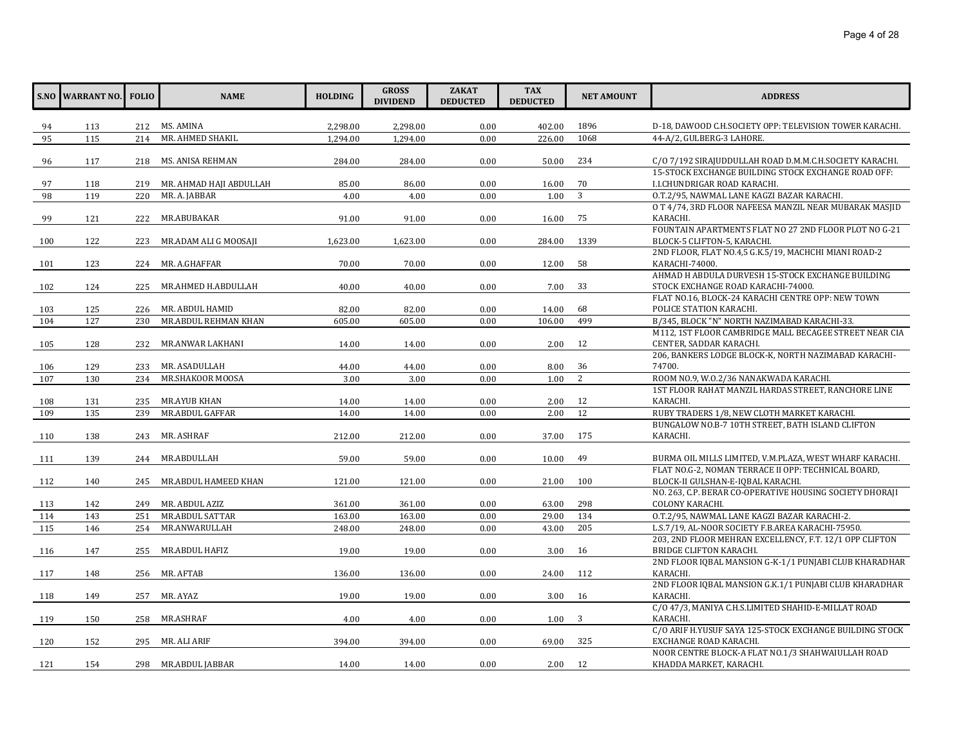|     | <b>S.NO WARRANT NO.</b> FOLIO |     | <b>NAME</b>              | <b>HOLDING</b> | <b>GROSS</b><br><b>DIVIDEND</b> | <b>ZAKAT</b><br><b>DEDUCTED</b> | <b>TAX</b><br><b>DEDUCTED</b> | <b>NET AMOUNT</b> | <b>ADDRESS</b>                                                                                  |
|-----|-------------------------------|-----|--------------------------|----------------|---------------------------------|---------------------------------|-------------------------------|-------------------|-------------------------------------------------------------------------------------------------|
| 94  | 113                           |     | 212 MS. AMINA            | 2,298.00       | 2,298.00                        | 0.00                            | 402.00                        | 1896              | D-18, DAWOOD C.H.SOCIETY OPP: TELEVISION TOWER KARACHI.                                         |
| 95  | 115                           | 214 | MR. AHMED SHAKIL         | 1,294.00       | 1,294.00                        | 0.00                            | 226.00                        | 1068              | 44-A/2, GULBERG-3 LAHORE.                                                                       |
|     |                               |     |                          |                |                                 |                                 |                               |                   |                                                                                                 |
| 96  | 117                           |     | 218 MS. ANISA REHMAN     | 284.00         | 284.00                          | 0.00                            | 50.00                         | 234               | C/O 7/192 SIRAJUDDULLAH ROAD D.M.M.C.H.SOCIETY KARACHI.                                         |
|     |                               |     |                          |                |                                 |                                 |                               |                   | 15-STOCK EXCHANGE BUILDING STOCK EXCHANGE ROAD OFF:                                             |
| 97  | 118                           | 219 | MR. AHMAD HAJI ABDULLAH  | 85.00          | 86.00                           | 0.00                            | 16.00                         | 70                | I.I.CHUNDRIGAR ROAD KARACHI.                                                                    |
| 98  | 119                           | 220 | MR. A. JABBAR            | 4.00           | 4.00                            | 0.00                            | 1.00                          | $\overline{3}$    | O.T.2/95, NAWMAL LANE KAGZI BAZAR KARACHI.                                                      |
|     |                               |     |                          |                |                                 |                                 |                               |                   | O T 4/74, 3RD FLOOR NAFEESA MANZIL NEAR MUBARAK MASJID                                          |
| 99  | 121                           | 222 | MR.ABUBAKAR              | 91.00          | 91.00                           | 0.00                            | 16.00                         | 75                | KARACHI.<br>FOUNTAIN APARTMENTS FLAT NO 27 2ND FLOOR PLOT NO G-21                               |
| 100 | 122                           | 223 | MR.ADAM ALI G MOOSAJI    | 1,623.00       | 1,623.00                        | 0.00                            | 284.00                        | 1339              | BLOCK-5 CLIFTON-5, KARACHI.                                                                     |
|     |                               |     |                          |                |                                 |                                 |                               |                   | 2ND FLOOR, FLAT NO.4,5 G.K.5/19, MACHCHI MIANI ROAD-2                                           |
| 101 | 123                           | 224 | MR. A.GHAFFAR            | 70.00          | 70.00                           | 0.00                            | 12.00                         | 58                | KARACHI-74000.                                                                                  |
|     |                               |     |                          |                |                                 |                                 |                               |                   | AHMAD H ABDULA DURVESH 15-STOCK EXCHANGE BUILDING                                               |
| 102 | 124                           | 225 | MR.AHMED H.ABDULLAH      | 40.00          | 40.00                           | 0.00                            | 7.00                          | 33                | STOCK EXCHANGE ROAD KARACHI-74000.                                                              |
|     |                               |     |                          |                |                                 |                                 |                               |                   | FLAT NO.16, BLOCK-24 KARACHI CENTRE OPP: NEW TOWN                                               |
| 103 | 125                           | 226 | MR. ABDUL HAMID          | 82.00          | 82.00                           | 0.00                            | 14.00                         | 68                | POLICE STATION KARACHI.                                                                         |
| 104 | 127                           | 230 | MR.ABDUL REHMAN KHAN     | 605.00         | 605.00                          | 0.00                            | 106.00                        | 499               | B/345, BLOCK "N" NORTH NAZIMABAD KARACHI-33.                                                    |
|     |                               |     |                          |                |                                 |                                 |                               |                   | M112, 1ST FLOOR CAMBRIDGE MALL BECAGEE STREET NEAR CIA                                          |
| 105 | 128                           | 232 | MR.ANWAR LAKHANI         | 14.00          | 14.00                           | 0.00                            | 2.00                          | 12                | CENTER, SADDAR KARACHI.                                                                         |
|     |                               |     |                          |                |                                 |                                 |                               |                   | 206, BANKERS LODGE BLOCK-K, NORTH NAZIMABAD KARACHI-                                            |
| 106 | 129                           | 233 | MR. ASADULLAH            | 44.00          | 44.00                           | 0.00                            | 8.00                          | 36                | 74700.                                                                                          |
| 107 | 130                           | 234 | MR.SHAKOOR MOOSA         | 3.00           | 3.00                            | 0.00                            | 1.00                          | 2                 | ROOM NO.9, W.O.2/36 NANAKWADA KARACHI.                                                          |
|     |                               |     |                          |                |                                 |                                 |                               |                   | 1ST FLOOR RAHAT MANZIL HARDAS STREET, RANCHORE LINE                                             |
| 108 | 131                           | 235 | MR.AYUB KHAN             | 14.00          | 14.00                           | 0.00                            | 2.00                          | 12                | KARACHI.                                                                                        |
| 109 | 135                           | 239 | MR.ABDUL GAFFAR          | 14.00          | 14.00                           | 0.00                            | 2.00                          | 12                | RUBY TRADERS 1/8, NEW CLOTH MARKET KARACHI.<br>BUNGALOW NO.B-7 10TH STREET, BATH ISLAND CLIFTON |
| 110 | 138                           | 243 | MR. ASHRAF               | 212.00         | 212.00                          | 0.00                            | 37.00                         | 175               | KARACHI.                                                                                        |
|     |                               |     |                          |                |                                 |                                 |                               |                   |                                                                                                 |
| 111 | 139                           | 244 | MR.ABDULLAH              | 59.00          | 59.00                           | 0.00                            | 10.00                         | 49                | BURMA OIL MILLS LIMITED, V.M.PLAZA, WEST WHARF KARACHI.                                         |
|     |                               |     |                          |                |                                 |                                 |                               |                   | FLAT NO.G-2, NOMAN TERRACE II OPP: TECHNICAL BOARD.                                             |
| 112 | 140                           |     | 245 MR.ABDUL HAMEED KHAN | 121.00         | 121.00                          | 0.00                            | 21.00                         | 100               | BLOCK-II GULSHAN-E-IQBAL KARACHI.                                                               |
|     |                               |     |                          |                |                                 |                                 |                               |                   | NO. 263, C.P. BERAR CO-OPERATIVE HOUSING SOCIETY DHORAJI                                        |
| 113 | 142                           | 249 | MR. ABDUL AZIZ           | 361.00         | 361.00                          | 0.00                            | 63.00                         | 298               | COLONY KARACHI.                                                                                 |
| 114 | 143                           | 251 | MR.ABDUL SATTAR          | 163.00         | 163.00                          | 0.00                            | 29.00                         | 134               | O.T.2/95, NAWMAL LANE KAGZI BAZAR KARACHI-2.                                                    |
| 115 | 146                           | 254 | MR.ANWARULLAH            | 248.00         | 248.00                          | 0.00                            | 43.00                         | 205               | L.S.7/19, AL-NOOR SOCIETY F.B.AREA KARACHI-75950.                                               |
|     |                               |     |                          |                |                                 |                                 |                               |                   | 203, 2ND FLOOR MEHRAN EXCELLENCY, F.T. 12/1 OPP CLIFTON                                         |
| 116 | 147                           | 255 | MR.ABDUL HAFIZ           | 19.00          | 19.00                           | 0.00                            | 3.00                          | 16                | <b>BRIDGE CLIFTON KARACHI.</b>                                                                  |
|     |                               |     |                          |                |                                 |                                 |                               |                   | 2ND FLOOR IQBAL MANSION G-K-1/1 PUNJABI CLUB KHARADHAR                                          |
| 117 | 148                           | 256 | MR. AFTAB                | 136.00         | 136.00                          | 0.00                            | 24.00                         | 112               | KARACHI.                                                                                        |
|     |                               |     |                          |                |                                 |                                 |                               |                   | 2ND FLOOR IQBAL MANSION G.K.1/1 PUNJABI CLUB KHARADHAR                                          |
| 118 | 149                           | 257 | MR. AYAZ                 | 19.00          | 19.00                           | 0.00                            | 3.00                          | 16                | KARACHI.<br>C/O 47/3, MANIYA C.H.S.LIMITED SHAHID-E-MILLAT ROAD                                 |
| 119 | 150                           | 258 | MR.ASHRAF                | 4.00           | 4.00                            | 0.00                            | 1.00                          | 3                 | KARACHI.                                                                                        |
|     |                               |     |                          |                |                                 |                                 |                               |                   | C/O ARIF H.YUSUF SAYA 125-STOCK EXCHANGE BUILDING STOCK                                         |
| 120 | 152                           |     | 295 MR. ALI ARIF         | 394.00         | 394.00                          | 0.00                            | 69.00                         | 325               | EXCHANGE ROAD KARACHI.                                                                          |
|     |                               |     |                          |                |                                 |                                 |                               |                   | NOOR CENTRE BLOCK-A FLAT NO.1/3 SHAHWAIULLAH ROAD                                               |
| 121 | 154                           |     | 298 MR.ABDUL JABBAR      | 14.00          | 14.00                           | 0.00                            | 2.00                          | 12                | KHADDA MARKET, KARACHI.                                                                         |
|     |                               |     |                          |                |                                 |                                 |                               |                   |                                                                                                 |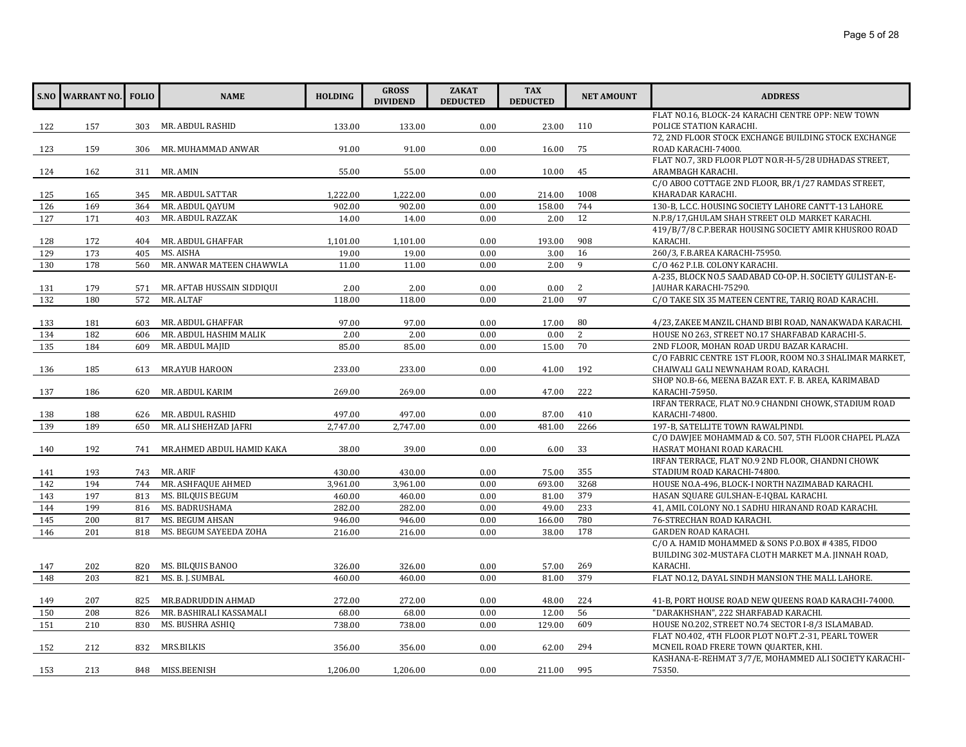|     | <b>S.NO WARRANT NO.</b> | <b>FOLIO</b> | <b>NAME</b>                | <b>HOLDING</b> | <b>GROSS</b><br><b>DIVIDEND</b> | <b>ZAKAT</b><br><b>DEDUCTED</b> | <b>TAX</b><br><b>DEDUCTED</b> | <b>NET AMOUNT</b> | <b>ADDRESS</b>                                                                                |
|-----|-------------------------|--------------|----------------------------|----------------|---------------------------------|---------------------------------|-------------------------------|-------------------|-----------------------------------------------------------------------------------------------|
| 122 | 157                     | 303          | MR. ABDUL RASHID           | 133.00         | 133.00                          | 0.00                            | 23.00                         | 110               | FLAT NO.16, BLOCK-24 KARACHI CENTRE OPP: NEW TOWN<br>POLICE STATION KARACHI.                  |
|     |                         |              |                            |                |                                 |                                 |                               |                   | 72, 2ND FLOOR STOCK EXCHANGE BUILDING STOCK EXCHANGE                                          |
| 123 | 159                     | 306          | MR. MUHAMMAD ANWAR         | 91.00          | 91.00                           | 0.00                            | 16.00                         | 75                | ROAD KARACHI-74000.                                                                           |
|     |                         |              |                            |                |                                 |                                 |                               |                   | FLAT NO.7, 3RD FLOOR PLOT NO.R-H-5/28 UDHADAS STREET,                                         |
| 124 | 162                     | 311          | MR. AMIN                   | 55.00          | 55.00                           | 0.00                            | 10.00                         | 45                | ARAMBAGH KARACHI.                                                                             |
|     |                         |              |                            |                |                                 |                                 |                               |                   | C/O ABOO COTTAGE 2ND FLOOR, BR/1/27 RAMDAS STREET,                                            |
| 125 | 165                     | 345          | MR. ABDUL SATTAR           | 1,222.00       | 1,222.00                        | 0.00                            | 214.00                        | 1008              | KHARADAR KARACHI.                                                                             |
| 126 | 169                     | 364          | MR. ABDUL QAYUM            | 902.00         | 902.00                          | 0.00                            | 158.00                        | 744               | 130-B, L.C.C. HOUSING SOCIETY LAHORE CANTT-13 LAHORE.                                         |
| 127 | 171                     | 403          | MR. ABDUL RAZZAK           | 14.00          | 14.00                           | 0.00                            | 2.00                          | 12                | N.P.8/17, GHULAM SHAH STREET OLD MARKET KARACHI.                                              |
|     |                         |              |                            |                |                                 |                                 |                               |                   | 419/B/7/8 C.P.BERAR HOUSING SOCIETY AMIR KHUSROO ROAD                                         |
| 128 | 172                     | 404          | MR. ABDUL GHAFFAR          | 1,101.00       | 1,101.00                        | 0.00                            | 193.00                        | 908               | KARACHI.                                                                                      |
| 129 | 173                     | 405          | MS. AISHA                  | 19.00          | 19.00                           | 0.00                            | 3.00                          | 16                | 260/3, F.B.AREA KARACHI-75950.                                                                |
| 130 | 178                     | 560          | MR. ANWAR MATEEN CHAWWLA   | 11.00          | 11.00                           | 0.00                            | 2.00                          | 9                 | C/O 462 P.I.B. COLONY KARACHI.                                                                |
|     |                         |              |                            |                |                                 |                                 |                               |                   | A-235, BLOCK NO.5 SAADABAD CO-OP. H. SOCIETY GULISTAN-E-                                      |
| 131 | 179                     | 571          | MR. AFTAB HUSSAIN SIDDIQUI | 2.00           | 2.00                            | 0.00                            | 0.00                          | 2                 | JAUHAR KARACHI-75290.                                                                         |
| 132 | 180                     | 572          | MR. ALTAF                  | 118.00         | 118.00                          | 0.00                            | 21.00                         | 97                | C/O TAKE SIX 35 MATEEN CENTRE, TARIQ ROAD KARACHI.                                            |
|     |                         |              |                            |                |                                 |                                 |                               |                   |                                                                                               |
| 133 | 181                     | 603          | MR. ABDUL GHAFFAR          | 97.00          | 97.00                           | 0.00                            | 17.00                         | 80                | 4/23, ZAKEE MANZIL CHAND BIBI ROAD, NANAKWADA KARACHI.                                        |
| 134 | 182                     | 606          | MR. ABDUL HASHIM MALIK     | 2.00           | 2.00                            | 0.00                            | 0.00                          | 2                 | HOUSE NO 263, STREET NO.17 SHARFABAD KARACHI-5.                                               |
| 135 | 184                     | 609          | MR. ABDUL MAJID            | 85.00          | 85.00                           | 0.00                            | 15.00                         | 70                | 2ND FLOOR, MOHAN ROAD URDU BAZAR KARACHI.                                                     |
|     |                         |              |                            |                |                                 |                                 |                               |                   | C/O FABRIC CENTRE 1ST FLOOR, ROOM NO.3 SHALIMAR MARKET,                                       |
| 136 | 185                     | 613          | <b>MR.AYUB HAROON</b>      | 233.00         | 233.00                          | 0.00                            | 41.00                         | 192               | CHAIWALI GALI NEWNAHAM ROAD, KARACHI.<br>SHOP NO.B-66, MEENA BAZAR EXT. F. B. AREA, KARIMABAD |
| 137 | 186                     | 620          | MR. ABDUL KARIM            | 269.00         | 269.00                          | 0.00                            | 47.00                         | 222               | KARACHI-75950.                                                                                |
|     |                         |              |                            |                |                                 |                                 |                               |                   | IRFAN TERRACE, FLAT NO.9 CHANDNI CHOWK, STADIUM ROAD                                          |
| 138 | 188                     | 626          | MR. ABDUL RASHID           | 497.00         | 497.00                          | 0.00                            | 87.00                         | 410               | KARACHI-74800.                                                                                |
| 139 | 189                     | 650          | MR. ALI SHEHZAD JAFRI      | 2,747.00       | 2,747.00                        | 0.00                            | 481.00                        | 2266              | 197-B, SATELLITE TOWN RAWALPINDI.                                                             |
|     |                         |              |                            |                |                                 |                                 |                               |                   | C/O DAWIEE MOHAMMAD & CO. 507, 5TH FLOOR CHAPEL PLAZA                                         |
| 140 | 192                     | 741          | MR.AHMED ABDUL HAMID KAKA  | 38.00          | 39.00                           | 0.00                            | 6.00                          | 33                | HASRAT MOHANI ROAD KARACHI.                                                                   |
|     |                         |              |                            |                |                                 |                                 |                               |                   | IRFAN TERRACE, FLAT NO.9 2ND FLOOR, CHANDNI CHOWK                                             |
| 141 | 193                     | 743          | MR. ARIF                   | 430.00         | 430.00                          | 0.00                            | 75.00                         | 355               | STADIUM ROAD KARACHI-74800.                                                                   |
| 142 | 194                     | 744          | MR. ASHFAQUE AHMED         | 3,961.00       | 3,961.00                        | 0.00                            | 693.00                        | 3268              | HOUSE NO.A-496, BLOCK-I NORTH NAZIMABAD KARACHI.                                              |
| 143 | 197                     | 813          | MS. BILQUIS BEGUM          | 460.00         | 460.00                          | 0.00                            | 81.00                         | 379               | HASAN SQUARE GULSHAN-E-IQBAL KARACHI.                                                         |
| 144 | 199                     | 816          | MS. BADRUSHAMA             | 282.00         | 282.00                          | 0.00                            | 49.00                         | 233               | 41, AMIL COLONY NO.1 SADHU HIRANAND ROAD KARACHI.                                             |
| 145 | 200                     | 817          | MS. BEGUM AHSAN            | 946.00         | 946.00                          | 0.00                            | 166.00                        | 780               | 76-STRECHAN ROAD KARACHI.                                                                     |
| 146 | 201                     | 818          | MS. BEGUM SAYEEDA ZOHA     | 216.00         | 216.00                          | 0.00                            | 38.00                         | 178               | GARDEN ROAD KARACHI.                                                                          |
|     |                         |              |                            |                |                                 |                                 |                               |                   | C/O A. HAMID MOHAMMED & SONS P.O.BOX #4385, FIDOO                                             |
|     |                         |              |                            |                |                                 |                                 |                               |                   | BUILDING 302-MUSTAFA CLOTH MARKET M.A. JINNAH ROAD,                                           |
| 147 | 202                     | 820          | MS. BILQUIS BANOO          | 326.00         | 326.00                          | 0.00                            | 57.00                         | 269               | KARACHI.                                                                                      |
| 148 | 203                     | 821          | MS. B. J. SUMBAL           | 460.00         | 460.00                          | 0.00                            | 81.00                         | 379               | FLAT NO.12, DAYAL SINDH MANSION THE MALL LAHORE.                                              |
|     |                         |              |                            |                |                                 |                                 |                               |                   |                                                                                               |
| 149 | 207                     | 825          | MR.BADRUDDIN AHMAD         | 272.00         | 272.00                          | 0.00                            | 48.00                         | 224               | 41-B, PORT HOUSE ROAD NEW QUEENS ROAD KARACHI-74000.                                          |
| 150 | 208                     | 826          | MR. BASHIRALI KASSAMALI    | 68.00          | 68.00                           | 0.00                            | 12.00                         | 56                | "DARAKHSHAN", 222 SHARFABAD KARACHI.                                                          |
| 151 | 210                     | 830          | MS. BUSHRA ASHIQ           | 738.00         | 738.00                          | 0.00                            | 129.00                        | 609               | HOUSE NO.202, STREET NO.74 SECTOR I-8/3 ISLAMABAD.                                            |
|     |                         |              |                            |                |                                 |                                 |                               |                   | FLAT NO.402, 4TH FLOOR PLOT NO.FT.2-31, PEARL TOWER                                           |
| 152 | 212                     | 832          | MRS.BILKIS                 | 356.00         | 356.00                          | 0.00                            | 62.00                         | 294               | MCNEIL ROAD FRERE TOWN QUARTER, KHI.                                                          |
|     |                         |              |                            |                |                                 |                                 |                               |                   | KASHANA-E-REHMAT 3/7/E, MOHAMMED ALI SOCIETY KARACHI-                                         |
| 153 | 213                     |              | 848 MISS.BEENISH           | 1,206.00       | 1,206.00                        | 0.00                            | 211.00                        | 995               | 75350.                                                                                        |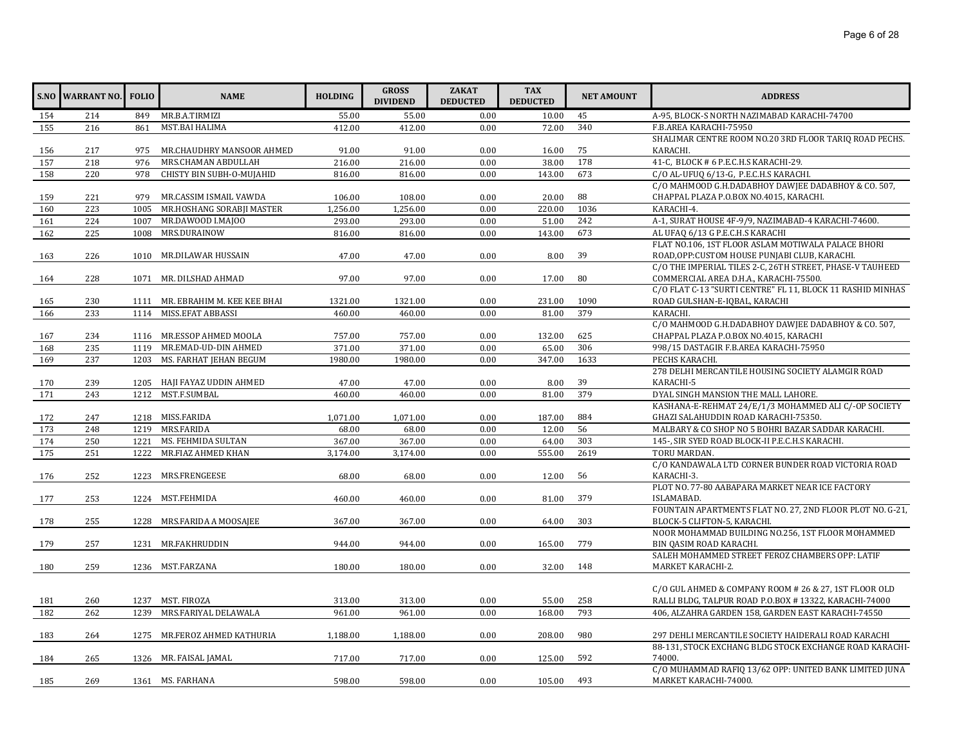|     | <b>S.NO WARRANT NO.</b> | <b>FOLIO</b> | <b>NAME</b>                      | <b>HOLDING</b> | <b>GROSS</b><br><b>DIVIDEND</b> | <b>ZAKAT</b><br><b>DEDUCTED</b> | <b>TAX</b><br><b>DEDUCTED</b> | <b>NET AMOUNT</b> | <b>ADDRESS</b>                                             |
|-----|-------------------------|--------------|----------------------------------|----------------|---------------------------------|---------------------------------|-------------------------------|-------------------|------------------------------------------------------------|
| 154 | 214                     | 849          | MR.B.A.TIRMIZI                   | 55.00          | 55.00                           | 0.00                            | 10.00                         | 45                | A-95, BLOCK-S NORTH NAZIMABAD KARACHI-74700                |
| 155 | 216                     | 861          | MST.BAI HALIMA                   | 412.00         | 412.00                          | 0.00                            | 72.00                         | 340               | F.B.AREA KARACHI-75950                                     |
|     |                         |              |                                  |                |                                 |                                 |                               |                   | SHALIMAR CENTRE ROOM NO.20 3RD FLOOR TARIO ROAD PECHS.     |
| 156 | 217                     | 975          | MR.CHAUDHRY MANSOOR AHMED        | 91.00          | 91.00                           | 0.00                            | 16.00                         | 75                | KARACHI.                                                   |
| 157 | 218                     | 976          | MRS.CHAMAN ABDULLAH              | 216.00         | 216.00                          | 0.00                            | 38.00                         | 178               | 41-C, BLOCK #6 P.E.C.H.S KARACHI-29.                       |
| 158 | 220                     | 978          | CHISTY BIN SUBH-O-MUJAHID        | 816.00         | 816.00                          | 0.00                            | 143.00                        | 673               | C/O AL-UFUQ 6/13-G, P.E.C.H.S KARACHI.                     |
|     |                         |              |                                  |                |                                 |                                 |                               |                   | C/O MAHMOOD G.H.DADABHOY DAWJEE DADABHOY & CO. 507,        |
| 159 | 221                     | 979          | MR.CASSIM ISMAIL VAWDA           | 106.00         | 108.00                          | 0.00                            | 20.00                         | 88                | CHAPPAL PLAZA P.O.BOX NO.4015, KARACHI.                    |
| 160 | 223                     | 1005         | MR.HOSHANG SORABJI MASTER        | 1,256.00       | 1,256.00                        | 0.00                            | 220.00                        | 1036              | KARACHI-4.                                                 |
| 161 | 224                     | 1007         | MR.DAWOOD I.MAJOO                | 293.00         | 293.00                          | 0.00                            | 51.00                         | 242               | A-1, SURAT HOUSE 4F-9/9, NAZIMABAD-4 KARACHI-74600.        |
| 162 | 225                     | 1008         | MRS.DURAINOW                     | 816.00         | 816.00                          | 0.00                            | 143.00                        | 673               | AL UFAQ 6/13 G P.E.C.H.S KARACHI                           |
|     |                         |              |                                  |                |                                 |                                 |                               |                   | FLAT NO.106, 1ST FLOOR ASLAM MOTIWALA PALACE BHORI         |
| 163 | 226                     |              | 1010 MR.DILAWAR HUSSAIN          | 47.00          | 47.00                           | 0.00                            | 8.00                          | 39                | ROAD, OPP: CUSTOM HOUSE PUNJABI CLUB, KARACHI.             |
|     |                         |              |                                  |                |                                 |                                 |                               |                   | C/O THE IMPERIAL TILES 2-C. 26TH STREET. PHASE-V TAUHEED   |
| 164 | 228                     |              | 1071 MR. DILSHAD AHMAD           | 97.00          | 97.00                           | 0.00                            | 17.00                         | 80                | COMMERCIAL AREA D.H.A., KARACHI-75500.                     |
|     |                         |              |                                  |                |                                 |                                 |                               |                   | C/O FLAT C-13 "SURTI CENTRE" FL 11, BLOCK 11 RASHID MINHAS |
| 165 | 230                     |              | 1111 MR. EBRAHIM M. KEE KEE BHAI | 1321.00        | 1321.00                         | 0.00                            | 231.00                        | 1090              | ROAD GULSHAN-E-IQBAL, KARACHI                              |
| 166 | 233                     |              | 1114 MISS.EFAT ABBASSI           | 460.00         | 460.00                          | 0.00                            | 81.00                         | 379               | KARACHI.                                                   |
|     |                         |              |                                  |                |                                 |                                 |                               |                   | C/O MAHMOOD G.H.DADABHOY DAWJEE DADABHOY & CO. 507,        |
| 167 | 234                     |              | 1116 MR.ESSOP AHMED MOOLA        | 757.00         | 757.00                          | 0.00                            | 132.00                        | 625               | CHAPPAL PLAZA P.O.BOX NO.4015, KARACHI                     |
| 168 | 235                     | 1119         | MR.EMAD-UD-DIN AHMED             | 371.00         | 371.00                          | 0.00                            | 65.00                         | 306               | 998/15 DASTAGIR F.B.AREA KARACHI-75950                     |
| 169 | 237                     | 1203         | MS. FARHAT JEHAN BEGUM           | 1980.00        | 1980.00                         | 0.00                            | 347.00                        | 1633              | PECHS KARACHI.                                             |
|     |                         |              |                                  |                |                                 |                                 |                               |                   | 278 DELHI MERCANTILE HOUSING SOCIETY ALAMGIR ROAD          |
| 170 | 239                     |              | 1205 HAJI FAYAZ UDDIN AHMED      | 47.00          | 47.00                           | 0.00                            | 8.00                          | 39                | KARACHI-5                                                  |
| 171 | 243                     | 1212         | MST.F.SUMBAL                     | 460.00         | 460.00                          | 0.00                            | 81.00                         | 379               | DYAL SINGH MANSION THE MALL LAHORE.                        |
|     |                         |              |                                  |                |                                 |                                 |                               |                   | KASHANA-E-REHMAT 24/E/1/3 MOHAMMED ALI C/-OP SOCIETY       |
| 172 | 247                     |              | 1218 MISS.FARIDA                 | 1,071.00       | 1,071.00                        | 0.00                            | 187.00                        | 884               | GHAZI SALAHUDDIN ROAD KARACHI-75350.                       |
| 173 | 248                     | 1219         | MRS.FARIDA                       | 68.00          | 68.00                           | 0.00                            | 12.00                         | 56                | MALBARY & CO SHOP NO 5 BOHRI BAZAR SADDAR KARACHI.         |
| 174 | 250                     | 1221         | MS. FEHMIDA SULTAN               | 367.00         | 367.00                          | 0.00                            | 64.00                         | 303               | 145-, SIR SYED ROAD BLOCK-II P.E.C.H.S KARACHI.            |
| 175 | 251                     | 1222         | MR.FIAZ AHMED KHAN               | 3,174.00       | 3,174.00                        | 0.00                            | 555.00                        | 2619              | TORU MARDAN.                                               |
|     |                         |              |                                  |                |                                 |                                 |                               |                   | C/O KANDAWALA LTD CORNER BUNDER ROAD VICTORIA ROAD         |
| 176 | 252                     | 1223         | MRS.FRENGEESE                    | 68.00          | 68.00                           | 0.00                            | 12.00                         | 56                | KARACHI-3.                                                 |
|     |                         |              |                                  |                |                                 |                                 |                               |                   | PLOT NO. 77-80 AABAPARA MARKET NEAR ICE FACTORY            |
| 177 | 253                     |              | 1224 MST.FEHMIDA                 | 460.00         | 460.00                          | 0.00                            | 81.00                         | 379               | ISLAMABAD.                                                 |
|     |                         |              |                                  |                |                                 |                                 |                               |                   | FOUNTAIN APARTMENTS FLAT NO. 27, 2ND FLOOR PLOT NO. G-21,  |
| 178 | 255                     |              | 1228 MRS.FARIDA A MOOSAJEE       | 367.00         | 367.00                          | 0.00                            | 64.00                         | 303               | BLOCK-5 CLIFTON-5, KARACHI.                                |
|     |                         |              |                                  |                |                                 |                                 |                               |                   | NOOR MOHAMMAD BUILDING NO.256, 1ST FLOOR MOHAMMED          |
| 179 | 257                     |              | 1231 MR.FAKHRUDDIN               | 944.00         | 944.00                          | 0.00                            | 165.00                        | 779               | BIN QASIM ROAD KARACHI.                                    |
|     |                         |              |                                  |                |                                 |                                 |                               |                   | SALEH MOHAMMED STREET FEROZ CHAMBERS OPP: LATIF            |
| 180 | 259                     |              | 1236 MST.FARZANA                 | 180.00         | 180.00                          | 0.00                            | 32.00                         | 148               | MARKET KARACHI-2.                                          |
|     |                         |              |                                  |                |                                 |                                 |                               |                   |                                                            |
|     |                         |              |                                  |                |                                 |                                 |                               |                   | C/O GUL AHMED & COMPANY ROOM # 26 & 27, 1ST FLOOR OLD      |
| 181 | 260                     | 1237         | MST. FIROZA                      | 313.00         | 313.00                          | 0.00                            | 55.00                         | 258               | RALLI BLDG, TALPUR ROAD P.O.BOX #13322, KARACHI-74000      |
| 182 | 262                     | 1239         | MRS.FARIYAL DELAWALA             | 961.00         | 961.00                          | 0.00                            | 168.00                        | 793               | 406, ALZAHRA GARDEN 158, GARDEN EAST KARACHI-74550         |
|     |                         |              |                                  |                |                                 |                                 |                               |                   |                                                            |
| 183 | 264                     |              | 1275 MR.FEROZ AHMED KATHURIA     | 1,188.00       | 1,188.00                        | 0.00                            | 208.00                        | 980               | 297 DEHLI MERCANTILE SOCIETY HAIDERALI ROAD KARACHI        |
|     |                         |              |                                  |                |                                 |                                 |                               |                   | 88-131, STOCK EXCHANG BLDG STOCK EXCHANGE ROAD KARACHI-    |
| 184 | 265                     |              | 1326 MR. FAISAL JAMAL            | 717.00         | 717.00                          | 0.00                            | 125.00                        | 592               | 74000.                                                     |
|     |                         |              |                                  |                |                                 |                                 |                               |                   | C/O MUHAMMAD RAFIQ 13/62 OPP: UNITED BANK LIMITED JUNA     |
| 185 | 269                     |              | 1361 MS. FARHANA                 | 598.00         | 598.00                          | 0.00                            | 105.00                        | 493               | MARKET KARACHI-74000.                                      |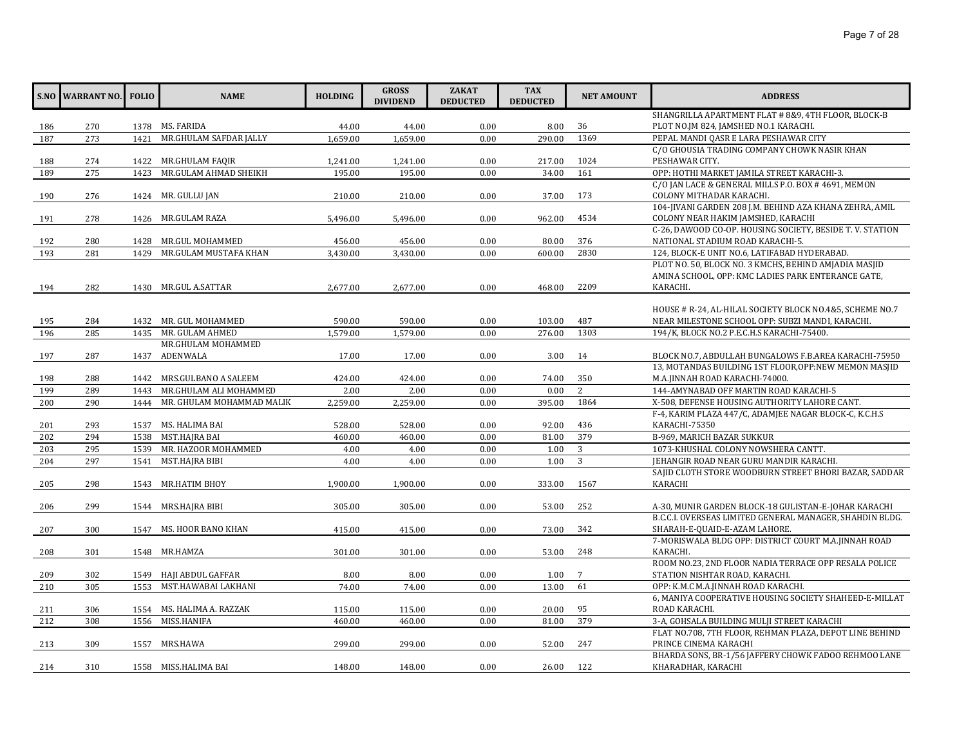|     | <b>S.NO WARRANT NO. FOLIO</b> |      | <b>NAME</b>               | <b>HOLDING</b> | <b>GROSS</b><br><b>DIVIDEND</b> | <b>ZAKAT</b><br><b>DEDUCTED</b> | <b>TAX</b><br><b>DEDUCTED</b> | <b>NET AMOUNT</b> | <b>ADDRESS</b>                                            |
|-----|-------------------------------|------|---------------------------|----------------|---------------------------------|---------------------------------|-------------------------------|-------------------|-----------------------------------------------------------|
|     |                               |      |                           |                |                                 |                                 |                               |                   | SHANGRILLA APARTMENT FLAT # 8&9, 4TH FLOOR, BLOCK-B       |
| 186 | 270                           |      | 1378 MS. FARIDA           | 44.00          | 44.00                           | 0.00                            | 8.00                          | 36                | PLOT NO.JM 824, JAMSHED NO.1 KARACHI.                     |
| 187 | 273                           | 1421 | MR.GHULAM SAFDAR JALLY    | 1.659.00       | 1,659.00                        | 0.00                            | 290.00                        | 1369              | PEPAL MANDI QASR E LARA PESHAWAR CITY                     |
|     |                               |      |                           |                |                                 |                                 |                               |                   | C/O GHOUSIA TRADING COMPANY CHOWK NASIR KHAN              |
| 188 | 274                           |      | 1422 MR.GHULAM FAQIR      | 1,241.00       | 1,241.00                        | 0.00                            | 217.00                        | 1024              | PESHAWAR CITY.                                            |
| 189 | 275                           | 1423 | MR.GULAM AHMAD SHEIKH     | 195.00         | 195.00                          | 0.00                            | 34.00                         | 161               | OPP: HOTHI MARKET JAMILA STREET KARACHI-3.                |
|     |                               |      |                           |                |                                 |                                 |                               |                   | C/O JAN LACE & GENERAL MILLS P.O. BOX # 4691, MEMON       |
| 190 | 276                           |      | 1424 MR. GULLU JAN        | 210.00         | 210.00                          | 0.00                            | 37.00                         | 173               | COLONY MITHADAR KARACHI.                                  |
|     |                               |      |                           |                |                                 |                                 |                               |                   | 104-JIVANI GARDEN 208 J.M. BEHIND AZA KHANA ZEHRA, AMIL   |
| 191 | 278                           |      | 1426 MR.GULAM RAZA        | 5,496.00       | 5,496.00                        | 0.00                            | 962.00                        | 4534              | COLONY NEAR HAKIM JAMSHED, KARACHI                        |
|     |                               |      |                           |                |                                 |                                 |                               |                   | C-26, DAWOOD CO-OP. HOUSING SOCIETY, BESIDE T. V. STATION |
| 192 | 280                           |      | 1428 MR.GUL MOHAMMED      | 456.00         | 456.00                          | 0.00                            | 80.00                         | 376               | NATIONAL STADIUM ROAD KARACHI-5.                          |
| 193 | 281                           | 1429 | MR.GULAM MUSTAFA KHAN     | 3,430.00       | 3,430.00                        | 0.00                            | 600.00                        | 2830              | 124, BLOCK-E UNIT NO.6, LATIFABAD HYDERABAD.              |
|     |                               |      |                           |                |                                 |                                 |                               |                   | PLOT NO. 50, BLOCK NO. 3 KMCHS, BEHIND AMJADIA MASJID     |
|     |                               |      |                           |                |                                 |                                 |                               |                   | AMINA SCHOOL, OPP: KMC LADIES PARK ENTERANCE GATE,        |
| 194 | 282                           |      | 1430 MR.GUL A.SATTAR      | 2,677.00       | 2,677.00                        | 0.00                            | 468.00                        | 2209              | KARACHI.                                                  |
|     |                               |      |                           |                |                                 |                                 |                               |                   |                                                           |
|     |                               |      |                           |                |                                 |                                 |                               |                   | HOUSE # R-24, AL-HILAL SOCIETY BLOCK NO.4&5, SCHEME NO.7  |
| 195 | 284                           |      | 1432 MR. GUL MOHAMMED     | 590.00         | 590.00                          | 0.00                            | 103.00                        | 487               | NEAR MILESTONE SCHOOL OPP: SUBZI MANDI, KARACHI.          |
| 196 | 285                           | 1435 | MR. GULAM AHMED           | 1,579.00       | 1,579.00                        | 0.00                            | 276.00                        | 1303              | 194/K, BLOCK NO.2 P.E.C.H.S KARACHI-75400.                |
|     |                               |      | MR.GHULAM MOHAMMED        |                |                                 |                                 |                               |                   |                                                           |
| 197 | 287                           |      | 1437 ADENWALA             | 17.00          | 17.00                           | 0.00                            | 3.00                          | 14                | BLOCK NO.7, ABDULLAH BUNGALOWS F.B.AREA KARACHI-75950     |
|     |                               |      |                           |                |                                 |                                 |                               |                   | 13, MOTANDAS BUILDING 1ST FLOOR, OPP:NEW MEMON MASJID     |
| 198 | 288                           |      | 1442 MRS.GULBANO A SALEEM | 424.00         | 424.00                          | 0.00                            | 74.00                         | 350               | M.A.JINNAH ROAD KARACHI-74000.                            |
| 199 | 289                           | 1443 | MR.GHULAM ALI MOHAMMED    | 2.00           | 2.00                            | 0.00                            | 0.00                          | 2                 | 144-AMYNABAD OFF MARTIN ROAD KARACHI-5                    |
| 200 | 290                           | 1444 | MR. GHULAM MOHAMMAD MALIK | 2,259.00       | 2,259.00                        | 0.00                            | 395.00                        | 1864              | X-508, DEFENSE HOUSING AUTHORITY LAHORE CANT.             |
|     |                               |      |                           |                |                                 |                                 |                               |                   | F-4, KARIM PLAZA 447/C, ADAMJEE NAGAR BLOCK-C, K.C.H.S    |
| 201 | 293                           |      | 1537 MS. HALIMA BAI       | 528.00         | 528.00                          | 0.00                            | 92.00                         | 436               | KARACHI-75350                                             |
| 202 | 294                           | 1538 | MST.HAJRA BAI             | 460.00         | 460.00                          | 0.00                            | 81.00                         | 379               | B-969, MARICH BAZAR SUKKUR                                |
| 203 | 295                           | 1539 | MR. HAZOOR MOHAMMED       | 4.00           | 4.00                            | 0.00                            | 1.00                          | $\overline{3}$    | 1073-KHUSHAL COLONY NOWSHERA CANTT.                       |
| 204 | 297                           | 1541 | MST.HAJRA BIBI            | 4.00           | 4.00                            | 0.00                            | 1.00                          | 3                 | JEHANGIR ROAD NEAR GURU MANDIR KARACHI.                   |
|     |                               |      |                           |                |                                 |                                 |                               |                   | SAJID CLOTH STORE WOODBURN STREET BHORI BAZAR, SADDAR     |
| 205 | 298                           |      | 1543 MR.HATIM BHOY        | 1,900.00       | 1,900.00                        | 0.00                            | 333.00                        | 1567              | KARACHI                                                   |
|     |                               |      |                           |                |                                 |                                 |                               |                   |                                                           |
| 206 | 299                           |      | 1544 MRS.HAJRA BIBI       | 305.00         | 305.00                          | 0.00                            | 53.00                         | 252               | A-30, MUNIR GARDEN BLOCK-18 GULISTAN-E-JOHAR KARACHI      |
|     |                               |      |                           |                |                                 |                                 |                               |                   | B.C.C.I. OVERSEAS LIMITED GENERAL MANAGER, SHAHDIN BLDG.  |
| 207 | 300                           |      | 1547 MS. HOOR BANO KHAN   | 415.00         | 415.00                          | 0.00                            | 73.00                         | 342               | SHARAH-E-QUAID-E-AZAM LAHORE.                             |
|     |                               |      |                           |                |                                 |                                 |                               |                   | 7-MORISWALA BLDG OPP: DISTRICT COURT M.A.JINNAH ROAD      |
| 208 | 301                           |      | 1548 MR.HAMZA             | 301.00         | 301.00                          | 0.00                            | 53.00                         | 248               | KARACHI.                                                  |
|     |                               |      |                           |                |                                 |                                 |                               |                   | ROOM NO.23, 2ND FLOOR NADIA TERRACE OPP RESALA POLICE     |
| 209 | 302                           |      | 1549 HAJI ABDUL GAFFAR    | 8.00           | 8.00                            | 0.00                            | 1.00                          | $7\phantom{.0}$   | STATION NISHTAR ROAD, KARACHI.                            |
| 210 | 305                           | 1553 | MST.HAWABAI LAKHANI       | 74.00          | 74.00                           | 0.00                            | 13.00                         | 61                | OPP: K.M.C M.A.JINNAH ROAD KARACHI.                       |
|     |                               |      |                           |                |                                 |                                 |                               |                   | 6, MANIYA COOPERATIVE HOUSING SOCIETY SHAHEED-E-MILLAT    |
| 211 | 306                           | 1554 | MS. HALIMA A. RAZZAK      | 115.00         | 115.00                          | 0.00                            | 20.00                         | 95                | ROAD KARACHI.                                             |
| 212 | 308                           | 1556 | MISS.HANIFA               | 460.00         | 460.00                          | 0.00                            | 81.00                         | 379               | 3-A, GOHSALA BUILDING MULJI STREET KARACHI                |
|     |                               |      |                           |                |                                 |                                 |                               |                   | FLAT NO.708, 7TH FLOOR, REHMAN PLAZA, DEPOT LINE BEHIND   |
| 213 | 309                           | 1557 | MRS.HAWA                  | 299.00         | 299.00                          | 0.00                            | 52.00                         | 247               | PRINCE CINEMA KARACHI                                     |
|     |                               |      |                           |                |                                 |                                 |                               |                   | BHARDA SONS, BR-1/56 JAFFERY CHOWK FADOO REHMOO LANE      |
| 214 | 310                           |      | 1558 MISS.HALIMA BAI      | 148.00         | 148.00                          | 0.00                            | 26.00                         | 122               | KHARADHAR, KARACHI                                        |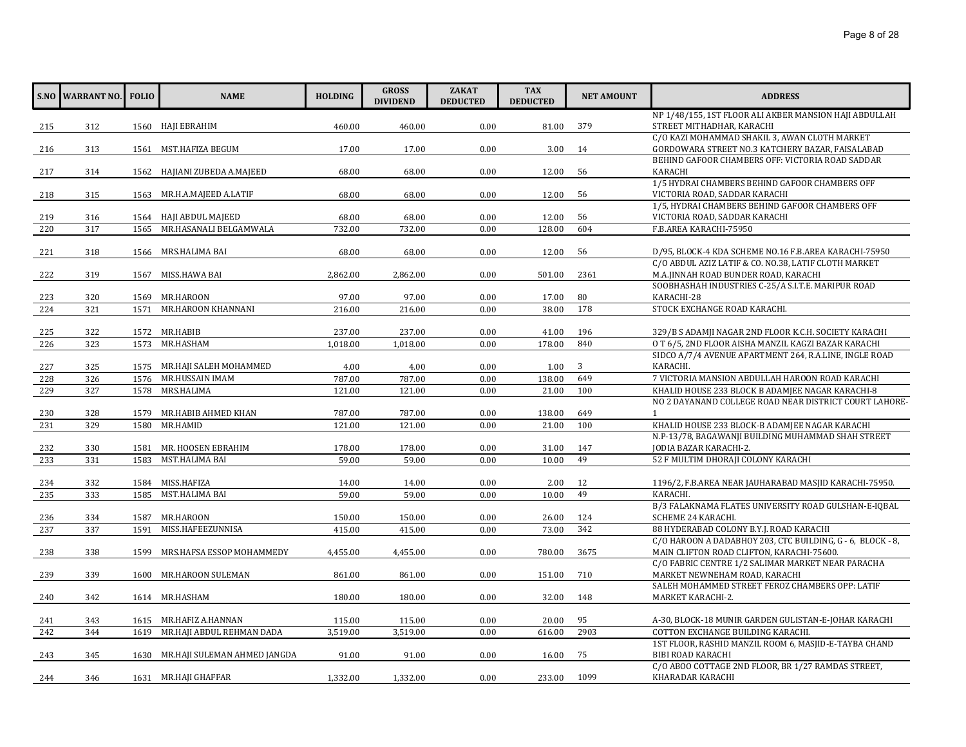|     | <b>S.NO WARRANT NO. FOLIO</b> |      | <b>NAME</b>                       | <b>HOLDING</b> | <b>GROSS</b><br><b>DIVIDEND</b> | <b>ZAKAT</b><br><b>DEDUCTED</b> | <b>TAX</b><br><b>DEDUCTED</b> | <b>NET AMOUNT</b> | <b>ADDRESS</b>                                                                                               |
|-----|-------------------------------|------|-----------------------------------|----------------|---------------------------------|---------------------------------|-------------------------------|-------------------|--------------------------------------------------------------------------------------------------------------|
|     |                               |      |                                   |                |                                 |                                 |                               |                   | NP 1/48/155, 1ST FLOOR ALI AKBER MANSION HAJI ABDULLAH                                                       |
| 215 | 312                           |      | 1560 HAJI EBRAHIM                 | 460.00         | 460.00                          | 0.00                            | 81.00                         | 379               | STREET MITHADHAR, KARACHI                                                                                    |
|     |                               |      |                                   |                |                                 |                                 |                               |                   | C/O KAZI MOHAMMAD SHAKIL 3, AWAN CLOTH MARKET                                                                |
| 216 | 313                           |      | 1561 MST.HAFIZA BEGUM             | 17.00          | 17.00                           | 0.00                            | 3.00                          | 14                | GORDOWARA STREET NO.3 KATCHERY BAZAR, FAISALABAD                                                             |
|     |                               |      |                                   |                |                                 |                                 |                               |                   | BEHIND GAFOOR CHAMBERS OFF: VICTORIA ROAD SADDAR<br><b>KARACHI</b>                                           |
| 217 | 314                           |      | 1562 HAJIANI ZUBEDA A.MAJEED      | 68.00          | 68.00                           | 0.00                            | 12.00                         | 56                | 1/5 HYDRAI CHAMBERS BEHIND GAFOOR CHAMBERS OFF                                                               |
| 218 | 315                           |      | 1563 MR.H.A.MAJEED A.LATIF        | 68.00          | 68.00                           | 0.00                            | 12.00                         | 56                | VICTORIA ROAD, SADDAR KARACHI                                                                                |
|     |                               |      |                                   |                |                                 |                                 |                               |                   | 1/5, HYDRAI CHAMBERS BEHIND GAFOOR CHAMBERS OFF                                                              |
| 219 | 316                           | 1564 | HAJI ABDUL MAJEED                 | 68.00          | 68.00                           | 0.00                            | 12.00                         | 56                | VICTORIA ROAD, SADDAR KARACHI                                                                                |
| 220 | 317                           | 1565 | MR.HASANALI BELGAMWALA            | 732.00         | 732.00                          | 0.00                            | 128.00                        | 604               | F.B.AREA KARACHI-75950                                                                                       |
|     |                               |      |                                   |                |                                 |                                 |                               |                   |                                                                                                              |
| 221 | 318                           |      | 1566 MRS.HALIMA BAI               | 68.00          | 68.00                           | 0.00                            | 12.00                         | 56                | D/95, BLOCK-4 KDA SCHEME NO.16 F.B.AREA KARACHI-75950                                                        |
|     |                               |      |                                   |                |                                 |                                 |                               |                   | C/O ABDUL AZIZ LATIF & CO. NO.38, LATIF CLOTH MARKET                                                         |
| 222 | 319                           | 1567 | MISS.HAWA BAI                     | 2,862.00       | 2,862.00                        | 0.00                            | 501.00                        | 2361              | M.A.JINNAH ROAD BUNDER ROAD, KARACHI                                                                         |
|     |                               |      |                                   |                |                                 |                                 |                               |                   | SOOBHASHAH INDUSTRIES C-25/A S.I.T.E. MARIPUR ROAD                                                           |
| 223 | 320                           | 1569 | MR.HAROON                         | 97.00          | 97.00                           | 0.00                            | 17.00                         | 80                | KARACHI-28                                                                                                   |
| 224 | 321                           | 1571 | MR.HAROON KHANNANI                | 216.00         | 216.00                          | 0.00                            | 38.00                         | 178               | STOCK EXCHANGE ROAD KARACHI.                                                                                 |
|     |                               |      | 1572 MR.HABIB                     |                |                                 |                                 |                               | 196               |                                                                                                              |
| 225 | 322                           |      |                                   | 237.00         | 237.00                          | 0.00                            | 41.00                         |                   | 329/B S ADAMJI NAGAR 2ND FLOOR K.C.H. SOCIETY KARACHI<br>O T 6/5, 2ND FLOOR AISHA MANZIL KAGZI BAZAR KARACHI |
| 226 | 323                           | 1573 | MR.HASHAM                         | 1,018.00       | 1,018.00                        | 0.00                            | 178.00                        | 840               | SIDCO A/7/4 AVENUE APARTMENT 264, R.A.LINE, INGLE ROAD                                                       |
| 227 | 325                           | 1575 | MR.HAJI SALEH MOHAMMED            | 4.00           | 4.00                            | 0.00                            | 1.00                          | 3                 | KARACHI.                                                                                                     |
| 228 | 326                           | 1576 | MR.HUSSAIN IMAM                   | 787.00         | 787.00                          | 0.00                            | 138.00                        | 649               | 7 VICTORIA MANSION ABDULLAH HAROON ROAD KARACHI                                                              |
| 229 | 327                           | 1578 | MRS.HALIMA                        | 121.00         | 121.00                          | 0.00                            | 21.00                         | 100               | KHALID HOUSE 233 BLOCK B ADAMJEE NAGAR KARACHI-8                                                             |
|     |                               |      |                                   |                |                                 |                                 |                               |                   | NO 2 DAYANAND COLLEGE ROAD NEAR DISTRICT COURT LAHORE-                                                       |
| 230 | 328                           | 1579 | MR.HABIB AHMED KHAN               | 787.00         | 787.00                          | 0.00                            | 138.00                        | 649               | $\mathbf{1}$                                                                                                 |
| 231 | 329                           | 1580 | MR.HAMID                          | 121.00         | 121.00                          | 0.00                            | 21.00                         | 100               | KHALID HOUSE 233 BLOCK-B ADAMIEE NAGAR KARACHI                                                               |
|     |                               |      |                                   |                |                                 |                                 |                               |                   | N.P-13/78, BAGAWANJI BUILDING MUHAMMAD SHAH STREET                                                           |
| 232 | 330                           | 1581 | MR. HOOSEN EBRAHIM                | 178.00         | 178.00                          | 0.00                            | 31.00                         | 147               | JODIA BAZAR KARACHI-2.                                                                                       |
| 233 | 331                           | 1583 | MST.HALIMA BAI                    | 59.00          | 59.00                           | 0.00                            | 10.00                         | 49                | 52 F MULTIM DHORAJI COLONY KARACHI                                                                           |
|     |                               |      |                                   |                |                                 |                                 |                               |                   |                                                                                                              |
| 234 | 332                           | 1584 | MISS.HAFIZA                       | 14.00          | 14.00                           | 0.00                            | 2.00                          | 12                | 1196/2, F.B.AREA NEAR JAUHARABAD MASJID KARACHI-75950.                                                       |
| 235 | 333                           | 1585 | MST.HALIMA BAI                    | 59.00          | 59.00                           | 0.00                            | 10.00                         | 49                | KARACHI.                                                                                                     |
|     |                               |      |                                   |                |                                 |                                 |                               |                   | B/3 FALAKNAMA FLATES UNIVERSITY ROAD GULSHAN-E-IQBAL                                                         |
| 236 | 334                           | 1587 | MR.HAROON                         | 150.00         | 150.00                          | 0.00                            | 26.00                         | 124               | SCHEME 24 KARACHI.                                                                                           |
| 237 | 337                           | 1591 | MISS.HAFEEZUNNISA                 | 415.00         | 415.00                          | 0.00                            | 73.00                         | 342               | 88 HYDERABAD COLONY B.Y.J. ROAD KARACHI                                                                      |
|     |                               |      |                                   |                |                                 |                                 |                               |                   | C/O HAROON A DADABHOY 203, CTC BUILDING, G - 6, BLOCK - 8,                                                   |
| 238 | 338                           | 1599 | MRS.HAFSA ESSOP MOHAMMEDY         | 4,455.00       | 4,455.00                        | 0.00                            | 780.00                        | 3675              | MAIN CLIFTON ROAD CLIFTON, KARACHI-75600.                                                                    |
|     |                               |      |                                   |                |                                 |                                 |                               |                   | C/O FABRIC CENTRE 1/2 SALIMAR MARKET NEAR PARACHA                                                            |
| 239 | 339                           |      | 1600 MR.HAROON SULEMAN            | 861.00         | 861.00                          | 0.00                            | 151.00                        | 710               | MARKET NEWNEHAM ROAD, KARACHI<br>SALEH MOHAMMED STREET FEROZ CHAMBERS OPP: LATIF                             |
|     | 342                           |      | 1614 MR.HASHAM                    | 180.00         | 180.00                          | 0.00                            | 32.00                         | 148               | MARKET KARACHI-2.                                                                                            |
| 240 |                               |      |                                   |                |                                 |                                 |                               |                   |                                                                                                              |
| 241 | 343                           |      | 1615 MR.HAFIZ A.HANNAN            | 115.00         | 115.00                          | 0.00                            | 20.00                         | 95                | A-30, BLOCK-18 MUNIR GARDEN GULISTAN-E-JOHAR KARACHI                                                         |
| 242 | 344                           | 1619 | MR.HAJI ABDUL REHMAN DADA         | 3,519.00       | 3,519.00                        | 0.00                            | 616.00                        | 2903              | COTTON EXCHANGE BUILDING KARACHI.                                                                            |
|     |                               |      |                                   |                |                                 |                                 |                               |                   | 1ST FLOOR, RASHID MANZIL ROOM 6, MASJID-E-TAYBA CHAND                                                        |
| 243 | 345                           |      | 1630 MR.HAJI SULEMAN AHMED JANGDA | 91.00          | 91.00                           | 0.00                            | 16.00                         | 75                | BIBI ROAD KARACHI                                                                                            |
|     |                               |      |                                   |                |                                 |                                 |                               |                   | C/O ABOO COTTAGE 2ND FLOOR, BR 1/27 RAMDAS STREET,                                                           |
| 244 | 346                           |      | 1631 MR.HAJI GHAFFAR              | 1,332.00       | 1,332.00                        | 0.00                            | 233.00                        | 1099              | KHARADAR KARACHI                                                                                             |
|     |                               |      |                                   |                |                                 |                                 |                               |                   |                                                                                                              |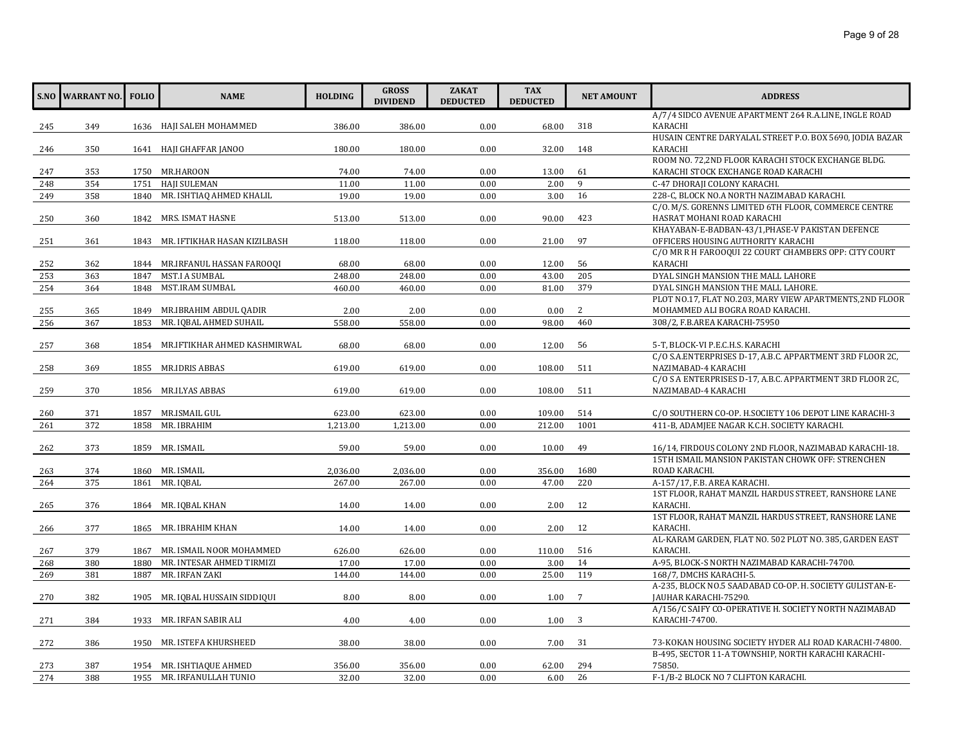|     | <b>S.NO WARRANT NO.</b> | <b>FOLIO</b> | <b>NAME</b>                       | <b>HOLDING</b> | <b>GROSS</b><br><b>DIVIDEND</b> | <b>ZAKAT</b><br><b>DEDUCTED</b> | <b>TAX</b><br><b>DEDUCTED</b> | <b>NET AMOUNT</b> | <b>ADDRESS</b>                                                       |
|-----|-------------------------|--------------|-----------------------------------|----------------|---------------------------------|---------------------------------|-------------------------------|-------------------|----------------------------------------------------------------------|
|     |                         |              |                                   |                |                                 |                                 |                               |                   | A/7/4 SIDCO AVENUE APARTMENT 264 R.A.LINE, INGLE ROAD                |
| 245 | 349                     |              | 1636 HAJI SALEH MOHAMMED          | 386.00         | 386.00                          | 0.00                            | 68.00                         | 318               | <b>KARACHI</b>                                                       |
|     |                         |              |                                   |                |                                 |                                 |                               |                   | HUSAIN CENTRE DARYALAL STREET P.O. BOX 5690, JODIA BAZAR             |
| 246 | 350                     |              | 1641 HAJI GHAFFAR JANOO           | 180.00         | 180.00                          | 0.00                            | 32.00                         | 148               | <b>KARACHI</b><br>ROOM NO. 72,2ND FLOOR KARACHI STOCK EXCHANGE BLDG. |
| 247 | 353                     |              | 1750 MR.HAROON                    | 74.00          | 74.00                           | 0.00                            | 13.00                         | 61                | KARACHI STOCK EXCHANGE ROAD KARACHI                                  |
| 248 | 354                     | 1751         | <b>HAJI SULEMAN</b>               | 11.00          | 11.00                           | 0.00                            | 2.00                          | 9                 | C-47 DHORAJI COLONY KARACHI.                                         |
| 249 | 358                     | 1840         | MR. ISHTIAQ AHMED KHALIL          | 19.00          | 19.00                           | 0.00                            | 3.00                          | 16                | 228-C, BLOCK NO.A NORTH NAZIMABAD KARACHI.                           |
|     |                         |              |                                   |                |                                 |                                 |                               |                   | C/O. M/S. GORENNS LIMITED 6TH FLOOR, COMMERCE CENTRE                 |
| 250 | 360                     |              | 1842 MRS. ISMAT HASNE             | 513.00         | 513.00                          | 0.00                            | 90.00                         | 423               | HASRAT MOHANI ROAD KARACHI                                           |
|     |                         |              |                                   |                |                                 |                                 |                               |                   | KHAYABAN-E-BADBAN-43/1, PHASE-V PAKISTAN DEFENCE                     |
| 251 | 361                     |              | 1843 MR. IFTIKHAR HASAN KIZILBASH | 118.00         | 118.00                          | 0.00                            | 21.00                         | 97                | OFFICERS HOUSING AUTHORITY KARACHI                                   |
|     |                         |              |                                   |                |                                 |                                 |                               |                   | C/O MR R H FAROOQUI 22 COURT CHAMBERS OPP: CITY COURT                |
| 252 | 362                     |              | 1844 MR.IRFANUL HASSAN FAROOQI    | 68.00          | 68.00                           | 0.00                            | 12.00                         | 56                | KARACHI                                                              |
| 253 | 363                     | 1847         | MST.I A SUMBAL                    | 248.00         | 248.00                          | 0.00                            | 43.00                         | 205               | DYAL SINGH MANSION THE MALL LAHORE                                   |
| 254 | 364                     | 1848         | MST.IRAM SUMBAL                   | 460.00         | 460.00                          | 0.00                            | 81.00                         | 379               | DYAL SINGH MANSION THE MALL LAHORE.                                  |
|     |                         |              |                                   |                |                                 |                                 |                               |                   | PLOT NO.17, FLAT NO.203, MARY VIEW APARTMENTS, 2ND FLOOR             |
| 255 | 365                     |              | 1849 MR.IBRAHIM ABDUL QADIR       | 2.00           | 2.00                            | 0.00                            | 0.00                          | 2                 | MOHAMMED ALI BOGRA ROAD KARACHI.                                     |
| 256 | 367                     | 1853         | MR. IQBAL AHMED SUHAIL            | 558.00         | 558.00                          | 0.00                            | 98.00                         | 460               | 308/2, F.B.AREA KARACHI-75950                                        |
|     |                         |              |                                   |                |                                 |                                 |                               |                   |                                                                      |
| 257 | 368                     |              | 1854 MR.IFTIKHAR AHMED KASHMIRWAL | 68.00          | 68.00                           | 0.00                            | 12.00                         | 56                | 5-T, BLOCK-VI P.E.C.H.S. KARACHI                                     |
|     |                         |              |                                   |                |                                 |                                 |                               |                   | C/O S.A.ENTERPRISES D-17, A.B.C. APPARTMENT 3RD FLOOR 2C,            |
| 258 | 369                     |              | 1855 MR.IDRIS ABBAS               | 619.00         | 619.00                          | 0.00                            | 108.00                        | 511               | NAZIMABAD-4 KARACHI                                                  |
|     |                         |              |                                   |                |                                 |                                 |                               |                   | C/O S A ENTERPRISES D-17, A.B.C. APPARTMENT 3RD FLOOR 2C,            |
| 259 | 370                     |              | 1856 MR.ILYAS ABBAS               | 619.00         | 619.00                          | 0.00                            | 108.00                        | 511               | NAZIMABAD-4 KARACHI                                                  |
|     |                         |              |                                   |                |                                 |                                 |                               |                   |                                                                      |
| 260 | 371                     |              | 1857 MR.ISMAIL GUL                | 623.00         | 623.00                          | 0.00                            | 109.00                        | 514               | C/O SOUTHERN CO-OP. H.SOCIETY 106 DEPOT LINE KARACHI-3               |
| 261 | 372                     | 1858         | MR. IBRAHIM                       | 1,213.00       | 1,213.00                        | 0.00                            | 212.00                        | 1001              | 411-B, ADAMJEE NAGAR K.C.H. SOCIETY KARACHI.                         |
| 262 | 373                     |              | 1859 MR. ISMAIL                   | 59.00          | 59.00                           | 0.00                            | 10.00                         | 49                | 16/14, FIRDOUS COLONY 2ND FLOOR, NAZIMABAD KARACHI-18.               |
|     |                         |              |                                   |                |                                 |                                 |                               |                   | 15TH ISMAIL MANSION PAKISTAN CHOWK OFF: STRENCHEN                    |
| 263 | 374                     |              | 1860 MR. ISMAIL                   | 2,036.00       | 2,036.00                        | 0.00                            | 356.00                        | 1680              | ROAD KARACHI.                                                        |
| 264 | 375                     | 1861         | MR. IOBAL                         | 267.00         | 267.00                          | 0.00                            | 47.00                         | 220               | A-157/17, F.B. AREA KARACHI.                                         |
|     |                         |              |                                   |                |                                 |                                 |                               |                   | 1ST FLOOR, RAHAT MANZIL HARDUS STREET, RANSHORE LANE                 |
| 265 | 376                     |              | 1864 MR. IQBAL KHAN               | 14.00          | 14.00                           | 0.00                            | 2.00                          | 12                | KARACHI.                                                             |
|     |                         |              |                                   |                |                                 |                                 |                               |                   | 1ST FLOOR, RAHAT MANZIL HARDUS STREET, RANSHORE LANE                 |
| 266 | 377                     |              | 1865 MR. IBRAHIM KHAN             | 14.00          | 14.00                           | 0.00                            | 2.00                          | 12                | KARACHI.                                                             |
|     |                         |              |                                   |                |                                 |                                 |                               |                   | AL-KARAM GARDEN, FLAT NO. 502 PLOT NO. 385, GARDEN EAST              |
| 267 | 379                     | 1867         | MR. ISMAIL NOOR MOHAMMED          | 626.00         | 626.00                          | 0.00                            | 110.00                        | 516               | KARACHI.                                                             |
| 268 | 380                     | 1880         | MR. INTESAR AHMED TIRMIZI         | 17.00          | 17.00                           | 0.00                            | 3.00                          | 14                | A-95, BLOCK-S NORTH NAZIMABAD KARACHI-74700.                         |
| 269 | 381                     | 1887         | MR. IRFAN ZAKI                    | 144.00         | 144.00                          | 0.00                            | 25.00                         | 119               | 168/7, DMCHS KARACHI-5.                                              |
|     |                         |              |                                   |                |                                 |                                 |                               |                   | A-235, BLOCK NO.5 SAADABAD CO-OP. H. SOCIETY GULISTAN-E-             |
| 270 | 382                     |              | 1905 MR. IQBAL HUSSAIN SIDDIQUI   | 8.00           | 8.00                            | 0.00                            | 1.00                          | 7                 | JAUHAR KARACHI-75290.                                                |
|     |                         |              |                                   |                |                                 |                                 |                               |                   | A/156/C SAIFY CO-OPERATIVE H. SOCIETY NORTH NAZIMABAD                |
| 271 | 384                     | 1933         | MR. IRFAN SABIR ALI               | 4.00           | 4.00                            | 0.00                            | 1.00                          | 3                 | KARACHI-74700.                                                       |
|     |                         |              |                                   |                |                                 |                                 |                               |                   |                                                                      |
| 272 | 386                     |              | 1950 MR. ISTEFA KHURSHEED         | 38.00          | 38.00                           | 0.00                            | 7.00                          | 31                | 73-KOKAN HOUSING SOCIETY HYDER ALI ROAD KARACHI-74800.               |
|     |                         |              |                                   |                |                                 |                                 |                               |                   | B-495, SECTOR 11-A TOWNSHIP, NORTH KARACHI KARACHI-                  |
| 273 | 387                     |              | 1954 MR. ISHTIAQUE AHMED          | 356.00         | 356.00                          | 0.00                            | 62.00                         | 294               | 75850.                                                               |
| 274 | 388                     |              | 1955 MR. IRFANULLAH TUNIO         | 32.00          | 32.00                           | 0.00                            | 6.00                          | 26                | F-1/B-2 BLOCK NO 7 CLIFTON KARACHI.                                  |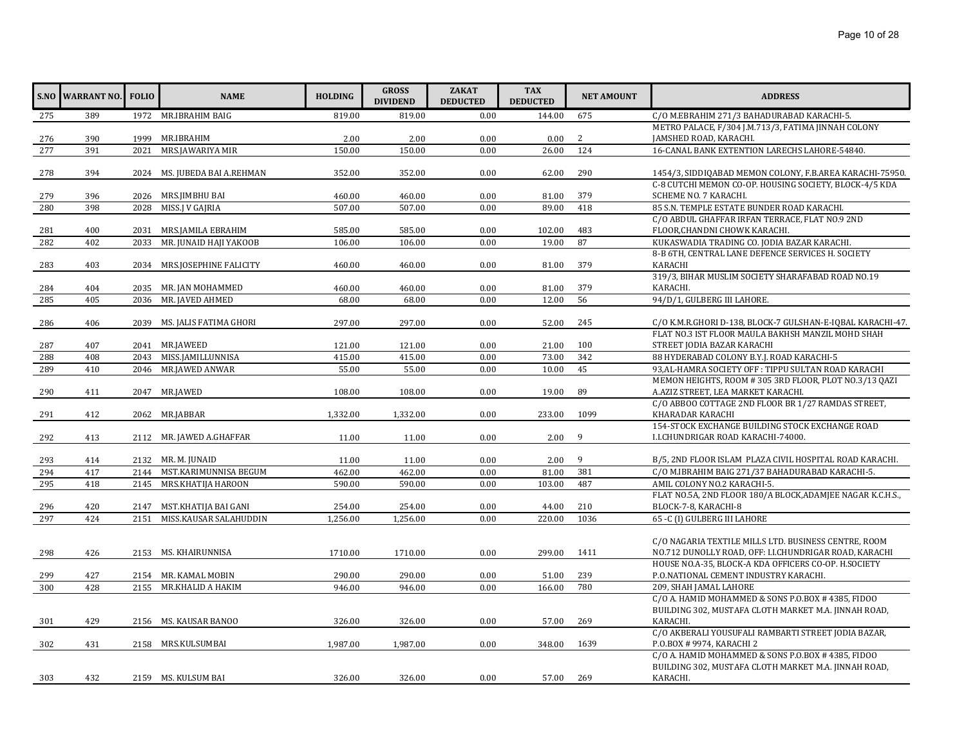|     | <b>S.NO WARRANT NO.</b> | <b>FOLIO</b> | <b>NAME</b>                  | <b>HOLDING</b> | <b>GROSS</b><br><b>DIVIDEND</b> | <b>ZAKAT</b><br><b>DEDUCTED</b> | <b>TAX</b><br><b>DEDUCTED</b> | <b>NET AMOUNT</b> | <b>ADDRESS</b>                                             |
|-----|-------------------------|--------------|------------------------------|----------------|---------------------------------|---------------------------------|-------------------------------|-------------------|------------------------------------------------------------|
| 275 | 389                     |              | 1972 MR.IBRAHIM BAIG         | 819.00         | 819.00                          | 0.00                            | 144.00                        | 675               | C/O M.EBRAHIM 271/3 BAHADURABAD KARACHI-5.                 |
|     |                         |              |                              |                |                                 |                                 |                               |                   | METRO PALACE, F/304 J.M.713/3, FATIMA JINNAH COLONY        |
| 276 | 390                     | 1999         | MR.IBRAHIM                   | 2.00           | 2.00                            | 0.00                            | 0.00                          | 2                 | JAMSHED ROAD, KARACHI.                                     |
| 277 | 391                     | 2021         | MRS.JAWARIYA MIR             | 150.00         | 150.00                          | 0.00                            | 26.00                         | 124               | 16-CANAL BANK EXTENTION LARECHS LAHORE-54840.              |
|     |                         |              |                              |                |                                 |                                 |                               |                   |                                                            |
| 278 | 394                     |              | 2024 MS. JUBEDA BAI A.REHMAN | 352.00         | 352.00                          | 0.00                            | 62.00                         | 290               | 1454/3, SIDDIQABAD MEMON COLONY, F.B.AREA KARACHI-75950.   |
|     |                         |              |                              |                |                                 |                                 |                               |                   | C-8 CUTCHI MEMON CO-OP. HOUSING SOCIETY, BLOCK-4/5 KDA     |
| 279 | 396                     |              | 2026 MRS.JIMBHU BAI          | 460.00         | 460.00                          | 0.00                            | 81.00                         | 379               | SCHEME NO. 7 KARACHI.                                      |
| 280 | 398                     | 2028         | MISS.J V GAJRIA              | 507.00         | 507.00                          | 0.00                            | 89.00                         | 418               | 85 S.N. TEMPLE ESTATE BUNDER ROAD KARACHI.                 |
|     |                         |              |                              |                |                                 |                                 |                               |                   | C/O ABDUL GHAFFAR IRFAN TERRACE, FLAT NO.9 2ND             |
| 281 | 400                     | 2031         | MRS.JAMILA EBRAHIM           | 585.00         | 585.00                          | 0.00                            | 102.00                        | 483               | FLOOR, CHANDNI CHOWK KARACHI.                              |
| 282 | 402                     | 2033         | MR. JUNAID HAJI YAKOOB       | 106.00         | 106.00                          | 0.00                            | 19.00                         | 87                | KUKASWADIA TRADING CO. JODIA BAZAR KARACHI.                |
|     |                         |              |                              |                |                                 |                                 |                               |                   | 8-B 6TH, CENTRAL LANE DEFENCE SERVICES H. SOCIETY          |
| 283 | 403                     |              | 2034 MRS.JOSEPHINE FALICITY  | 460.00         | 460.00                          | 0.00                            | 81.00                         | 379               | <b>KARACHI</b>                                             |
|     |                         |              |                              |                |                                 |                                 |                               |                   | 319/3, BIHAR MUSLIM SOCIETY SHARAFABAD ROAD NO.19          |
| 284 | 404                     |              | 2035 MR. JAN MOHAMMED        | 460.00         | 460.00                          | 0.00                            | 81.00                         | 379               | KARACHI.                                                   |
| 285 | 405                     | 2036         | MR. JAVED AHMED              | 68.00          | 68.00                           | 0.00                            | 12.00                         | 56                | 94/D/1, GULBERG III LAHORE.                                |
|     |                         |              |                              |                |                                 |                                 |                               |                   |                                                            |
| 286 | 406                     | 2039         | MS. JALIS FATIMA GHORI       | 297.00         | 297.00                          | 0.00                            | 52.00                         | 245               | C/O K.M.R.GHORI D-138, BLOCK-7 GULSHAN-E-IQBAL KARACHI-47. |
|     |                         |              |                              |                |                                 |                                 |                               |                   | FLAT NO.3 IST FLOOR MAULA BAKHSH MANZIL MOHD SHAH          |
| 287 | 407                     |              | 2041 MR.JAWEED               | 121.00         | 121.00                          | 0.00                            | 21.00                         | 100               | STREET JODIA BAZAR KARACHI                                 |
| 288 | 408                     |              | 2043 MISS.JAMILLUNNISA       | 415.00         | 415.00                          | 0.00                            | 73.00                         | 342               | 88 HYDERABAD COLONY B.Y.J. ROAD KARACHI-5                  |
| 289 | 410                     | 2046         | MR.JAWED ANWAR               | 55.00          | 55.00                           | 0.00                            | 10.00                         | 45                | 93, AL-HAMRA SOCIETY OFF: TIPPU SULTAN ROAD KARACHI        |
|     |                         |              |                              |                |                                 |                                 |                               |                   | MEMON HEIGHTS, ROOM #305 3RD FLOOR, PLOT NO.3/13 QAZI      |
| 290 | 411                     |              | 2047 MR.JAWED                | 108.00         | 108.00                          | 0.00                            | 19.00                         | 89                | A.AZIZ STREET, LEA MARKET KARACHI.                         |
|     |                         |              |                              |                |                                 |                                 |                               |                   | C/O ABBOO COTTAGE 2ND FLOOR BR 1/27 RAMDAS STREET,         |
| 291 | 412                     |              | 2062 MR.JABBAR               | 1,332.00       | 1,332.00                        | 0.00                            | 233.00                        | 1099              | KHARADAR KARACHI                                           |
|     |                         |              |                              |                |                                 |                                 |                               |                   | 154-STOCK EXCHANGE BUILDING STOCK EXCHANGE ROAD            |
| 292 | 413                     |              | 2112 MR. JAWED A.GHAFFAR     | 11.00          | 11.00                           | 0.00                            | 2.00                          | 9                 | I.I.CHUNDRIGAR ROAD KARACHI-74000.                         |
| 293 | 414                     |              | 2132 MR. M. JUNAID           | 11.00          | 11.00                           | 0.00                            | 2.00                          | 9                 | B/5, 2ND FLOOR ISLAM PLAZA CIVIL HOSPITAL ROAD KARACHI.    |
| 294 | 417                     |              | 2144 MST.KARIMUNNISA BEGUM   | 462.00         | 462.00                          | 0.00                            | 81.00                         | 381               | C/O M.IBRAHIM BAIG 271/37 BAHADURABAD KARACHI-5.           |
| 295 | 418                     |              | 2145 MRS.KHATIJA HAROON      | 590.00         | 590.00                          | 0.00                            | 103.00                        | 487               | AMIL COLONY NO.2 KARACHI-5.                                |
|     |                         |              |                              |                |                                 |                                 |                               |                   | FLAT NO.5A, 2ND FLOOR 180/A BLOCK, ADAMIEE NAGAR K.C.H.S., |
| 296 | 420                     | 2147         | MST.KHATIJA BAI GANI         | 254.00         | 254.00                          | 0.00                            | 44.00                         | 210               | BLOCK-7-8, KARACHI-8                                       |
| 297 | 424                     | 2151         | MISS.KAUSAR SALAHUDDIN       | 1,256.00       | 1,256.00                        | 0.00                            | 220.00                        | 1036              | 65 -C (I) GULBERG III LAHORE                               |
|     |                         |              |                              |                |                                 |                                 |                               |                   |                                                            |
|     |                         |              |                              |                |                                 |                                 |                               |                   | C/O NAGARIA TEXTILE MILLS LTD. BUSINESS CENTRE, ROOM       |
| 298 | 426                     |              | 2153 MS. KHAIRUNNISA         | 1710.00        | 1710.00                         | 0.00                            | 299.00                        | 1411              | NO.712 DUNOLLY ROAD, OFF: I.I.CHUNDRIGAR ROAD, KARACHI     |
|     |                         |              |                              |                |                                 |                                 |                               |                   | HOUSE NO.A-35, BLOCK-A KDA OFFICERS CO-OP. H.SOCIETY       |
| 299 | 427                     |              | 2154 MR. KAMAL MOBIN         | 290.00         | 290.00                          | 0.00                            | 51.00                         | 239               | P.O.NATIONAL CEMENT INDUSTRY KARACHI.                      |
| 300 | 428                     |              | 2155 MR.KHALID A HAKIM       | 946.00         | 946.00                          | 0.00                            | 166.00                        | 780               | 209, SHAH JAMAL LAHORE                                     |
|     |                         |              |                              |                |                                 |                                 |                               |                   | C/O A. HAMID MOHAMMED & SONS P.O.BOX # 4385, FIDOO         |
|     |                         |              |                              |                |                                 |                                 |                               |                   | BUILDING 302, MUSTAFA CLOTH MARKET M.A. JINNAH ROAD,       |
| 301 | 429                     |              | 2156 MS. KAUSAR BANOO        | 326.00         | 326.00                          | 0.00                            | 57.00                         | 269               | KARACHI.                                                   |
|     |                         |              |                              |                |                                 |                                 |                               |                   | C/O AKBERALI YOUSUFALI RAMBARTI STREET JODIA BAZAR,        |
| 302 | 431                     |              | 2158 MRS.KULSUMBAI           | 1,987.00       | 1,987.00                        | 0.00                            | 348.00                        | 1639              | P.O.BOX # 9974, KARACHI 2                                  |
|     |                         |              |                              |                |                                 |                                 |                               |                   | C/O A. HAMID MOHAMMED & SONS P.O.BOX # 4385, FIDOO         |
|     |                         |              |                              |                |                                 |                                 |                               |                   | BUILDING 302, MUSTAFA CLOTH MARKET M.A. JINNAH ROAD,       |
| 303 | 432                     |              | 2159 MS. KULSUM BAI          | 326.00         | 326.00                          | 0.00                            | 57.00                         | 269               | KARACHI.                                                   |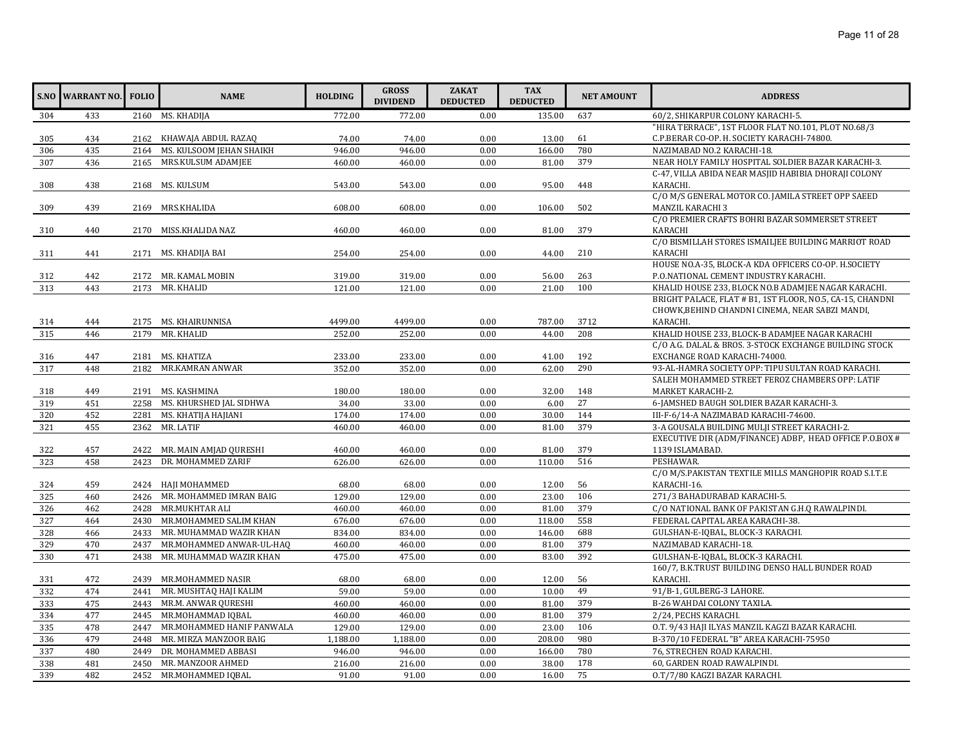|     | S.NO WARRANT NO. FOLIO |      | <b>NAME</b>                  | <b>HOLDING</b> | <b>GROSS</b><br><b>DIVIDEND</b> | <b>ZAKAT</b><br><b>DEDUCTED</b> | <b>TAX</b><br><b>DEDUCTED</b> | <b>NET AMOUNT</b> | <b>ADDRESS</b>                                                   |
|-----|------------------------|------|------------------------------|----------------|---------------------------------|---------------------------------|-------------------------------|-------------------|------------------------------------------------------------------|
| 304 | 433                    |      | 2160 MS. KHADIJA             | 772.00         | 772.00                          | 0.00                            | 135.00                        | 637               | 60/2, SHIKARPUR COLONY KARACHI-5.                                |
|     |                        |      |                              |                |                                 |                                 |                               |                   | "HIRA TERRACE", 1ST FLOOR FLAT NO.101, PLOT NO.68/3              |
| 305 | 434                    |      | 2162 KHAWAJA ABDUL RAZAO     | 74.00          | 74.00                           | 0.00                            | 13.00                         | 61                | C.P.BERAR CO-OP. H. SOCIETY KARACHI-74800.                       |
| 306 | 435                    | 2164 | MS. KULSOOM JEHAN SHAIKH     | 946.00         | 946.00                          | 0.00                            | 166.00                        | 780               | NAZIMABAD NO.2 KARACHI-18.                                       |
| 307 | 436                    |      | 2165 MRS.KULSUM ADAMJEE      | 460.00         | 460.00                          | 0.00                            | 81.00                         | 379               | NEAR HOLY FAMILY HOSPITAL SOLDIER BAZAR KARACHI-3.               |
| 308 | 438                    |      | 2168 MS. KULSUM              | 543.00         | 543.00                          | 0.00                            | 95.00                         | 448               | C-47, VILLA ABIDA NEAR MASJID HABIBIA DHORAJI COLONY<br>KARACHI. |
|     |                        |      |                              |                |                                 |                                 |                               |                   | C/O M/S GENERAL MOTOR CO. JAMILA STREET OPP SAEED                |
| 309 | 439                    |      | 2169 MRS.KHALIDA             | 608.00         | 608.00                          | 0.00                            | 106.00                        | 502               | MANZIL KARACHI 3                                                 |
|     |                        |      |                              |                |                                 |                                 |                               |                   | C/O PREMIER CRAFTS BOHRI BAZAR SOMMERSET STREET                  |
| 310 | 440                    |      | 2170 MISS.KHALIDA NAZ        | 460.00         | 460.00                          | 0.00                            | 81.00                         | 379               | <b>KARACHI</b>                                                   |
|     |                        |      |                              |                |                                 |                                 |                               |                   | C/O BISMILLAH STORES ISMAILJEE BUILDING MARRIOT ROAD             |
| 311 | 441                    |      | 2171 MS. KHADIJA BAI         | 254.00         | 254.00                          | 0.00                            | 44.00                         | 210               | KARACHI                                                          |
|     |                        |      |                              |                |                                 |                                 |                               |                   | HOUSE NO.A-35, BLOCK-A KDA OFFICERS CO-OP. H.SOCIETY             |
| 312 | 442                    |      | 2172 MR. KAMAL MOBIN         | 319.00         | 319.00                          | 0.00                            | 56.00                         | 263               | P.O.NATIONAL CEMENT INDUSTRY KARACHI.                            |
| 313 | 443                    |      | 2173 MR. KHALID              | 121.00         | 121.00                          | 0.00                            | 21.00                         | 100               | KHALID HOUSE 233, BLOCK NO.B ADAMJEE NAGAR KARACHI.              |
|     |                        |      |                              |                |                                 |                                 |                               |                   | BRIGHT PALACE, FLAT # B1, 1ST FLOOR, NO.5, CA-15, CHANDNI        |
|     |                        |      |                              |                |                                 |                                 |                               |                   | CHOWK, BEHIND CHANDNI CINEMA, NEAR SABZI MANDI,                  |
| 314 | 444                    |      | 2175 MS. KHAIRUNNISA         | 4499.00        | 4499.00                         | 0.00                            | 787.00                        | 3712              | KARACHI.                                                         |
| 315 | 446                    | 2179 | MR. KHALID                   | 252.00         | 252.00                          | 0.00                            | 44.00                         | 208               | KHALID HOUSE 233, BLOCK-B ADAMJEE NAGAR KARACHI                  |
|     |                        |      |                              |                |                                 |                                 |                               |                   | C/O A.G. DALAL & BROS. 3-STOCK EXCHANGE BUILDING STOCK           |
| 316 | 447                    |      | 2181 MS. KHATIZA             | 233.00         | 233.00                          | 0.00                            | 41.00                         | 192               | EXCHANGE ROAD KARACHI-74000.                                     |
| 317 | 448                    |      | 2182 MR.KAMRAN ANWAR         | 352.00         | 352.00                          | 0.00                            | 62.00                         | 290               | 93-AL-HAMRA SOCIETY OPP: TIPU SULTAN ROAD KARACHI.               |
|     |                        |      |                              |                |                                 |                                 |                               |                   | SALEH MOHAMMED STREET FEROZ CHAMBERS OPP: LATIF                  |
| 318 | 449                    |      | 2191 MS. KASHMINA            | 180.00         | 180.00                          | 0.00                            | 32.00                         | 148               | MARKET KARACHI-2.                                                |
| 319 | 451                    | 2258 | MS. KHURSHED JAL SIDHWA      | 34.00          | 33.00                           | 0.00                            | 6.00                          | 27                | 6-JAMSHED BAUGH SOLDIER BAZAR KARACHI-3.                         |
| 320 | 452                    | 2281 | MS. KHATIJA HAJIANI          | 174.00         | 174.00                          | 0.00                            | 30.00                         | 144               | III-F-6/14-A NAZIMABAD KARACHI-74600.                            |
| 321 | 455                    | 2362 | MR. LATIF                    | 460.00         | 460.00                          | 0.00                            | 81.00                         | 379               | 3-A GOUSALA BUILDING MULJI STREET KARACHI-2.                     |
|     |                        |      |                              |                |                                 |                                 |                               |                   | EXECUTIVE DIR (ADM/FINANCE) ADBP, HEAD OFFICE P.O.BOX #          |
| 322 | 457                    |      | 2422 MR. MAIN AMJAD QURESHI  | 460.00         | 460.00                          | 0.00                            | 81.00                         | 379               | 1139 ISLAMABAD.                                                  |
| 323 | 458                    | 2423 | DR. MOHAMMED ZARIF           | 626.00         | 626.00                          | 0.00                            | 110.00                        | 516               | PESHAWAR.                                                        |
|     |                        |      |                              |                |                                 |                                 |                               |                   | C/O M/S.PAKISTAN TEXTILE MILLS MANGHOPIR ROAD S.I.T.E            |
| 324 | 459                    |      | 2424 HAJI MOHAMMED           | 68.00          | 68.00                           | 0.00                            | 12.00                         | 56                | KARACHI-16.                                                      |
| 325 | 460                    |      | 2426 MR. MOHAMMED IMRAN BAIG | 129.00         | 129.00                          | 0.00                            | 23.00                         | 106               | 271/3 BAHADURABAD KARACHI-5.                                     |
| 326 | 462                    |      | 2428 MR.MUKHTAR ALI          | 460.00         | 460.00                          | 0.00                            | 81.00                         | 379               | C/O NATIONAL BANK OF PAKISTAN G.H.Q RAWALPINDI.                  |
| 327 | 464                    | 2430 | MR.MOHAMMED SALIM KHAN       | 676.00         | 676.00                          | 0.00                            | 118.00                        | 558               | FEDERAL CAPITAL AREA KARACHI-38.                                 |
| 328 | 466                    |      | 2433 MR. MUHAMMAD WAZIR KHAN | 834.00         | 834.00                          | 0.00                            | 146.00                        | 688               | GULSHAN-E-IOBAL, BLOCK-3 KARACHI.                                |
| 329 | 470                    | 2437 | MR.MOHAMMED ANWAR-UL-HAQ     | 460.00         | 460.00                          | 0.00                            | 81.00                         | 379               | NAZIMABAD KARACHI-18.                                            |
| 330 | 471                    | 2438 | MR. MUHAMMAD WAZIR KHAN      | 475.00         | 475.00                          | 0.00                            | 83.00                         | 392               | GULSHAN-E-IQBAL, BLOCK-3 KARACHI.                                |
|     |                        |      |                              |                |                                 |                                 |                               |                   | 160/7, B.K.TRUST BUILDING DENSO HALL BUNDER ROAD                 |
| 331 | 472                    |      | 2439 MR.MOHAMMED NASIR       | 68.00          | 68.00                           | 0.00                            | 12.00                         | 56                | KARACHI.                                                         |
| 332 | 474                    | 2441 | MR. MUSHTAQ HAJI KALIM       | 59.00          | 59.00                           | 0.00                            | 10.00                         | 49                | 91/B-1, GULBERG-3 LAHORE.                                        |
| 333 | 475                    |      | 2443 MR.M. ANWAR QURESHI     | 460.00         | 460.00                          | 0.00                            | 81.00                         | 379               | B-26 WAHDAI COLONY TAXILA.                                       |
| 334 | 477                    | 2445 | MR.MOHAMMAD IOBAL            | 460.00         | 460.00                          | 0.00                            | 81.00                         | 379               | 2/24, PECHS KARACHI.                                             |
| 335 | 478                    | 2447 | MR.MOHAMMED HANIF PANWALA    | 129.00         | 129.00                          | 0.00                            | 23.00                         | 106               | O.T. 9/43 HAJI ILYAS MANZIL KAGZI BAZAR KARACHI.                 |
| 336 | 479                    | 2448 | MR. MIRZA MANZOOR BAIG       | 1,188.00       | 1,188.00                        | 0.00                            | 208.00                        | 980               | B-370/10 FEDERAL "B" AREA KARACHI-75950                          |
| 337 | 480                    | 2449 | DR. MOHAMMED ABBASI          | 946.00         | 946.00                          | 0.00                            | 166.00                        | 780               | 76, STRECHEN ROAD KARACHI.                                       |
| 338 | 481                    | 2450 | MR. MANZOOR AHMED            | 216.00         | 216.00                          | 0.00                            | 38.00                         | 178               | 60, GARDEN ROAD RAWALPINDI.                                      |
| 339 | 482                    |      | 2452 MR.MOHAMMED IQBAL       | 91.00          | 91.00                           | 0.00                            | 16.00                         | 75                | O.T/7/80 KAGZI BAZAR KARACHI.                                    |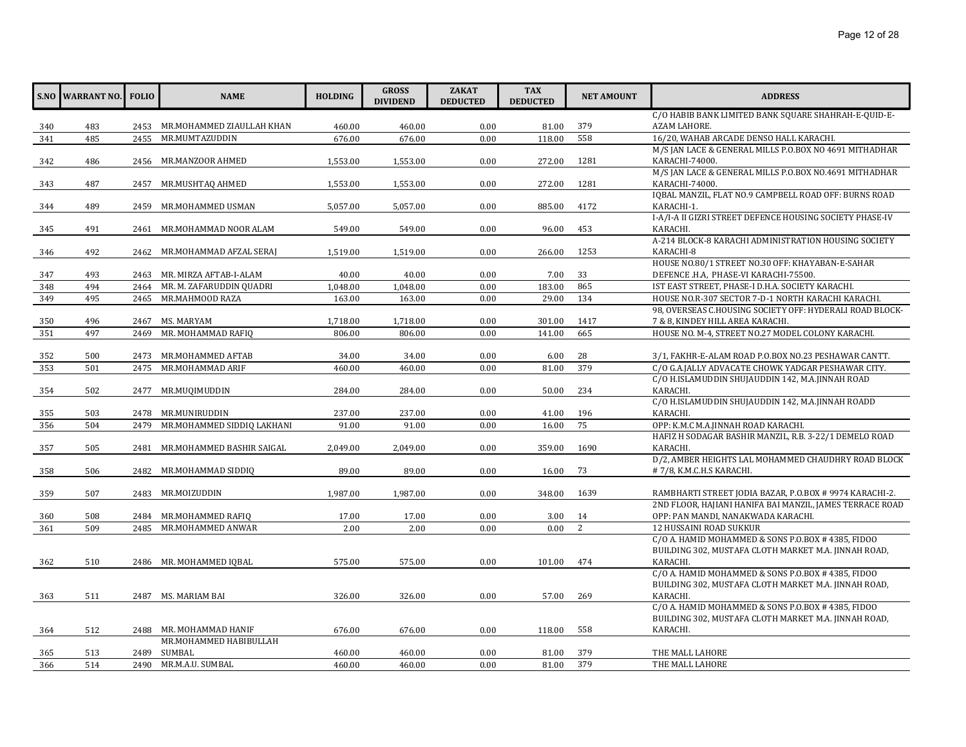|     | <b>S.NO WARRANT NO.</b> | <b>FOLIO</b> | <b>NAME</b>                    | <b>HOLDING</b> | <b>GROSS</b><br><b>DIVIDEND</b> | <b>ZAKAT</b><br><b>DEDUCTED</b> | <b>TAX</b><br><b>DEDUCTED</b> | <b>NET AMOUNT</b> | <b>ADDRESS</b>                                           |
|-----|-------------------------|--------------|--------------------------------|----------------|---------------------------------|---------------------------------|-------------------------------|-------------------|----------------------------------------------------------|
|     |                         |              |                                |                |                                 |                                 |                               |                   | C/O HABIB BANK LIMITED BANK SQUARE SHAHRAH-E-QUID-E-     |
| 340 | 483                     |              | 2453 MR.MOHAMMED ZIAULLAH KHAN | 460.00         | 460.00                          | 0.00                            | 81.00                         | 379               | AZAM LAHORE.                                             |
| 341 | 485                     | 2455         | MR.MUMTAZUDDIN                 | 676.00         | 676.00                          | 0.00                            | 118.00                        | 558               | 16/20, WAHAB ARCADE DENSO HALL KARACHI.                  |
|     |                         |              |                                |                |                                 |                                 |                               |                   | M/S JAN LACE & GENERAL MILLS P.O.BOX NO 4691 MITHADHAR   |
| 342 | 486                     |              | 2456 MR.MANZOOR AHMED          | 1,553.00       | 1,553.00                        | 0.00                            | 272.00                        | 1281              | KARACHI-74000.                                           |
|     |                         |              |                                |                |                                 |                                 |                               |                   | M/S JAN LACE & GENERAL MILLS P.O.BOX NO.4691 MITHADHAR   |
| 343 | 487                     |              | 2457 MR.MUSHTAQ AHMED          | 1,553.00       | 1,553.00                        | 0.00                            | 272.00                        | 1281              | KARACHI-74000.                                           |
|     |                         |              |                                |                |                                 |                                 |                               |                   | IQBAL MANZIL, FLAT NO.9 CAMPBELL ROAD OFF: BURNS ROAD    |
| 344 | 489                     |              | 2459 MR.MOHAMMED USMAN         | 5,057.00       | 5,057.00                        | 0.00                            | 885.00                        | 4172              | KARACHI-1.                                               |
|     |                         |              |                                |                |                                 |                                 |                               |                   | I-A/I-A II GIZRI STREET DEFENCE HOUSING SOCIETY PHASE-IV |
| 345 | 491                     |              | 2461 MR.MOHAMMAD NOOR ALAM     | 549.00         | 549.00                          | 0.00                            | 96.00                         | 453               | KARACHI.                                                 |
|     |                         |              |                                |                |                                 |                                 |                               |                   | A-214 BLOCK-8 KARACHI ADMINISTRATION HOUSING SOCIETY     |
| 346 | 492                     |              | 2462 MR.MOHAMMAD AFZAL SERAJ   | 1,519.00       | 1,519.00                        | 0.00                            | 266.00                        | 1253              | KARACHI-8                                                |
|     |                         |              |                                |                |                                 |                                 |                               |                   | HOUSE NO.80/1 STREET NO.30 OFF: KHAYABAN-E-SAHAR         |
| 347 | 493                     |              | 2463 MR. MIRZA AFTAB-I-ALAM    | 40.00          | 40.00                           | 0.00                            | 7.00                          | 33                | DEFENCE .H.A, PHASE-VI KARACHI-75500.                    |
| 348 | 494                     |              | 2464 MR. M. ZAFARUDDIN QUADRI  | 1,048.00       | 1,048.00                        | 0.00                            | 183.00                        | 865               | IST EAST STREET, PHASE-I D.H.A. SOCIETY KARACHI.         |
| 349 | 495                     | 2465         | MR.MAHMOOD RAZA                | 163.00         | 163.00                          | 0.00                            | 29.00                         | 134               | HOUSE NO.R-307 SECTOR 7-D-1 NORTH KARACHI KARACHI.       |
|     |                         |              |                                |                |                                 |                                 |                               |                   | 98, OVERSEAS C.HOUSING SOCIETY OFF: HYDERALI ROAD BLOCK- |
| 350 | 496                     |              | 2467 MS. MARYAM                | 1,718.00       | 1,718.00                        | 0.00                            | 301.00                        | 1417              | 7 & 8, KINDEY HILL AREA KARACHI.                         |
| 351 | 497                     | 2469         | MR. MOHAMMAD RAFIQ             | 806.00         | 806.00                          | 0.00                            | 141.00                        | 665               | HOUSE NO. M-4, STREET NO.27 MODEL COLONY KARACHI.        |
| 352 | 500                     | 2473         | MR.MOHAMMED AFTAB              | 34.00          | 34.00                           | 0.00                            | 6.00                          | 28                | 3/1, FAKHR-E-ALAM ROAD P.O.BOX NO.23 PESHAWAR CANTT.     |
| 353 | 501                     |              | 2475 MR.MOHAMMAD ARIF          | 460.00         | 460.00                          | 0.00                            | 81.00                         | 379               | C/O G.A. JALLY ADVACATE CHOWK YADGAR PESHAWAR CITY.      |
|     |                         |              |                                |                |                                 |                                 |                               |                   | C/O H.ISLAMUDDIN SHUJAUDDIN 142, M.A.JINNAH ROAD         |
| 354 | 502                     |              | 2477 MR.MUQIMUDDIN             | 284.00         | 284.00                          | 0.00                            | 50.00                         | 234               | KARACHI.                                                 |
|     |                         |              |                                |                |                                 |                                 |                               |                   | C/O H.ISLAMUDDIN SHUJAUDDIN 142, M.A.JINNAH ROADD        |
| 355 | 503                     | 2478         | MR.MUNIRUDDIN                  | 237.00         | 237.00                          | 0.00                            | 41.00                         | 196               | KARACHI.                                                 |
| 356 | 504                     | 2479         | MR.MOHAMMED SIDDIQ LAKHANI     | 91.00          | 91.00                           | 0.00                            | 16.00                         | 75                | OPP: K.M.C M.A.JINNAH ROAD KARACHI.                      |
|     |                         |              |                                |                |                                 |                                 |                               |                   | HAFIZ H SODAGAR BASHIR MANZIL, R.B. 3-22/1 DEMELO ROAD   |
| 357 | 505                     | 2481         | MR.MOHAMMED BASHIR SAIGAL      | 2,049.00       | 2,049.00                        | 0.00                            | 359.00                        | 1690              | KARACHI.                                                 |
|     |                         |              |                                |                |                                 |                                 |                               |                   | D/2, AMBER HEIGHTS LAL MOHAMMED CHAUDHRY ROAD BLOCK      |
| 358 | 506                     |              | 2482 MR.MOHAMMAD SIDDIQ        | 89.00          | 89.00                           | 0.00                            | 16.00                         | 73                | #7/8, K.M.C.H.S KARACHI.                                 |
|     |                         |              |                                |                |                                 |                                 |                               |                   |                                                          |
| 359 | 507                     |              | 2483 MR.MOIZUDDIN              | 1,987.00       | 1,987.00                        | 0.00                            | 348.00                        | 1639              | RAMBHARTI STREET JODIA BAZAR, P.O.BOX # 9974 KARACHI-2.  |
|     |                         |              |                                |                |                                 |                                 |                               |                   | 2ND FLOOR, HAJIANI HANIFA BAI MANZIL, JAMES TERRACE ROAD |
| 360 | 508                     |              | 2484 MR.MOHAMMED RAFIO         | 17.00          | 17.00                           | 0.00                            | 3.00                          | 14                | OPP: PAN MANDI, NANAKWADA KARACHI.                       |
| 361 | 509                     | 2485         | MR.MOHAMMED ANWAR              | 2.00           | 2.00                            | 0.00                            | 0.00                          | 2                 | <b>12 HUSSAINI ROAD SUKKUR</b>                           |
|     |                         |              |                                |                |                                 |                                 |                               |                   | C/O A. HAMID MOHAMMED & SONS P.O.BOX # 4385, FIDOO       |
|     |                         |              |                                |                |                                 |                                 |                               |                   | BUILDING 302, MUSTAFA CLOTH MARKET M.A. JINNAH ROAD,     |
| 362 | 510                     |              | 2486 MR. MOHAMMED IQBAL        | 575.00         | 575.00                          | 0.00                            | 101.00                        | 474               | KARACHI.                                                 |
|     |                         |              |                                |                |                                 |                                 |                               |                   | C/O A. HAMID MOHAMMED & SONS P.O.BOX #4385, FIDOO        |
|     |                         |              |                                |                |                                 |                                 |                               |                   | BUILDING 302, MUSTAFA CLOTH MARKET M.A. JINNAH ROAD,     |
| 363 | 511                     |              | 2487 MS. MARIAM BAI            | 326.00         | 326.00                          | 0.00                            | 57.00                         | 269               | KARACHI.                                                 |
|     |                         |              |                                |                |                                 |                                 |                               |                   | C/O A. HAMID MOHAMMED & SONS P.O.BOX #4385, FIDOO        |
|     |                         |              |                                |                |                                 |                                 |                               |                   | BUILDING 302, MUSTAFA CLOTH MARKET M.A. JINNAH ROAD,     |
| 364 | 512                     |              | 2488 MR. MOHAMMAD HANIF        | 676.00         | 676.00                          | 0.00                            | 118.00                        | 558               | KARACHI.                                                 |
|     |                         |              | MR.MOHAMMED HABIBULLAH         |                |                                 |                                 |                               |                   |                                                          |
| 365 | 513                     | 2489         | SUMBAL                         | 460.00         | 460.00                          | 0.00                            | 81.00                         | 379               | THE MALL LAHORE                                          |
| 366 | 514                     |              | 2490 MR.M.A.U. SUMBAL          | 460.00         | 460.00                          | 0.00                            | 81.00                         | 379               | THE MALL LAHORE                                          |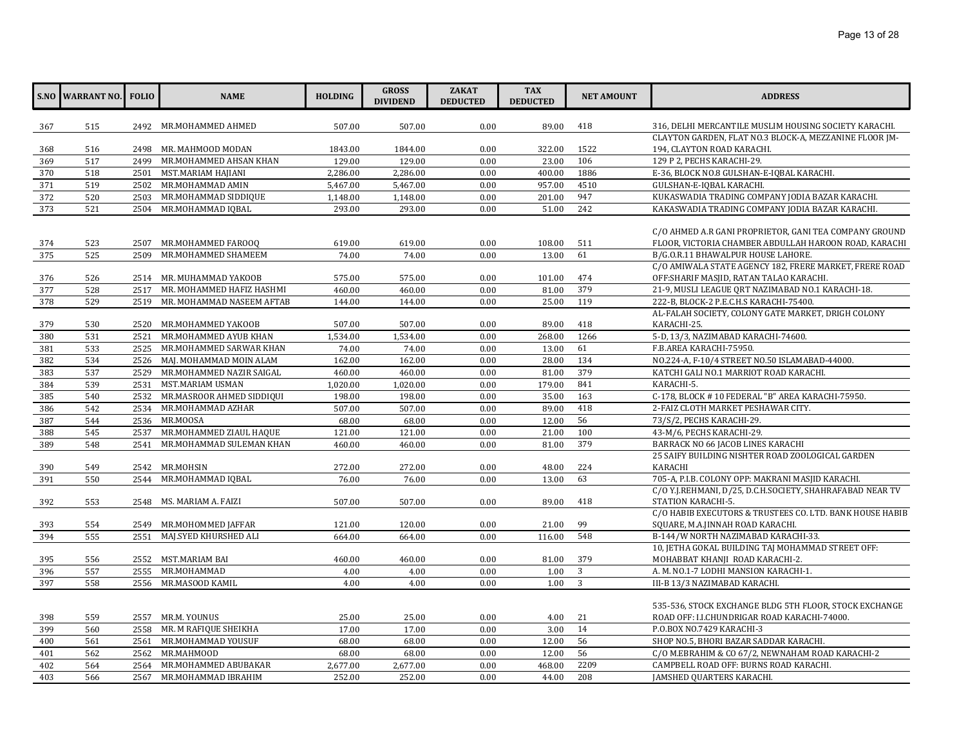|     | <b>S.NO WARRANT NO.</b> | <b>FOLIO</b> | <b>NAME</b>                    | <b>HOLDING</b> | <b>GROSS</b><br><b>DIVIDEND</b> | <b>ZAKAT</b><br><b>DEDUCTED</b> | <b>TAX</b><br><b>DEDUCTED</b> | <b>NET AMOUNT</b> | <b>ADDRESS</b>                                            |
|-----|-------------------------|--------------|--------------------------------|----------------|---------------------------------|---------------------------------|-------------------------------|-------------------|-----------------------------------------------------------|
| 367 | 515                     |              | 2492 MR.MOHAMMED AHMED         | 507.00         | 507.00                          | 0.00                            | 89.00                         | 418               | 316, DELHI MERCANTILE MUSLIM HOUSING SOCIETY KARACHI.     |
|     |                         |              |                                |                |                                 |                                 |                               |                   | CLAYTON GARDEN, FLAT NO.3 BLOCK-A, MEZZANINE FLOOR JM-    |
| 368 | 516                     |              | 2498 MR. MAHMOOD MODAN         | 1843.00        | 1844.00                         | 0.00                            | 322.00                        | 1522              | 194, CLAYTON ROAD KARACHI.                                |
| 369 | 517                     | 2499         | MR.MOHAMMED AHSAN KHAN         | 129.00         | 129.00                          | 0.00                            | 23.00                         | 106               | 129 P 2, PECHS KARACHI-29.                                |
| 370 | 518                     | 2501         | MST.MARIAM HAJIANI             | 2,286.00       | 2,286.00                        | 0.00                            | 400.00                        | 1886              | E-36, BLOCK NO.8 GULSHAN-E-IQBAL KARACHI.                 |
| 371 | 519                     | 2502         | MR.MOHAMMAD AMIN               | 5,467.00       | 5,467.00                        | 0.00                            | 957.00                        | 4510              | GULSHAN-E-IQBAL KARACHI.                                  |
| 372 | 520                     | 2503         | MR.MOHAMMAD SIDDIQUE           | 1,148.00       | 1,148.00                        | 0.00                            | 201.00                        | 947               | KUKASWADIA TRADING COMPANY JODIA BAZAR KARACHI.           |
| 373 | 521                     | 2504         | MR.MOHAMMAD IOBAL              | 293.00         | 293.00                          | 0.00                            | 51.00                         | 242               | KAKASWADIA TRADING COMPANY JODIA BAZAR KARACHI.           |
|     |                         |              |                                |                |                                 |                                 |                               |                   |                                                           |
|     |                         |              |                                |                |                                 |                                 |                               |                   | C/O AHMED A.R GANI PROPRIETOR, GANI TEA COMPANY GROUND    |
| 374 | 523                     |              | 2507 MR.MOHAMMED FAROOQ        | 619.00         | 619.00                          | 0.00                            | 108.00                        | 511               | FLOOR, VICTORIA CHAMBER ABDULLAH HAROON ROAD, KARACHI     |
| 375 | 525                     | 2509         | MR.MOHAMMED SHAMEEM            | 74.00          | 74.00                           | 0.00                            | 13.00                         | 61                | B/G.O.R.11 BHAWALPUR HOUSE LAHORE.                        |
|     |                         |              |                                |                |                                 |                                 |                               |                   | C/O AMIWALA STATE AGENCY 182, FRERE MARKET, FRERE ROAD    |
| 376 | 526                     |              | 2514 MR. MUHAMMAD YAKOOB       | 575.00         | 575.00                          | 0.00                            | 101.00                        | 474               | OFF: SHARIF MASJID, RATAN TALAO KARACHI.                  |
| 377 | 528                     | 2517         | MR. MOHAMMED HAFIZ HASHMI      | 460.00         | 460.00                          | 0.00                            | 81.00                         | 379               | 21-9, MUSLI LEAGUE QRT NAZIMABAD NO.1 KARACHI-18.         |
| 378 | 529                     | 2519         | MR. MOHAMMAD NASEEM AFTAB      | 144.00         | 144.00                          | 0.00                            | 25.00                         | 119               | 222-B, BLOCK-2 P.E.C.H.S KARACHI-75400.                   |
|     |                         |              |                                |                |                                 |                                 |                               |                   | AL-FALAH SOCIETY, COLONY GATE MARKET, DRIGH COLONY        |
| 379 | 530                     |              | 2520 MR.MOHAMMED YAKOOB        | 507.00         | 507.00                          | 0.00                            | 89.00                         | 418               | KARACHI-25.                                               |
| 380 | 531                     | 2521         | MR.MOHAMMED AYUB KHAN          | 1,534.00       | 1,534.00                        | 0.00                            | 268.00                        | 1266              | 5-D, 13/3, NAZIMABAD KARACHI-74600.                       |
| 381 | 533                     |              | 2525 MR.MOHAMMED SARWAR KHAN   | 74.00          | 74.00                           | 0.00                            | 13.00                         | 61                | F.B.AREA KARACHI-75950.                                   |
| 382 | 534                     |              | 2526 MAJ. MOHAMMAD MOIN ALAM   | 162.00         | 162.00                          | 0.00                            | 28.00                         | 134               | NO.224-A, F-10/4 STREET NO.50 ISLAMABAD-44000.            |
| 383 | 537                     |              | 2529 MR.MOHAMMED NAZIR SAIGAL  | 460.00         | 460.00                          | 0.00                            | 81.00                         | 379               | KATCHI GALI NO.1 MARRIOT ROAD KARACHI.                    |
| 384 | 539                     | 2531         | MST.MARIAM USMAN               | 1,020.00       | 1,020.00                        | 0.00                            | 179.00                        | 841               | KARACHI-5.                                                |
| 385 | 540                     |              | 2532 MR.MASROOR AHMED SIDDIQUI | 198.00         | 198.00                          | 0.00                            | 35.00                         | 163               | C-178, BLOCK #10 FEDERAL "B" AREA KARACHI-75950.          |
| 386 | 542                     |              | 2534 MR.MOHAMMAD AZHAR         | 507.00         | 507.00                          | 0.00                            | 89.00                         | 418               | 2-FAIZ CLOTH MARKET PESHAWAR CITY.                        |
| 387 | 544                     |              | 2536 MR.MOOSA                  | 68.00          | 68.00                           | 0.00                            | 12.00                         | 56                | 73/S/2, PECHS KARACHI-29.                                 |
| 388 | 545                     | 2537         | MR.MOHAMMED ZIAUL HAQUE        | 121.00         | 121.00                          | 0.00                            | 21.00                         | 100               | 43-M/6, PECHS KARACHI-29.                                 |
| 389 | 548                     | 2541         | MR.MOHAMMAD SULEMAN KHAN       | 460.00         | 460.00                          | 0.00                            | 81.00                         | 379               | BARRACK NO 66 JACOB LINES KARACHI                         |
|     |                         |              |                                |                |                                 |                                 |                               |                   | 25 SAIFY BUILDING NISHTER ROAD ZOOLOGICAL GARDEN          |
| 390 | 549                     |              | 2542 MR.MOHSIN                 | 272.00         | 272.00                          | 0.00                            | 48.00                         | 224               | <b>KARACHI</b>                                            |
| 391 | 550                     |              | 2544 MR.MOHAMMAD IQBAL         | 76.00          | 76.00                           | 0.00                            | 13.00                         | 63                | 705-A, P.I.B. COLONY OPP: MAKRANI MASJID KARACHI.         |
|     |                         |              |                                |                |                                 |                                 |                               |                   | C/O Y.J.REHMANI, D/25, D.C.H.SOCIETY, SHAHRAFABAD NEAR TV |
| 392 | 553                     |              | 2548 MS. MARIAM A. FAIZI       | 507.00         | 507.00                          | 0.00                            | 89.00                         | 418               | STATION KARACHI-5.                                        |
|     |                         |              |                                |                |                                 |                                 |                               |                   | C/O HABIB EXECUTORS & TRUSTEES CO. LTD. BANK HOUSE HABIB  |
| 393 | 554                     |              | 2549 MR.MOHOMMED JAFFAR        | 121.00         | 120.00                          | 0.00                            | 21.00                         | 99                | SQUARE, M.A.JINNAH ROAD KARACHI.                          |
| 394 | 555                     | 2551         | MAJ.SYED KHURSHED ALI          | 664.00         | 664.00                          | 0.00                            | 116.00                        | 548               | B-144/W NORTH NAZIMABAD KARACHI-33.                       |
|     |                         |              |                                |                |                                 |                                 |                               |                   | 10, JETHA GOKAL BUILDING TAJ MOHAMMAD STREET OFF:         |
| 395 | 556                     |              | 2552 MST.MARIAM BAI            | 460.00         | 460.00                          | 0.00                            | 81.00                         | 379               | MOHABBAT KHANJI ROAD KARACHI-2.                           |
| 396 | 557                     | 2555         | MR.MOHAMMAD                    | 4.00           | 4.00                            | 0.00                            | 1.00                          | 3                 | A. M. NO.1-7 LODHI MANSION KARACHI-1.                     |
| 397 | 558                     | 2556         | MR.MASOOD KAMIL                | 4.00           | 4.00                            | 0.00                            | 1.00                          | 3                 | III-B 13/3 NAZIMABAD KARACHI.                             |
|     |                         |              |                                |                |                                 |                                 |                               |                   |                                                           |
|     |                         |              |                                |                |                                 |                                 |                               | 21                | 535-536, STOCK EXCHANGE BLDG 5TH FLOOR, STOCK EXCHANGE    |
| 398 | 559                     |              | 2557 MR.M. YOUNUS              | 25.00          | 25.00                           | 0.00                            | 4.00                          | 14                | ROAD OFF: I.I.CHUNDRIGAR ROAD KARACHI-74000.              |
| 399 | 560                     |              | 2558 MR. M RAFIQUE SHEIKHA     | 17.00          | 17.00                           | 0.00                            | 3.00                          |                   | P.O.BOX NO.7429 KARACHI-3                                 |
| 400 | 561                     |              | 2561 MR.MOHAMMAD YOUSUF        | 68.00          | 68.00                           | 0.00                            | 12.00                         | 56                | SHOP NO.5, BHORI BAZAR SADDAR KARACHI.                    |
| 401 | 562                     |              | 2562 MR.MAHMOOD                | 68.00          | 68.00                           | 0.00                            | 12.00                         | 56                | C/O M.EBRAHIM & CO 67/2, NEWNAHAM ROAD KARACHI-2          |
| 402 | 564                     | 2564         | MR.MOHAMMED ABUBAKAR           | 2,677.00       | 2,677.00                        | 0.00                            | 468.00                        | 2209              | CAMPBELL ROAD OFF: BURNS ROAD KARACHI.                    |
| 403 | 566                     |              | 2567 MR.MOHAMMAD IBRAHIM       | 252.00         | 252.00                          | 0.00                            | 44.00                         | 208               | JAMSHED QUARTERS KARACHI.                                 |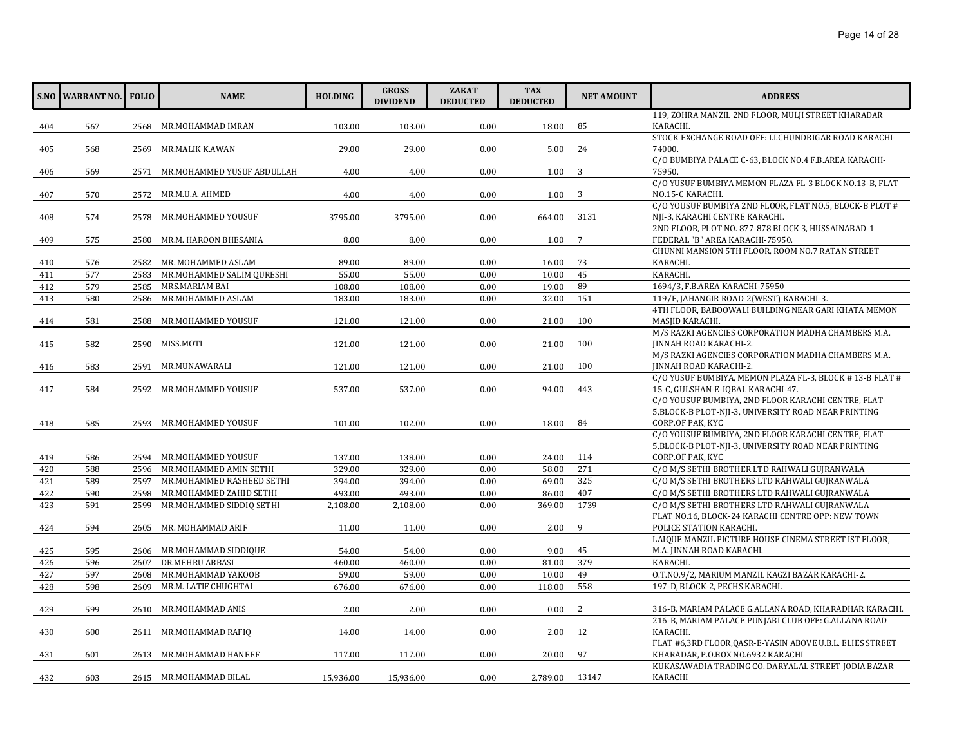|     | <b>S.NO WARRANT NO. FOLIO</b> |      | <b>NAME</b>                | <b>HOLDING</b> | <b>GROSS</b><br><b>DIVIDEND</b> | <b>ZAKAT</b><br><b>DEDUCTED</b> | <b>TAX</b><br><b>DEDUCTED</b> | <b>NET AMOUNT</b> | <b>ADDRESS</b>                                                                           |
|-----|-------------------------------|------|----------------------------|----------------|---------------------------------|---------------------------------|-------------------------------|-------------------|------------------------------------------------------------------------------------------|
|     |                               |      |                            |                |                                 |                                 |                               |                   | 119, ZOHRA MANZIL 2ND FLOOR, MULJI STREET KHARADAR                                       |
| 404 | 567                           |      | 2568 MR.MOHAMMAD IMRAN     | 103.00         | 103.00                          | 0.00                            | 18.00                         | 85                | KARACHI.                                                                                 |
|     |                               |      |                            |                |                                 |                                 |                               |                   | STOCK EXCHANGE ROAD OFF: I.I.CHUNDRIGAR ROAD KARACHI-                                    |
| 405 | 568                           | 2569 | MR.MALIK K.AWAN            | 29.00          | 29.00                           | 0.00                            | 5.00                          | 24                | 74000.                                                                                   |
|     |                               |      |                            |                |                                 |                                 |                               |                   | C/O BUMBIYA PALACE C-63, BLOCK NO.4 F.B.AREA KARACHI-                                    |
| 406 | 569                           | 2571 | MR.MOHAMMED YUSUF ABDULLAH | 4.00           | 4.00                            | 0.00                            | 1.00                          | 3                 | 75950.                                                                                   |
|     |                               |      |                            |                |                                 |                                 |                               |                   | C/O YUSUF BUMBIYA MEMON PLAZA FL-3 BLOCK NO.13-B, FLAT                                   |
| 407 | 570                           | 2572 | MR.M.U.A. AHMED            | 4.00           | 4.00                            | 0.00                            | 1.00                          | 3                 | NO.15-C KARACHI.<br>C/O YOUSUF BUMBIYA 2ND FLOOR, FLAT NO.5, BLOCK-B PLOT #              |
| 408 | 574                           | 2578 | MR.MOHAMMED YOUSUF         | 3795.00        | 3795.00                         | 0.00                            | 664.00                        | 3131              | NJI-3, KARACHI CENTRE KARACHI.                                                           |
|     |                               |      |                            |                |                                 |                                 |                               |                   | 2ND FLOOR, PLOT NO. 877-878 BLOCK 3, HUSSAINABAD-1                                       |
| 409 | 575                           |      | 2580 MR.M. HAROON BHESANIA | 8.00           | 8.00                            | 0.00                            | 1.00                          | 7                 | FEDERAL "B" AREA KARACHI-75950.                                                          |
|     |                               |      |                            |                |                                 |                                 |                               |                   | CHUNNI MANSION 5TH FLOOR, ROOM NO.7 RATAN STREET                                         |
| 410 | 576                           | 2582 | MR. MOHAMMED ASLAM         | 89.00          | 89.00                           | 0.00                            | 16.00                         | 73                | KARACHI.                                                                                 |
| 411 | 577                           | 2583 | MR.MOHAMMED SALIM OURESHI  | 55.00          | 55.00                           | 0.00                            | 10.00                         | 45                | KARACHI.                                                                                 |
| 412 | 579                           | 2585 | MRS.MARIAM BAI             | 108.00         | 108.00                          | 0.00                            | 19.00                         | 89                | 1694/3, F.B.AREA KARACHI-75950                                                           |
| 413 | 580                           | 2586 | MR.MOHAMMED ASLAM          | 183.00         | 183.00                          | 0.00                            | 32.00                         | 151               | 119/E, JAHANGIR ROAD-2(WEST) KARACHI-3.                                                  |
|     |                               |      |                            |                |                                 |                                 |                               |                   | 4TH FLOOR, BABOOWALI BUILDING NEAR GARI KHATA MEMON                                      |
| 414 | 581                           | 2588 | MR.MOHAMMED YOUSUF         | 121.00         | 121.00                          | 0.00                            | 21.00                         | 100               | MASJID KARACHI.                                                                          |
|     |                               |      |                            |                |                                 |                                 |                               |                   | M/S RAZKI AGENCIES CORPORATION MADHA CHAMBERS M.A.                                       |
| 415 | 582                           | 2590 | MISS.MOTI                  | 121.00         | 121.00                          | 0.00                            | 21.00                         | 100               | <b>JINNAH ROAD KARACHI-2.</b>                                                            |
|     |                               |      |                            |                |                                 |                                 |                               |                   | M/S RAZKI AGENCIES CORPORATION MADHA CHAMBERS M.A.                                       |
| 416 | 583                           | 2591 | MR.MUNAWARALI              | 121.00         | 121.00                          | 0.00                            | 21.00                         | 100               | JINNAH ROAD KARACHI-2.                                                                   |
|     |                               |      |                            |                |                                 |                                 |                               |                   | C/O YUSUF BUMBIYA, MEMON PLAZA FL-3, BLOCK #13-B FLAT #                                  |
| 417 | 584                           |      | 2592 MR.MOHAMMED YOUSUF    | 537.00         | 537.00                          | 0.00                            | 94.00                         | 443               | 15-C, GULSHAN-E-IOBAL KARACHI-47.<br>C/O YOUSUF BUMBIYA, 2ND FLOOR KARACHI CENTRE, FLAT- |
|     |                               |      |                            |                |                                 |                                 |                               |                   | 5, BLOCK-B PLOT-NJI-3, UNIVERSITY ROAD NEAR PRINTING                                     |
| 418 | 585                           | 2593 | MR.MOHAMMED YOUSUF         | 101.00         | 102.00                          | 0.00                            | 18.00                         | 84                | CORP.OF PAK, KYC                                                                         |
|     |                               |      |                            |                |                                 |                                 |                               |                   | C/O YOUSUF BUMBIYA, 2ND FLOOR KARACHI CENTRE, FLAT-                                      |
|     |                               |      |                            |                |                                 |                                 |                               |                   | 5, BLOCK-B PLOT-NJI-3, UNIVERSITY ROAD NEAR PRINTING                                     |
| 419 | 586                           |      | 2594 MR.MOHAMMED YOUSUF    | 137.00         | 138.00                          | 0.00                            | 24.00                         | 114               | CORP.OF PAK, KYC                                                                         |
| 420 | 588                           | 2596 | MR.MOHAMMED AMIN SETHI     | 329.00         | 329.00                          | 0.00                            | 58.00                         | 271               | C/O M/S SETHI BROTHER LTD RAHWALI GUJRANWALA                                             |
| 421 | 589                           | 2597 | MR.MOHAMMED RASHEED SETHI  | 394.00         | 394.00                          | 0.00                            | 69.00                         | 325               | C/O M/S SETHI BROTHERS LTD RAHWALI GUJRANWALA                                            |
| 422 | 590                           | 2598 | MR.MOHAMMED ZAHID SETHI    | 493.00         | 493.00                          | 0.00                            | 86.00                         | 407               | C/O M/S SETHI BROTHERS LTD RAHWALI GUJRANWALA                                            |
| 423 | 591                           | 2599 | MR.MOHAMMED SIDDIQ SETHI   | 2,108.00       | 2,108.00                        | 0.00                            | 369.00                        | 1739              | C/O M/S SETHI BROTHERS LTD RAHWALI GUIRANWALA                                            |
|     |                               |      |                            |                |                                 |                                 |                               |                   | FLAT NO.16, BLOCK-24 KARACHI CENTRE OPP: NEW TOWN                                        |
| 424 | 594                           |      | 2605 MR. MOHAMMAD ARIF     | 11.00          | 11.00                           | 0.00                            | 2.00                          | 9                 | POLICE STATION KARACHI.                                                                  |
|     |                               |      |                            |                |                                 |                                 |                               |                   | LAIQUE MANZIL PICTURE HOUSE CINEMA STREET IST FLOOR,                                     |
| 425 | 595                           |      | 2606 MR.MOHAMMAD SIDDIQUE  | 54.00          | 54.00                           | 0.00                            | 9.00                          | 45                | M.A. JINNAH ROAD KARACHI.                                                                |
| 426 | 596                           | 2607 | DR.MEHRU ABBASI            | 460.00         | 460.00                          | 0.00                            | 81.00                         | 379               | KARACHI.                                                                                 |
| 427 | 597                           | 2608 | MR.MOHAMMAD YAKOOB         | 59.00          | 59.00                           | 0.00                            | 10.00                         | 49                | O.T.NO.9/2, MARIUM MANZIL KAGZI BAZAR KARACHI-2.                                         |
| 428 | 598                           | 2609 | MR.M. LATIF CHUGHTAI       | 676.00         | 676.00                          | 0.00                            | 118.00                        | 558               | 197-D, BLOCK-2, PECHS KARACHI.                                                           |
| 429 | 599                           | 2610 | MR.MOHAMMAD ANIS           | 2.00           | 2.00                            | 0.00                            | 0.00                          | 2                 | 316-B, MARIAM PALACE G.ALLANA ROAD, KHARADHAR KARACHI.                                   |
|     |                               |      |                            |                |                                 |                                 |                               |                   | 216-B, MARIAM PALACE PUNJABI CLUB OFF: G.ALLANA ROAD                                     |
| 430 | 600                           | 2611 | MR.MOHAMMAD RAFIQ          | 14.00          | 14.00                           | 0.00                            | 2.00                          | 12                | KARACHI.                                                                                 |
|     |                               |      |                            |                |                                 |                                 |                               |                   | FLAT #6,3RD FLOOR, QASR-E-YASIN ABOVE U.B.L. ELIES STREET                                |
| 431 | 601                           |      | 2613 MR.MOHAMMAD HANEEF    | 117.00         | 117.00                          | 0.00                            | 20.00                         | 97                | KHARADAR, P.O.BOX NO.6932 KARACHI                                                        |
|     |                               |      |                            |                |                                 |                                 |                               |                   | KUKASAWADIA TRADING CO. DARYALAL STREET JODIA BAZAR                                      |
| 432 | 603                           |      | 2615 MR.MOHAMMAD BILAL     | 15,936.00      | 15,936.00                       | 0.00                            | 2,789.00                      | 13147             | KARACHI                                                                                  |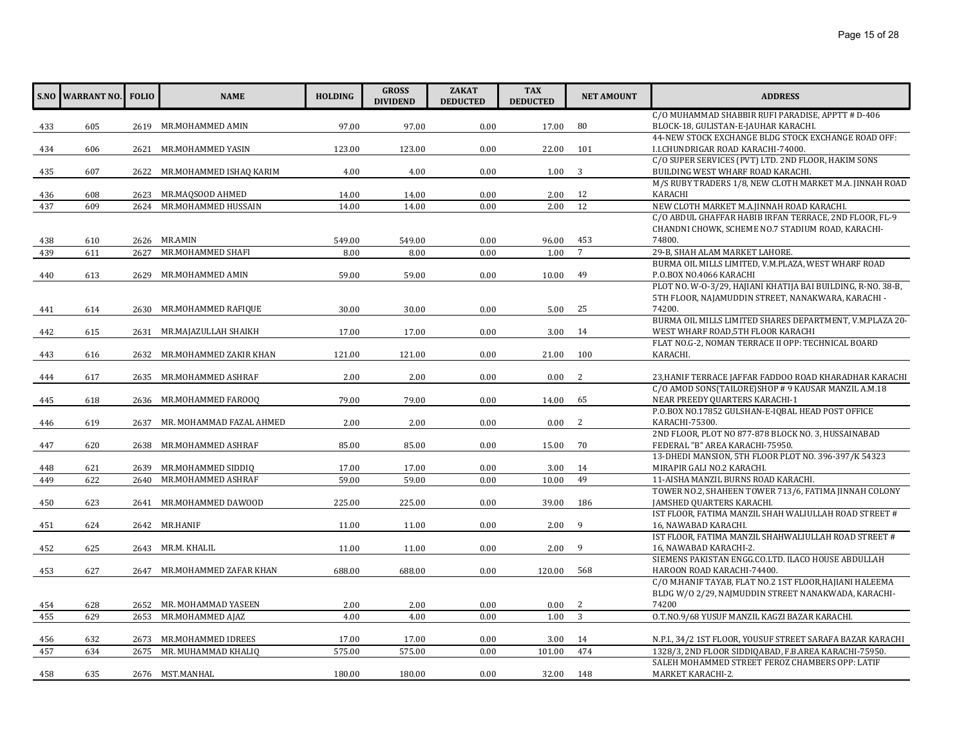|     | S.NO WARRANT NO. | <b>FOLIO</b> | <b>NAME</b>                  | <b>HOLDING</b> | <b>GROSS</b><br><b>DIVIDEND</b> | <b>ZAKAT</b><br><b>DEDUCTED</b> | <b>TAX</b><br><b>DEDUCTED</b> | <b>NET AMOUNT</b> | <b>ADDRESS</b>                                                                          |
|-----|------------------|--------------|------------------------------|----------------|---------------------------------|---------------------------------|-------------------------------|-------------------|-----------------------------------------------------------------------------------------|
|     |                  |              |                              |                |                                 |                                 |                               |                   | C/O MUHAMMAD SHABBIR RUFI PARADISE, APPTT # D-406                                       |
| 433 | 605              |              | 2619 MR.MOHAMMED AMIN        | 97.00          | 97.00                           | 0.00                            | 17.00                         | 80                | BLOCK-18, GULISTAN-E-JAUHAR KARACHI.                                                    |
|     |                  |              |                              |                |                                 |                                 |                               |                   | 44-NEW STOCK EXCHANGE BLDG STOCK EXCHANGE ROAD OFF:                                     |
| 434 | 606              | 2621         | MR.MOHAMMED YASIN            | 123.00         | 123.00                          | 0.00                            | 22.00                         | 101               | I.I.CHUNDRIGAR ROAD KARACHI-74000.                                                      |
|     |                  |              |                              |                |                                 |                                 |                               |                   | C/O SUPER SERVICES (PVT) LTD. 2ND FLOOR, HAKIM SONS                                     |
| 435 | 607              |              | 2622 MR.MOHAMMED ISHAQ KARIM | 4.00           | 4.00                            | 0.00                            | 1.00                          | 3                 | BUILDING WEST WHARF ROAD KARACHI.                                                       |
|     |                  |              |                              |                |                                 |                                 |                               |                   | M/S RUBY TRADERS 1/8, NEW CLOTH MARKET M.A. JINNAH ROAD                                 |
| 436 | 608              |              | 2623 MR.MAQSOOD AHMED        | 14.00          | 14.00                           | 0.00                            | 2.00                          | 12                | KARACHI                                                                                 |
| 437 | 609              | 2624         | MR.MOHAMMED HUSSAIN          | 14.00          | 14.00                           | 0.00                            | 2.00                          | 12                | NEW CLOTH MARKET M.A.JINNAH ROAD KARACHI.                                               |
|     |                  |              |                              |                |                                 |                                 |                               |                   | C/O ABDUL GHAFFAR HABIB IRFAN TERRACE, 2ND FLOOR, FL-9                                  |
| 438 | 610              |              | 2626 MR.AMIN                 | 549.00         | 549.00                          | 0.00                            | 96.00                         | 453               | CHANDNI CHOWK, SCHEME NO.7 STADIUM ROAD, KARACHI-<br>74800.                             |
| 439 | 611              | 2627         | MR.MOHAMMED SHAFI            | 8.00           | 8.00                            | 0.00                            | 1.00                          | $7\overline{ }$   | 29-B, SHAH ALAM MARKET LAHORE.                                                          |
|     |                  |              |                              |                |                                 |                                 |                               |                   | BURMA OIL MILLS LIMITED, V.M.PLAZA, WEST WHARF ROAD                                     |
| 440 | 613              | 2629         | MR.MOHAMMED AMIN             | 59.00          | 59.00                           | 0.00                            | 10.00                         | 49                | P.O.BOX NO.4066 KARACHI                                                                 |
|     |                  |              |                              |                |                                 |                                 |                               |                   | PLOT NO. W-O-3/29, HAJIANI KHATIJA BAI BUILDING, R-NO. 38-B,                            |
|     |                  |              |                              |                |                                 |                                 |                               |                   | 5TH FLOOR, NAJAMUDDIN STREET, NANAKWARA, KARACHI -                                      |
| 441 | 614              |              | 2630 MR.MOHAMMED RAFIQUE     | 30.00          | 30.00                           | 0.00                            | 5.00                          | 25                | 74200.                                                                                  |
|     |                  |              |                              |                |                                 |                                 |                               |                   | BURMA OIL MILLS LIMITED SHARES DEPARTMENT, V.M.PLAZA 20-                                |
| 442 | 615              |              | 2631 MR.MAJAZULLAH SHAIKH    | 17.00          | 17.00                           | 0.00                            | 3.00                          | 14                | WEST WHARF ROAD, 5TH FLOOR KARACHI                                                      |
|     |                  |              |                              |                |                                 |                                 |                               |                   | FLAT NO.G-2, NOMAN TERRACE II OPP: TECHNICAL BOARD                                      |
| 443 | 616              |              | 2632 MR.MOHAMMED ZAKIR KHAN  | 121.00         | 121.00                          | 0.00                            | 21.00                         | 100               | KARACHI.                                                                                |
|     |                  |              |                              |                |                                 |                                 |                               |                   |                                                                                         |
| 444 | 617              |              | 2635 MR.MOHAMMED ASHRAF      | 2.00           | 2.00                            | 0.00                            | 0.00                          | 2                 | 23, HANIF TERRACE JAFFAR FADDOO ROAD KHARADHAR KARACHI                                  |
|     |                  |              |                              |                |                                 |                                 |                               |                   | C/O AMOD SONS(TAILORE) SHOP # 9 KAUSAR MANZIL A.M.18                                    |
| 445 | 618              |              | 2636 MR.MOHAMMED FAROOQ      | 79.00          | 79.00                           | 0.00                            | 14.00                         | 65                | NEAR PREEDY QUARTERS KARACHI-1                                                          |
|     |                  |              |                              |                |                                 |                                 |                               |                   | P.O.BOX NO.17852 GULSHAN-E-IQBAL HEAD POST OFFICE                                       |
| 446 | 619              | 2637         | MR. MOHAMMAD FAZAL AHMED     | 2.00           | 2.00                            | 0.00                            | 0.00                          | 2                 | KARACHI-75300.                                                                          |
|     |                  |              |                              |                |                                 |                                 |                               |                   | 2ND FLOOR, PLOT NO 877-878 BLOCK NO. 3, HUSSAINABAD                                     |
| 447 | 620              |              | 2638 MR.MOHAMMED ASHRAF      | 85.00          | 85.00                           | 0.00                            | 15.00                         | 70                | FEDERAL "B" AREA KARACHI-75950.<br>13-DHEDI MANSION, 5TH FLOOR PLOT NO. 396-397/K 54323 |
| 448 | 621              | 2639         | MR.MOHAMMED SIDDIQ           | 17.00          | 17.00                           | 0.00                            | 3.00                          | 14                | MIRAPIR GALI NO.2 KARACHI.                                                              |
| 449 | 622              | 2640         | MR.MOHAMMED ASHRAF           | 59.00          | 59.00                           | 0.00                            | 10.00                         | 49                | 11-AISHA MANZIL BURNS ROAD KARACHI.                                                     |
|     |                  |              |                              |                |                                 |                                 |                               |                   | TOWER NO.2, SHAHEEN TOWER 713/6, FATIMA JINNAH COLONY                                   |
| 450 | 623              | 2641         | MR.MOHAMMED DAWOOD           | 225.00         | 225.00                          | 0.00                            | 39.00                         | 186               | JAMSHED QUARTERS KARACHI.                                                               |
|     |                  |              |                              |                |                                 |                                 |                               |                   | IST FLOOR, FATIMA MANZIL SHAH WALIULLAH ROAD STREET #                                   |
| 451 | 624              |              | 2642 MR.HANIF                | 11.00          | 11.00                           | 0.00                            | 2.00                          | 9                 | 16, NAWABAD KARACHI.                                                                    |
|     |                  |              |                              |                |                                 |                                 |                               |                   | IST FLOOR, FATIMA MANZIL SHAHWALIULLAH ROAD STREET #                                    |
| 452 | 625              |              | 2643 MR.M. KHALIL            | 11.00          | 11.00                           | 0.00                            | 2.00                          | 9                 | 16, NAWABAD KARACHI-2.                                                                  |
|     |                  |              |                              |                |                                 |                                 |                               |                   | SIEMENS PAKISTAN ENGG.CO.LTD. ILACO HOUSE ABDULLAH                                      |
| 453 | 627              |              | 2647 MR.MOHAMMED ZAFAR KHAN  | 688.00         | 688.00                          | 0.00                            | 120.00                        | 568               | HAROON ROAD KARACHI-74400.                                                              |
|     |                  |              |                              |                |                                 |                                 |                               |                   | C/O M.HANIF TAYAB, FLAT NO.2 1ST FLOOR, HAJIANI HALEEMA                                 |
|     |                  |              |                              |                |                                 |                                 |                               |                   | BLDG W/O 2/29, NAJMUDDIN STREET NANAKWADA, KARACHI-                                     |
| 454 | 628              |              | 2652 MR. MOHAMMAD YASEEN     | 2.00           | 2.00                            | 0.00                            | 0.00                          | 2                 | 74200                                                                                   |
| 455 | 629              | 2653         | MR.MOHAMMED AJAZ             | 4.00           | 4.00                            | 0.00                            | 1.00                          | $\overline{3}$    | O.T.NO.9/68 YUSUF MANZIL KAGZI BAZAR KARACHI.                                           |
|     |                  |              |                              |                |                                 |                                 |                               |                   |                                                                                         |
| 456 | 632              |              | 2673 MR.MOHAMMED IDREES      | 17.00          | 17.00                           | 0.00                            | 3.00                          | 14                | N.P.I., 34/2 1ST FLOOR, YOUSUF STREET SARAFA BAZAR KARACHI                              |
| 457 | 634              | 2675         | MR. MUHAMMAD KHALIQ          | 575.00         | 575.00                          | 0.00                            | 101.00                        | 474               | 1328/3, 2ND FLOOR SIDDIQABAD, F.B.AREA KARACHI-75950.                                   |
|     |                  |              |                              |                |                                 |                                 |                               |                   | SALEH MOHAMMED STREET FEROZ CHAMBERS OPP: LATIF                                         |
| 458 | 635              |              | 2676 MST.MANHAL              | 180.00         | 180.00                          | 0.00                            | 32.00                         | 148               | MARKET KARACHI-2.                                                                       |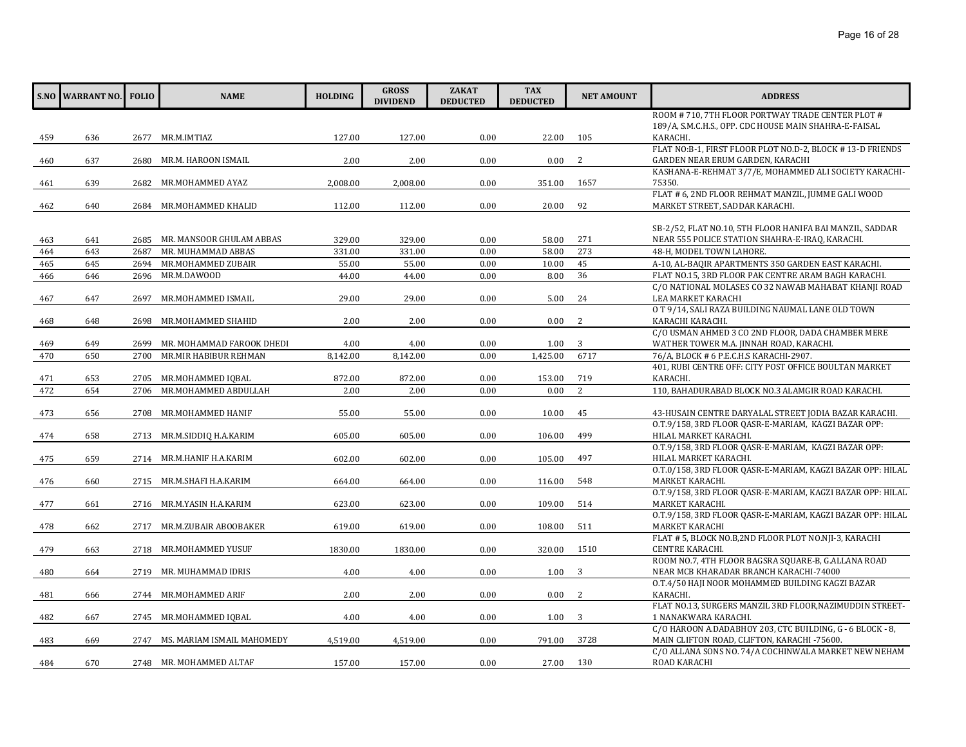|     | S.NO WARRANT NO. FOLIO |      | <b>NAME</b>                     | <b>HOLDING</b> | <b>GROSS</b><br><b>DIVIDEND</b> | <b>ZAKAT</b><br><b>DEDUCTED</b> | <b>TAX</b><br><b>DEDUCTED</b> | <b>NET AMOUNT</b> | <b>ADDRESS</b>                                                                                      |
|-----|------------------------|------|---------------------------------|----------------|---------------------------------|---------------------------------|-------------------------------|-------------------|-----------------------------------------------------------------------------------------------------|
|     |                        |      |                                 |                |                                 |                                 |                               |                   | ROOM # 710, 7TH FLOOR PORTWAY TRADE CENTER PLOT #                                                   |
|     |                        |      |                                 |                |                                 |                                 |                               |                   | 189/A, S.M.C.H.S., OPP. CDC HOUSE MAIN SHAHRA-E-FAISAL                                              |
| 459 | 636                    |      | 2677 MR.M.IMTIAZ                | 127.00         | 127.00                          | 0.00                            | 22.00                         | 105               | KARACHI.                                                                                            |
|     |                        |      | MR.M. HAROON ISMAIL             |                |                                 |                                 |                               | 2                 | FLAT NO:B-1, FIRST FLOOR PLOT NO.D-2, BLOCK #13-D FRIENDS<br>GARDEN NEAR ERUM GARDEN, KARACHI       |
| 460 | 637                    | 2680 |                                 | 2.00           | 2.00                            | 0.00                            | 0.00                          |                   | KASHANA-E-REHMAT 3/7/E, MOHAMMED ALI SOCIETY KARACHI-                                               |
| 461 | 639                    | 2682 | MR.MOHAMMED AYAZ                | 2,008.00       | 2,008.00                        | 0.00                            | 351.00                        | 1657              | 75350.                                                                                              |
|     |                        |      |                                 |                |                                 |                                 |                               |                   | FLAT # 6, 2ND FLOOR REHMAT MANZIL, JUMME GALI WOOD                                                  |
| 462 | 640                    |      | 2684 MR.MOHAMMED KHALID         | 112.00         | 112.00                          | 0.00                            | 20.00                         | 92                | MARKET STREET, SADDAR KARACHI.                                                                      |
|     |                        |      |                                 |                |                                 |                                 |                               |                   |                                                                                                     |
|     |                        |      |                                 |                |                                 |                                 |                               |                   | SB-2/52, FLAT NO.10, 5TH FLOOR HANIFA BAI MANZIL, SADDAR                                            |
| 463 | 641                    | 2685 | MR. MANSOOR GHULAM ABBAS        | 329.00         | 329.00                          | 0.00                            | 58.00                         | 271               | NEAR 555 POLICE STATION SHAHRA-E-IRAQ, KARACHI.                                                     |
| 464 | 643                    | 2687 | MR. MUHAMMAD ABBAS              | 331.00         | 331.00                          | 0.00                            | 58.00                         | 273               | 48-H, MODEL TOWN LAHORE.                                                                            |
| 465 | 645                    | 2694 | MR.MOHAMMED ZUBAIR              | 55.00          | 55.00                           | 0.00                            | 10.00                         | 45                | A-10, AL-BAQIR APARTMENTS 350 GARDEN EAST KARACHI.                                                  |
| 466 | 646                    | 2696 | MR.M.DAWOOD                     | 44.00          | 44.00                           | 0.00                            | 8.00                          | 36                | FLAT NO.15, 3RD FLOOR PAK CENTRE ARAM BAGH KARACHI.                                                 |
|     |                        |      |                                 |                |                                 |                                 |                               |                   | C/O NATIONAL MOLASES CO 32 NAWAB MAHABAT KHANJI ROAD                                                |
| 467 | 647                    | 2697 | MR.MOHAMMED ISMAIL              | 29.00          | 29.00                           | 0.00                            | 5.00                          | 24                | LEA MARKET KARACHI                                                                                  |
|     |                        |      |                                 |                |                                 |                                 |                               |                   | O T 9/14, SALI RAZA BUILDING NAUMAL LANE OLD TOWN                                                   |
| 468 | 648                    | 2698 | MR.MOHAMMED SHAHID              | 2.00           | 2.00                            | 0.00                            | 0.00                          | 2                 | KARACHI KARACHI.<br>C/O USMAN AHMED 3 CO 2ND FLOOR, DADA CHAMBER MERE                               |
| 469 | 649                    | 2699 | MR. MOHAMMAD FAROOK DHEDI       | 4.00           | 4.00                            | 0.00                            | 1.00                          | 3                 | WATHER TOWER M.A. JINNAH ROAD, KARACHI.                                                             |
| 470 | 650                    | 2700 | MR.MIR HABIBUR REHMAN           | 8.142.00       | 8.142.00                        | 0.00                            | 1.425.00                      | 6717              | 76/A, BLOCK # 6 P.E.C.H.S KARACHI-2907.                                                             |
|     |                        |      |                                 |                |                                 |                                 |                               |                   | 401, RUBI CENTRE OFF: CITY POST OFFICE BOULTAN MARKET                                               |
| 471 | 653                    |      | 2705 MR.MOHAMMED IQBAL          | 872.00         | 872.00                          | 0.00                            | 153.00                        | 719               | KARACHI.                                                                                            |
| 472 | 654                    | 2706 | MR.MOHAMMED ABDULLAH            | 2.00           | 2.00                            | 0.00                            | 0.00                          | $\overline{2}$    | 110, BAHADURABAD BLOCK NO.3 ALAMGIR ROAD KARACHI.                                                   |
|     |                        |      |                                 |                |                                 |                                 |                               |                   |                                                                                                     |
| 473 | 656                    | 2708 | MR.MOHAMMED HANIF               | 55.00          | 55.00                           | 0.00                            | 10.00                         | 45                | 43-HUSAIN CENTRE DARYALAL STREET JODIA BAZAR KARACHI.                                               |
|     |                        |      |                                 |                |                                 |                                 |                               |                   | O.T.9/158, 3RD FLOOR QASR-E-MARIAM, KAGZI BAZAR OPP:                                                |
| 474 | 658                    |      | 2713 MR.M.SIDDIQ H.A.KARIM      | 605.00         | 605.00                          | 0.00                            | 106.00                        | 499               | HILAL MARKET KARACHI.                                                                               |
|     |                        |      |                                 |                |                                 |                                 |                               |                   | O.T.9/158, 3RD FLOOR QASR-E-MARIAM, KAGZI BAZAR OPP:                                                |
| 475 | 659                    |      | 2714 MR.M.HANIF H.A.KARIM       | 602.00         | 602.00                          | 0.00                            | 105.00                        | 497               | HILAL MARKET KARACHI.                                                                               |
|     |                        |      |                                 |                |                                 |                                 |                               |                   | O.T.0/158, 3RD FLOOR QASR-E-MARIAM, KAGZI BAZAR OPP: HILAL                                          |
| 476 | 660                    |      | 2715 MR.M.SHAFI H.A.KARIM       | 664.00         | 664.00                          | 0.00                            | 116.00                        | 548               | MARKET KARACHI.                                                                                     |
| 477 | 661                    |      | 2716 MR.M.YASIN H.A.KARIM       | 623.00         | 623.00                          | 0.00                            | 109.00                        | 514               | O.T.9/158, 3RD FLOOR QASR-E-MARIAM, KAGZI BAZAR OPP: HILAL<br>MARKET KARACHI.                       |
|     |                        |      |                                 |                |                                 |                                 |                               |                   | O.T.9/158, 3RD FLOOR QASR-E-MARIAM, KAGZI BAZAR OPP: HILAL                                          |
| 478 | 662                    |      | 2717 MR.M.ZUBAIR ABOOBAKER      | 619.00         | 619.00                          | 0.00                            | 108.00                        | 511               | MARKET KARACHI                                                                                      |
|     |                        |      |                                 |                |                                 |                                 |                               |                   | FLAT # 5, BLOCK NO.B,2ND FLOOR PLOT NO.NJI-3, KARACHI                                               |
| 479 | 663                    |      | 2718 MR.MOHAMMED YUSUF          | 1830.00        | 1830.00                         | 0.00                            | 320.00                        | 1510              | <b>CENTRE KARACHI.</b>                                                                              |
|     |                        |      |                                 |                |                                 |                                 |                               |                   | ROOM NO.7, 4TH FLOOR BAGSRA SOUARE-B, G.ALLANA ROAD                                                 |
| 480 | 664                    |      | 2719 MR. MUHAMMAD IDRIS         | 4.00           | 4.00                            | 0.00                            | 1.00                          | 3                 | NEAR MCB KHARADAR BRANCH KARACHI-74000                                                              |
|     |                        |      |                                 |                |                                 |                                 |                               |                   | O.T.4/50 HAJI NOOR MOHAMMED BUILDING KAGZI BAZAR                                                    |
| 481 | 666                    |      | 2744 MR.MOHAMMED ARIF           | 2.00           | 2.00                            | 0.00                            | 0.00                          | <sup>2</sup>      | KARACHI.                                                                                            |
|     |                        |      |                                 |                |                                 |                                 |                               |                   | FLAT NO.13, SURGERS MANZIL 3RD FLOOR, NAZIMUDDIN STREET-                                            |
| 482 | 667                    |      | 2745 MR.MOHAMMED IQBAL          | 4.00           | 4.00                            | 0.00                            | 1.00                          | 3                 | 1 NANAKWARA KARACHI.                                                                                |
|     |                        |      |                                 |                |                                 |                                 |                               |                   | C/O HAROON A.DADABHOY 203, CTC BUILDING, G - 6 BLOCK - 8,                                           |
| 483 | 669                    |      | 2747 MS. MARIAM ISMAIL MAHOMEDY | 4,519.00       | 4,519.00                        | 0.00                            | 791.00                        | 3728              | MAIN CLIFTON ROAD, CLIFTON, KARACHI -75600.<br>C/O ALLANA SONS NO. 74/A COCHINWALA MARKET NEW NEHAM |
| 484 | 670                    |      | 2748 MR. MOHAMMED ALTAF         | 157.00         | 157.00                          | 0.00                            | 27.00                         | 130               | ROAD KARACHI                                                                                        |
|     |                        |      |                                 |                |                                 |                                 |                               |                   |                                                                                                     |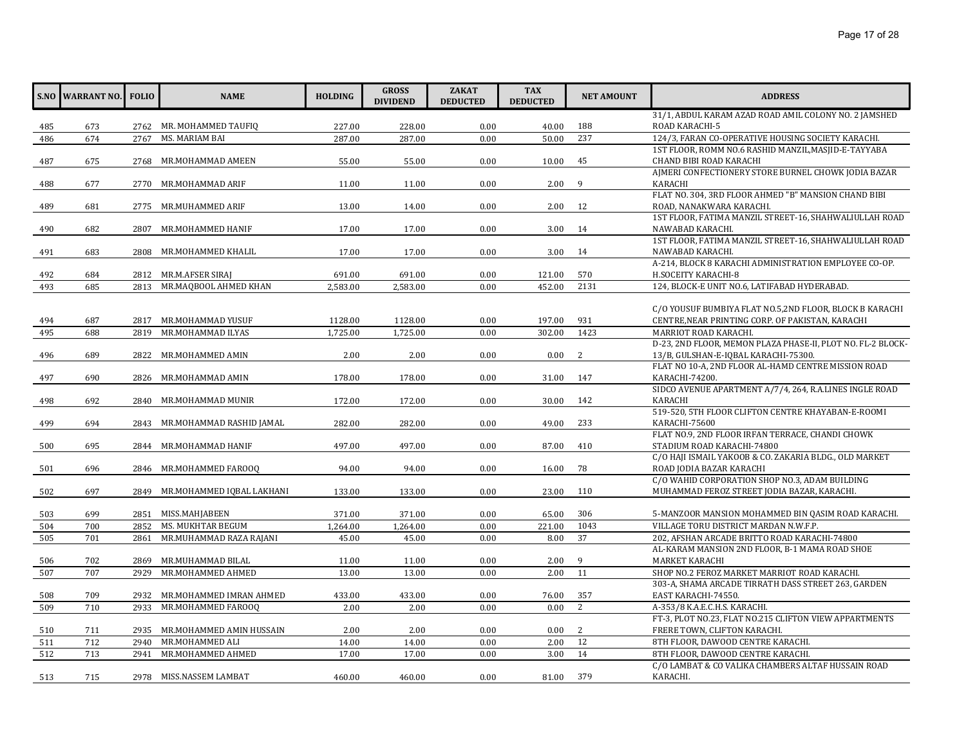|     | <b>S.NO WARRANT NO.</b> | <b>FOLIO</b> | <b>NAME</b>                   | <b>HOLDING</b> | <b>GROSS</b><br><b>DIVIDEND</b> | <b>ZAKAT</b><br><b>DEDUCTED</b> | <b>TAX</b><br><b>DEDUCTED</b> | <b>NET AMOUNT</b> | <b>ADDRESS</b>                                                                          |
|-----|-------------------------|--------------|-------------------------------|----------------|---------------------------------|---------------------------------|-------------------------------|-------------------|-----------------------------------------------------------------------------------------|
|     |                         |              |                               |                |                                 |                                 |                               |                   | 31/1, ABDUL KARAM AZAD ROAD AMIL COLONY NO. 2 JAMSHED                                   |
| 485 | 673                     |              | 2762 MR. MOHAMMED TAUFIO      | 227.00         | 228.00                          | 0.00                            | 40.00                         | 188               | ROAD KARACHI-5                                                                          |
| 486 | 674                     | 2767         | MS. MARIAM BAI                | 287.00         | 287.00                          | 0.00                            | 50.00                         | 237               | 124/3, FARAN CO-OPERATIVE HOUSING SOCIETY KARACHI.                                      |
|     |                         |              |                               |                |                                 |                                 |                               |                   | 1ST FLOOR, ROMM NO.6 RASHID MANZIL, MASJID-E-TAYYABA                                    |
| 487 | 675                     | 2768         | MR.MOHAMMAD AMEEN             | 55.00          | 55.00                           | 0.00                            | 10.00                         | 45                | CHAND BIBI ROAD KARACHI                                                                 |
|     |                         |              |                               |                |                                 |                                 |                               |                   | AIMERI CONFECTIONERY STORE BURNEL CHOWK JODIA BAZAR                                     |
| 488 | 677                     | 2770         | MR.MOHAMMAD ARIF              | 11.00          | 11.00                           | 0.00                            | 2.00                          | 9                 | KARACHI                                                                                 |
|     |                         |              |                               |                |                                 |                                 |                               |                   | FLAT NO. 304, 3RD FLOOR AHMED "B" MANSION CHAND BIBI                                    |
| 489 | 681                     |              | 2775 MR.MUHAMMED ARIF         | 13.00          | 14.00                           | 0.00                            | 2.00                          | 12                | ROAD, NANAKWARA KARACHI.                                                                |
|     |                         |              |                               |                |                                 |                                 |                               |                   | 1ST FLOOR, FATIMA MANZIL STREET-16, SHAHWALIULLAH ROAD                                  |
| 490 | 682                     | 2807         | MR.MOHAMMED HANIF             | 17.00          | 17.00                           | 0.00                            | 3.00                          | 14                | NAWABAD KARACHI.                                                                        |
|     |                         |              |                               |                |                                 |                                 |                               |                   | 1ST FLOOR, FATIMA MANZIL STREET-16, SHAHWALIULLAH ROAD                                  |
| 491 | 683                     |              | 2808 MR.MOHAMMED KHALIL       | 17.00          | 17.00                           | 0.00                            | 3.00                          | 14                | NAWABAD KARACHI.                                                                        |
|     |                         |              |                               |                |                                 |                                 |                               |                   | A-214, BLOCK 8 KARACHI ADMINISTRATION EMPLOYEE CO-OP.                                   |
| 492 | 684                     |              | 2812 MR.M.AFSER SIRAI         | 691.00         | 691.00                          | 0.00                            | 121.00                        | 570               | H.SOCEITY KARACHI-8                                                                     |
| 493 | 685                     | 2813         | MR.MAQBOOL AHMED KHAN         | 2,583.00       | 2,583.00                        | 0.00                            | 452.00                        | 2131              | 124, BLOCK-E UNIT NO.6, LATIFABAD HYDERABAD.                                            |
|     |                         |              |                               |                |                                 |                                 |                               |                   |                                                                                         |
|     |                         |              |                               |                |                                 |                                 |                               |                   | C/O YOUSUF BUMBIYA FLAT NO.5,2ND FLOOR, BLOCK B KARACHI                                 |
| 494 | 687                     | 2817         | MR.MOHAMMAD YUSUF             | 1128.00        | 1128.00                         | 0.00                            | 197.00                        | 931               | CENTRE, NEAR PRINTING CORP. OF PAKISTAN, KARACHI                                        |
| 495 | 688                     | 2819         | MR.MOHAMMAD ILYAS             | 1,725.00       | 1,725.00                        | 0.00                            | 302.00                        | 1423              | MARRIOT ROAD KARACHI.                                                                   |
|     |                         |              |                               |                |                                 |                                 |                               |                   | D-23, 2ND FLOOR, MEMON PLAZA PHASE-II, PLOT NO. FL-2 BLOCK-                             |
| 496 | 689                     | 2822         | MR.MOHAMMED AMIN              | 2.00           | 2.00                            | 0.00                            | 0.00                          | 2                 | 13/B, GULSHAN-E-IQBAL KARACHI-75300.                                                    |
|     |                         |              |                               |                |                                 |                                 |                               |                   | FLAT NO 10-A, 2ND FLOOR AL-HAMD CENTRE MISSION ROAD                                     |
| 497 | 690                     |              | 2826 MR.MOHAMMAD AMIN         | 178.00         | 178.00                          | 0.00                            | 31.00                         | 147               | KARACHI-74200.                                                                          |
|     |                         |              |                               |                |                                 |                                 |                               |                   | SIDCO AVENUE APARTMENT A/7/4, 264, R.A.LINES INGLE ROAD                                 |
| 498 | 692                     |              | 2840 MR.MOHAMMAD MUNIR        | 172.00         | 172.00                          | 0.00                            | 30.00                         | 142               | <b>KARACHI</b>                                                                          |
|     |                         |              |                               |                |                                 |                                 |                               |                   | 519-520, 5TH FLOOR CLIFTON CENTRE KHAYABAN-E-ROOMI                                      |
| 499 | 694                     | 2843         | MR.MOHAMMAD RASHID JAMAL      | 282.00         | 282.00                          | 0.00                            | 49.00                         | 233               | KARACHI-75600                                                                           |
|     |                         |              |                               |                |                                 |                                 |                               |                   | FLAT NO.9, 2ND FLOOR IRFAN TERRACE, CHANDI CHOWK                                        |
| 500 | 695                     |              | 2844 MR.MOHAMMAD HANIF        | 497.00         | 497.00                          | 0.00                            | 87.00                         | 410               | STADIUM ROAD KARACHI-74800                                                              |
|     |                         |              |                               |                |                                 |                                 |                               |                   | C/O HAJI ISMAIL YAKOOB & CO. ZAKARIA BLDG., OLD MARKET                                  |
| 501 | 696                     |              | 2846 MR.MOHAMMED FAROOQ       | 94.00          | 94.00                           | 0.00                            | 16.00                         | 78                | ROAD JODIA BAZAR KARACHI                                                                |
|     |                         |              |                               |                |                                 |                                 |                               |                   | C/O WAHID CORPORATION SHOP NO.3, ADAM BUILDING                                          |
| 502 | 697                     | 2849         | MR.MOHAMMED IOBAL LAKHANI     | 133.00         | 133.00                          | 0.00                            | 23.00                         | 110               | MUHAMMAD FEROZ STREET JODIA BAZAR, KARACHI.                                             |
|     | 699                     |              | 2851 MISS.MAHJABEEN           |                | 371.00                          |                                 |                               | 306               |                                                                                         |
| 503 | 700                     | 2852         | MS. MUKHTAR BEGUM             | 371.00         |                                 | 0.00                            | 65.00                         | 1043              | 5-MANZOOR MANSION MOHAMMED BIN QASIM ROAD KARACHI.                                      |
| 504 |                         |              |                               | 1,264.00       | 1,264.00                        | 0.00                            | 221.00                        | 37                | VILLAGE TORU DISTRICT MARDAN N.W.F.P.                                                   |
| 505 | 701                     | 2861         | MR.MUHAMMAD RAZA RAJANI       | 45.00          | 45.00                           | 0.00                            | 8.00                          |                   | 202, AFSHAN ARCADE BRITTO ROAD KARACHI-74800                                            |
|     |                         |              |                               |                |                                 |                                 |                               | 9                 | AL-KARAM MANSION 2ND FLOOR, B-1 MAMA ROAD SHOE                                          |
| 506 | 702<br>707              | 2869         | MR.MUHAMMAD BILAL             | 11.00<br>13.00 | 11.00                           | 0.00<br>0.00                    | 2.00<br>2.00                  | 11                | MARKET KARACHI                                                                          |
| 507 |                         | 2929         | MR.MOHAMMED AHMED             |                | 13.00                           |                                 |                               |                   | SHOP NO.2 FEROZ MARKET MARRIOT ROAD KARACHI.                                            |
|     |                         |              |                               |                |                                 |                                 |                               |                   | 303-A, SHAMA ARCADE TIRRATH DASS STREET 263, GARDEN                                     |
| 508 | 709                     | 2932         | MR.MOHAMMED IMRAN AHMED       | 433.00         | 433.00                          | 0.00                            | 76.00                         | 357               | EAST KARACHI-74550.                                                                     |
| 509 | 710                     | 2933         | MR.MOHAMMED FAROOQ            | 2.00           | 2.00                            | 0.00                            | 0.00                          | 2                 | A-353/8 K.A.E.C.H.S. KARACHI.<br>FT-3. PLOT NO.23. FLAT NO.215 CLIFTON VIEW APPARTMENTS |
|     |                         |              |                               | 2.00           | 2.00                            |                                 |                               | 2                 |                                                                                         |
| 510 | 711                     |              | 2935 MR.MOHAMMED AMIN HUSSAIN |                |                                 | 0.00                            | 0.00                          |                   | FRERE TOWN, CLIFTON KARACHI.                                                            |
| 511 | 712                     | 2940         | MR.MOHAMMED ALI               | 14.00          | 14.00                           | 0.00                            | 2.00                          | 12                | 8TH FLOOR, DAWOOD CENTRE KARACHI.                                                       |
| 512 | 713                     | 2941         | MR.MOHAMMED AHMED             | 17.00          | 17.00                           | 0.00                            | 3.00                          | 14                | 8TH FLOOR, DAWOOD CENTRE KARACHI.                                                       |
|     |                         |              |                               |                |                                 |                                 |                               |                   | C/O LAMBAT & CO VALIKA CHAMBERS ALTAF HUSSAIN ROAD                                      |
| 513 | 715                     |              | 2978 MISS.NASSEM LAMBAT       | 460.00         | 460.00                          | 0.00                            | 81.00                         | 379               | KARACHI.                                                                                |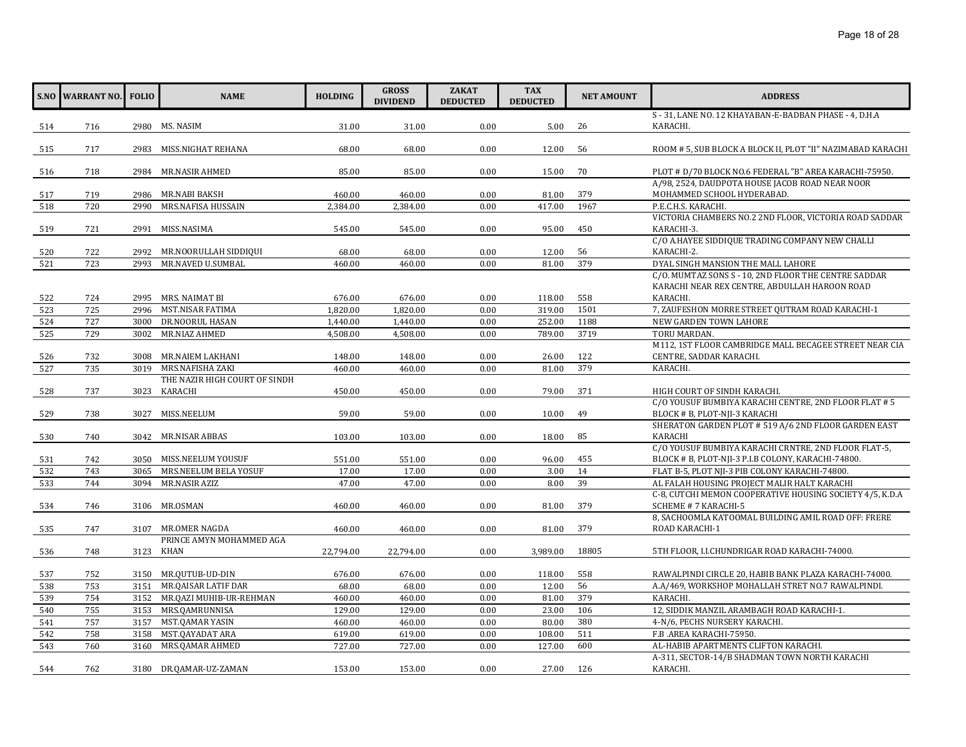| S - 31, LANE NO. 12 KHAYABAN-E-BADBAN PHASE - 4, D.H.A<br>2980 MS. NASIM<br>31.00<br>31.00<br>0.00<br>5.00<br>26<br>KARACHI.<br>716<br>514<br>68.00<br>68.00<br>0.00<br>12.00<br>515<br>717<br>2983<br>MISS.NIGHAT REHANA<br>56<br>ROOM # 5, SUB BLOCK A BLOCK II, PLOT "II" NAZIMABAD KARACHI<br>2984 MR.NASIR AHMED<br>85.00<br>0.00<br>70<br>PLOT # D/70 BLOCK NO.6 FEDERAL "B" AREA KARACHI-75950.<br>516<br>718<br>85.00<br>15.00<br>A/98, 2524, DAUDPOTA HOUSE JACOB ROAD NEAR NOOR<br>460.00<br>0.00<br>379<br>517<br>719<br>2986 MR.NABI BAKSH<br>460.00<br>81.00<br>MOHAMMED SCHOOL HYDERABAD.<br>MRS.NAFISA HUSSAIN<br>1967<br>P.E.C.H.S. KARACHI.<br>720<br>2990<br>2,384.00<br>2,384.00<br>0.00<br>417.00<br>518<br>VICTORIA CHAMBERS NO.2 2ND FLOOR, VICTORIA ROAD SADDAR<br>519<br>721<br>2991<br>MISS.NASIMA<br>545.00<br>545.00<br>0.00<br>95.00<br>450<br>KARACHI-3.<br>C/O A.HAYEE SIDDIQUE TRADING COMPANY NEW CHALLI<br>2992 MR.NOORULLAH SIDDIQUI<br>68.00<br>12.00<br>KARACHI-2.<br>520<br>722<br>68.00<br>0.00<br>56<br>379<br>DYAL SINGH MANSION THE MALL LAHORE<br>MR.NAVED U.SUMBAL<br>0.00<br>521<br>723<br>2993<br>460.00<br>460.00<br>81.00<br>C/O. MUMTAZ SONS S - 10, 2ND FLOOR THE CENTRE SADDAR<br>KARACHI NEAR REX CENTRE, ABDULLAH HAROON ROAD<br>676.00<br>676.00<br>0.00<br>558<br>522<br>724<br>2995 MRS. NAIMAT BI<br>118.00<br>KARACHI.<br>7, ZAUFESHON MORRE STREET QUTRAM ROAD KARACHI-1<br>2996 MST.NISAR FATIMA<br>1501<br>725<br>1,820.00<br>1,820.00<br>0.00<br>319.00<br>523<br>1188<br>NEW GARDEN TOWN LAHORE<br>DR.NOORUL HASAN<br>1,440.00<br>0.00<br>252.00<br>524<br>727<br>3000<br>1,440.00<br>3719<br>MR.NIAZ AHMED<br>TORU MARDAN.<br>525<br>729<br>4,508.00<br>4,508.00<br>0.00<br>789.00<br>3002<br>M112, 1ST FLOOR CAMBRIDGE MALL BECAGEE STREET NEAR CIA<br>3008 MR.NAIEM LAKHANI<br>122<br>CENTRE, SADDAR KARACHI.<br>732<br>148.00<br>148.00<br>0.00<br>26.00<br>526<br>379<br>MRS.NAFISHA ZAKI<br>527<br>735<br>460.00<br>460.00<br>0.00<br>81.00<br>KARACHI.<br>3019<br>THE NAZIR HIGH COURT OF SINDH<br>3023 KARACHI<br>371<br>528<br>737<br>450.00<br>450.00<br>0.00<br>79.00<br>HIGH COURT OF SINDH KARACHI.<br>C/O YOUSUF BUMBIYA KARACHI CENTRE, 2ND FLOOR FLAT # 5<br>529<br>MISS.NEELUM<br>59.00<br>59.00<br>0.00<br>10.00<br>49<br>BLOCK # B, PLOT-NJI-3 KARACHI<br>738<br>3027<br>SHERATON GARDEN PLOT # 519 A/6 2ND FLOOR GARDEN EAST<br>85<br>KARACHI<br>3042 MR.NISAR ABBAS<br>103.00<br>103.00<br>0.00<br>18.00<br>530<br>740<br>C/O YOUSUF BUMBIYA KARACHI CRNTRE, 2ND FLOOR FLAT-5,<br>0.00<br>742<br>3050<br>MISS.NEELUM YOUSUF<br>551.00<br>551.00<br>96.00<br>455<br>BLOCK # B, PLOT-NJI-3 P.I.B COLONY, KARACHI-74800.<br>531<br>14<br>743<br>MRS.NEELUM BELA YOSUF<br>17.00<br>17.00<br>0.00<br>FLAT B-5, PLOT NJI-3 PIB COLONY KARACHI-74800.<br>532<br>3065<br>3.00<br>39<br>744<br>MR.NASIR AZIZ<br>47.00<br>0.00<br>AL FALAH HOUSING PROJECT MALIR HALT KARACHI<br>533<br>3094<br>47.00<br>8.00<br>C-8, CUTCHI MEMON COOPERATIVE HOUSING SOCIETY 4/5, K.D.A<br>3106 MR.OSMAN<br>460.00<br>460.00<br>0.00<br>81.00<br>379<br>534<br>746<br>SCHEME # 7 KARACHI-5<br>8, SACHOOMLA KATOOMAL BUILDING AMIL ROAD OFF: FRERE<br>0.00<br>379<br>535<br>747<br>3107 MR.OMER NAGDA<br>460.00<br>460.00<br>81.00<br>ROAD KARACHI-1<br>PRINCE AMYN MOHAMMED AGA<br>3123 KHAN<br>22,794.00<br>0.00<br>3,989.00<br>18805<br>536<br>748<br>22,794.00<br>5TH FLOOR, I.I.CHUNDRIGAR ROAD KARACHI-74000.<br>0.00<br>558<br>537<br>752<br>3150 MR.QUTUB-UD-DIN<br>676.00<br>676.00<br>118.00<br>RAWALPINDI CIRCLE 20, HABIB BANK PLAZA KARACHI-74000.<br>56<br>A.A/469, WORKSHOP MOHALLAH STRET NO.7 RAWALPINDI.<br>753<br>MR.QAISAR LATIF DAR<br>538<br>3151<br>68.00<br>68.00<br>0.00<br>12.00<br>379<br>3152 MR.QAZI MUHIB-UR-REHMAN<br>KARACHI.<br>539<br>754<br>460.00<br>460.00<br>0.00<br>81.00<br>540<br>755<br>MRS.QAMRUNNISA<br>106<br>12, SIDDIK MANZIL ARAMBAGH ROAD KARACHI-1.<br>3153<br>129.00<br>129.00<br>0.00<br>23.00<br>757<br>380<br>541<br>3157<br>MST.QAMAR YASIN<br>460.00<br>460.00<br>0.00<br>80.00<br>4-N/6, PECHS NURSERY KARACHI.<br>511<br>MST.QAYADAT ARA<br>F.B .AREA KARACHI-75950.<br>542<br>758<br>3158<br>619.00<br>619.00<br>0.00<br>108.00<br>600<br>AL-HABIB APARTMENTS CLIFTON KARACHI.<br>543<br>760<br>3160 MRS.QAMAR AHMED<br>727.00<br>727.00<br>0.00<br>127.00<br>A-311, SECTOR-14/B SHADMAN TOWN NORTH KARACHI<br>153.00<br>153.00<br>0.00<br>27.00<br>126<br>KARACHI.<br>544<br>762<br>3180 DR.QAMAR-UZ-ZAMAN | <b>S.NO WARRANT NO.</b> | <b>FOLIO</b> | <b>NAME</b> | <b>HOLDING</b> | <b>GROSS</b><br><b>DIVIDEND</b> | <b>ZAKAT</b><br><b>DEDUCTED</b> | <b>TAX</b><br><b>DEDUCTED</b> | <b>NET AMOUNT</b> | <b>ADDRESS</b> |
|----------------------------------------------------------------------------------------------------------------------------------------------------------------------------------------------------------------------------------------------------------------------------------------------------------------------------------------------------------------------------------------------------------------------------------------------------------------------------------------------------------------------------------------------------------------------------------------------------------------------------------------------------------------------------------------------------------------------------------------------------------------------------------------------------------------------------------------------------------------------------------------------------------------------------------------------------------------------------------------------------------------------------------------------------------------------------------------------------------------------------------------------------------------------------------------------------------------------------------------------------------------------------------------------------------------------------------------------------------------------------------------------------------------------------------------------------------------------------------------------------------------------------------------------------------------------------------------------------------------------------------------------------------------------------------------------------------------------------------------------------------------------------------------------------------------------------------------------------------------------------------------------------------------------------------------------------------------------------------------------------------------------------------------------------------------------------------------------------------------------------------------------------------------------------------------------------------------------------------------------------------------------------------------------------------------------------------------------------------------------------------------------------------------------------------------------------------------------------------------------------------------------------------------------------------------------------------------------------------------------------------------------------------------------------------------------------------------------------------------------------------------------------------------------------------------------------------------------------------------------------------------------------------------------------------------------------------------------------------------------------------------------------------------------------------------------------------------------------------------------------------------------------------------------------------------------------------------------------------------------------------------------------------------------------------------------------------------------------------------------------------------------------------------------------------------------------------------------------------------------------------------------------------------------------------------------------------------------------------------------------------------------------------------------------------------------------------------------------------------------------------------------------------------------------------------------------------------------------------------------------------------------------------------------------------------------------------------------------------------------------------------------------------------------------------------------------------------------------------------------------------------------------------------------------------------------------------------------------------------------------------------------------------------------------------------------------------------------------------------------------------------------------------------------------------------------------------------------------------------------------------------------------------|-------------------------|--------------|-------------|----------------|---------------------------------|---------------------------------|-------------------------------|-------------------|----------------|
|                                                                                                                                                                                                                                                                                                                                                                                                                                                                                                                                                                                                                                                                                                                                                                                                                                                                                                                                                                                                                                                                                                                                                                                                                                                                                                                                                                                                                                                                                                                                                                                                                                                                                                                                                                                                                                                                                                                                                                                                                                                                                                                                                                                                                                                                                                                                                                                                                                                                                                                                                                                                                                                                                                                                                                                                                                                                                                                                                                                                                                                                                                                                                                                                                                                                                                                                                                                                                                                                                                                                                                                                                                                                                                                                                                                                                                                                                                                                                                                                                                                                                                                                                                                                                                                                                                                                                                                                                                                                                                                                  |                         |              |             |                |                                 |                                 |                               |                   |                |
|                                                                                                                                                                                                                                                                                                                                                                                                                                                                                                                                                                                                                                                                                                                                                                                                                                                                                                                                                                                                                                                                                                                                                                                                                                                                                                                                                                                                                                                                                                                                                                                                                                                                                                                                                                                                                                                                                                                                                                                                                                                                                                                                                                                                                                                                                                                                                                                                                                                                                                                                                                                                                                                                                                                                                                                                                                                                                                                                                                                                                                                                                                                                                                                                                                                                                                                                                                                                                                                                                                                                                                                                                                                                                                                                                                                                                                                                                                                                                                                                                                                                                                                                                                                                                                                                                                                                                                                                                                                                                                                                  |                         |              |             |                |                                 |                                 |                               |                   |                |
|                                                                                                                                                                                                                                                                                                                                                                                                                                                                                                                                                                                                                                                                                                                                                                                                                                                                                                                                                                                                                                                                                                                                                                                                                                                                                                                                                                                                                                                                                                                                                                                                                                                                                                                                                                                                                                                                                                                                                                                                                                                                                                                                                                                                                                                                                                                                                                                                                                                                                                                                                                                                                                                                                                                                                                                                                                                                                                                                                                                                                                                                                                                                                                                                                                                                                                                                                                                                                                                                                                                                                                                                                                                                                                                                                                                                                                                                                                                                                                                                                                                                                                                                                                                                                                                                                                                                                                                                                                                                                                                                  |                         |              |             |                |                                 |                                 |                               |                   |                |
|                                                                                                                                                                                                                                                                                                                                                                                                                                                                                                                                                                                                                                                                                                                                                                                                                                                                                                                                                                                                                                                                                                                                                                                                                                                                                                                                                                                                                                                                                                                                                                                                                                                                                                                                                                                                                                                                                                                                                                                                                                                                                                                                                                                                                                                                                                                                                                                                                                                                                                                                                                                                                                                                                                                                                                                                                                                                                                                                                                                                                                                                                                                                                                                                                                                                                                                                                                                                                                                                                                                                                                                                                                                                                                                                                                                                                                                                                                                                                                                                                                                                                                                                                                                                                                                                                                                                                                                                                                                                                                                                  |                         |              |             |                |                                 |                                 |                               |                   |                |
|                                                                                                                                                                                                                                                                                                                                                                                                                                                                                                                                                                                                                                                                                                                                                                                                                                                                                                                                                                                                                                                                                                                                                                                                                                                                                                                                                                                                                                                                                                                                                                                                                                                                                                                                                                                                                                                                                                                                                                                                                                                                                                                                                                                                                                                                                                                                                                                                                                                                                                                                                                                                                                                                                                                                                                                                                                                                                                                                                                                                                                                                                                                                                                                                                                                                                                                                                                                                                                                                                                                                                                                                                                                                                                                                                                                                                                                                                                                                                                                                                                                                                                                                                                                                                                                                                                                                                                                                                                                                                                                                  |                         |              |             |                |                                 |                                 |                               |                   |                |
|                                                                                                                                                                                                                                                                                                                                                                                                                                                                                                                                                                                                                                                                                                                                                                                                                                                                                                                                                                                                                                                                                                                                                                                                                                                                                                                                                                                                                                                                                                                                                                                                                                                                                                                                                                                                                                                                                                                                                                                                                                                                                                                                                                                                                                                                                                                                                                                                                                                                                                                                                                                                                                                                                                                                                                                                                                                                                                                                                                                                                                                                                                                                                                                                                                                                                                                                                                                                                                                                                                                                                                                                                                                                                                                                                                                                                                                                                                                                                                                                                                                                                                                                                                                                                                                                                                                                                                                                                                                                                                                                  |                         |              |             |                |                                 |                                 |                               |                   |                |
|                                                                                                                                                                                                                                                                                                                                                                                                                                                                                                                                                                                                                                                                                                                                                                                                                                                                                                                                                                                                                                                                                                                                                                                                                                                                                                                                                                                                                                                                                                                                                                                                                                                                                                                                                                                                                                                                                                                                                                                                                                                                                                                                                                                                                                                                                                                                                                                                                                                                                                                                                                                                                                                                                                                                                                                                                                                                                                                                                                                                                                                                                                                                                                                                                                                                                                                                                                                                                                                                                                                                                                                                                                                                                                                                                                                                                                                                                                                                                                                                                                                                                                                                                                                                                                                                                                                                                                                                                                                                                                                                  |                         |              |             |                |                                 |                                 |                               |                   |                |
|                                                                                                                                                                                                                                                                                                                                                                                                                                                                                                                                                                                                                                                                                                                                                                                                                                                                                                                                                                                                                                                                                                                                                                                                                                                                                                                                                                                                                                                                                                                                                                                                                                                                                                                                                                                                                                                                                                                                                                                                                                                                                                                                                                                                                                                                                                                                                                                                                                                                                                                                                                                                                                                                                                                                                                                                                                                                                                                                                                                                                                                                                                                                                                                                                                                                                                                                                                                                                                                                                                                                                                                                                                                                                                                                                                                                                                                                                                                                                                                                                                                                                                                                                                                                                                                                                                                                                                                                                                                                                                                                  |                         |              |             |                |                                 |                                 |                               |                   |                |
|                                                                                                                                                                                                                                                                                                                                                                                                                                                                                                                                                                                                                                                                                                                                                                                                                                                                                                                                                                                                                                                                                                                                                                                                                                                                                                                                                                                                                                                                                                                                                                                                                                                                                                                                                                                                                                                                                                                                                                                                                                                                                                                                                                                                                                                                                                                                                                                                                                                                                                                                                                                                                                                                                                                                                                                                                                                                                                                                                                                                                                                                                                                                                                                                                                                                                                                                                                                                                                                                                                                                                                                                                                                                                                                                                                                                                                                                                                                                                                                                                                                                                                                                                                                                                                                                                                                                                                                                                                                                                                                                  |                         |              |             |                |                                 |                                 |                               |                   |                |
|                                                                                                                                                                                                                                                                                                                                                                                                                                                                                                                                                                                                                                                                                                                                                                                                                                                                                                                                                                                                                                                                                                                                                                                                                                                                                                                                                                                                                                                                                                                                                                                                                                                                                                                                                                                                                                                                                                                                                                                                                                                                                                                                                                                                                                                                                                                                                                                                                                                                                                                                                                                                                                                                                                                                                                                                                                                                                                                                                                                                                                                                                                                                                                                                                                                                                                                                                                                                                                                                                                                                                                                                                                                                                                                                                                                                                                                                                                                                                                                                                                                                                                                                                                                                                                                                                                                                                                                                                                                                                                                                  |                         |              |             |                |                                 |                                 |                               |                   |                |
|                                                                                                                                                                                                                                                                                                                                                                                                                                                                                                                                                                                                                                                                                                                                                                                                                                                                                                                                                                                                                                                                                                                                                                                                                                                                                                                                                                                                                                                                                                                                                                                                                                                                                                                                                                                                                                                                                                                                                                                                                                                                                                                                                                                                                                                                                                                                                                                                                                                                                                                                                                                                                                                                                                                                                                                                                                                                                                                                                                                                                                                                                                                                                                                                                                                                                                                                                                                                                                                                                                                                                                                                                                                                                                                                                                                                                                                                                                                                                                                                                                                                                                                                                                                                                                                                                                                                                                                                                                                                                                                                  |                         |              |             |                |                                 |                                 |                               |                   |                |
|                                                                                                                                                                                                                                                                                                                                                                                                                                                                                                                                                                                                                                                                                                                                                                                                                                                                                                                                                                                                                                                                                                                                                                                                                                                                                                                                                                                                                                                                                                                                                                                                                                                                                                                                                                                                                                                                                                                                                                                                                                                                                                                                                                                                                                                                                                                                                                                                                                                                                                                                                                                                                                                                                                                                                                                                                                                                                                                                                                                                                                                                                                                                                                                                                                                                                                                                                                                                                                                                                                                                                                                                                                                                                                                                                                                                                                                                                                                                                                                                                                                                                                                                                                                                                                                                                                                                                                                                                                                                                                                                  |                         |              |             |                |                                 |                                 |                               |                   |                |
|                                                                                                                                                                                                                                                                                                                                                                                                                                                                                                                                                                                                                                                                                                                                                                                                                                                                                                                                                                                                                                                                                                                                                                                                                                                                                                                                                                                                                                                                                                                                                                                                                                                                                                                                                                                                                                                                                                                                                                                                                                                                                                                                                                                                                                                                                                                                                                                                                                                                                                                                                                                                                                                                                                                                                                                                                                                                                                                                                                                                                                                                                                                                                                                                                                                                                                                                                                                                                                                                                                                                                                                                                                                                                                                                                                                                                                                                                                                                                                                                                                                                                                                                                                                                                                                                                                                                                                                                                                                                                                                                  |                         |              |             |                |                                 |                                 |                               |                   |                |
|                                                                                                                                                                                                                                                                                                                                                                                                                                                                                                                                                                                                                                                                                                                                                                                                                                                                                                                                                                                                                                                                                                                                                                                                                                                                                                                                                                                                                                                                                                                                                                                                                                                                                                                                                                                                                                                                                                                                                                                                                                                                                                                                                                                                                                                                                                                                                                                                                                                                                                                                                                                                                                                                                                                                                                                                                                                                                                                                                                                                                                                                                                                                                                                                                                                                                                                                                                                                                                                                                                                                                                                                                                                                                                                                                                                                                                                                                                                                                                                                                                                                                                                                                                                                                                                                                                                                                                                                                                                                                                                                  |                         |              |             |                |                                 |                                 |                               |                   |                |
|                                                                                                                                                                                                                                                                                                                                                                                                                                                                                                                                                                                                                                                                                                                                                                                                                                                                                                                                                                                                                                                                                                                                                                                                                                                                                                                                                                                                                                                                                                                                                                                                                                                                                                                                                                                                                                                                                                                                                                                                                                                                                                                                                                                                                                                                                                                                                                                                                                                                                                                                                                                                                                                                                                                                                                                                                                                                                                                                                                                                                                                                                                                                                                                                                                                                                                                                                                                                                                                                                                                                                                                                                                                                                                                                                                                                                                                                                                                                                                                                                                                                                                                                                                                                                                                                                                                                                                                                                                                                                                                                  |                         |              |             |                |                                 |                                 |                               |                   |                |
|                                                                                                                                                                                                                                                                                                                                                                                                                                                                                                                                                                                                                                                                                                                                                                                                                                                                                                                                                                                                                                                                                                                                                                                                                                                                                                                                                                                                                                                                                                                                                                                                                                                                                                                                                                                                                                                                                                                                                                                                                                                                                                                                                                                                                                                                                                                                                                                                                                                                                                                                                                                                                                                                                                                                                                                                                                                                                                                                                                                                                                                                                                                                                                                                                                                                                                                                                                                                                                                                                                                                                                                                                                                                                                                                                                                                                                                                                                                                                                                                                                                                                                                                                                                                                                                                                                                                                                                                                                                                                                                                  |                         |              |             |                |                                 |                                 |                               |                   |                |
|                                                                                                                                                                                                                                                                                                                                                                                                                                                                                                                                                                                                                                                                                                                                                                                                                                                                                                                                                                                                                                                                                                                                                                                                                                                                                                                                                                                                                                                                                                                                                                                                                                                                                                                                                                                                                                                                                                                                                                                                                                                                                                                                                                                                                                                                                                                                                                                                                                                                                                                                                                                                                                                                                                                                                                                                                                                                                                                                                                                                                                                                                                                                                                                                                                                                                                                                                                                                                                                                                                                                                                                                                                                                                                                                                                                                                                                                                                                                                                                                                                                                                                                                                                                                                                                                                                                                                                                                                                                                                                                                  |                         |              |             |                |                                 |                                 |                               |                   |                |
|                                                                                                                                                                                                                                                                                                                                                                                                                                                                                                                                                                                                                                                                                                                                                                                                                                                                                                                                                                                                                                                                                                                                                                                                                                                                                                                                                                                                                                                                                                                                                                                                                                                                                                                                                                                                                                                                                                                                                                                                                                                                                                                                                                                                                                                                                                                                                                                                                                                                                                                                                                                                                                                                                                                                                                                                                                                                                                                                                                                                                                                                                                                                                                                                                                                                                                                                                                                                                                                                                                                                                                                                                                                                                                                                                                                                                                                                                                                                                                                                                                                                                                                                                                                                                                                                                                                                                                                                                                                                                                                                  |                         |              |             |                |                                 |                                 |                               |                   |                |
|                                                                                                                                                                                                                                                                                                                                                                                                                                                                                                                                                                                                                                                                                                                                                                                                                                                                                                                                                                                                                                                                                                                                                                                                                                                                                                                                                                                                                                                                                                                                                                                                                                                                                                                                                                                                                                                                                                                                                                                                                                                                                                                                                                                                                                                                                                                                                                                                                                                                                                                                                                                                                                                                                                                                                                                                                                                                                                                                                                                                                                                                                                                                                                                                                                                                                                                                                                                                                                                                                                                                                                                                                                                                                                                                                                                                                                                                                                                                                                                                                                                                                                                                                                                                                                                                                                                                                                                                                                                                                                                                  |                         |              |             |                |                                 |                                 |                               |                   |                |
|                                                                                                                                                                                                                                                                                                                                                                                                                                                                                                                                                                                                                                                                                                                                                                                                                                                                                                                                                                                                                                                                                                                                                                                                                                                                                                                                                                                                                                                                                                                                                                                                                                                                                                                                                                                                                                                                                                                                                                                                                                                                                                                                                                                                                                                                                                                                                                                                                                                                                                                                                                                                                                                                                                                                                                                                                                                                                                                                                                                                                                                                                                                                                                                                                                                                                                                                                                                                                                                                                                                                                                                                                                                                                                                                                                                                                                                                                                                                                                                                                                                                                                                                                                                                                                                                                                                                                                                                                                                                                                                                  |                         |              |             |                |                                 |                                 |                               |                   |                |
|                                                                                                                                                                                                                                                                                                                                                                                                                                                                                                                                                                                                                                                                                                                                                                                                                                                                                                                                                                                                                                                                                                                                                                                                                                                                                                                                                                                                                                                                                                                                                                                                                                                                                                                                                                                                                                                                                                                                                                                                                                                                                                                                                                                                                                                                                                                                                                                                                                                                                                                                                                                                                                                                                                                                                                                                                                                                                                                                                                                                                                                                                                                                                                                                                                                                                                                                                                                                                                                                                                                                                                                                                                                                                                                                                                                                                                                                                                                                                                                                                                                                                                                                                                                                                                                                                                                                                                                                                                                                                                                                  |                         |              |             |                |                                 |                                 |                               |                   |                |
|                                                                                                                                                                                                                                                                                                                                                                                                                                                                                                                                                                                                                                                                                                                                                                                                                                                                                                                                                                                                                                                                                                                                                                                                                                                                                                                                                                                                                                                                                                                                                                                                                                                                                                                                                                                                                                                                                                                                                                                                                                                                                                                                                                                                                                                                                                                                                                                                                                                                                                                                                                                                                                                                                                                                                                                                                                                                                                                                                                                                                                                                                                                                                                                                                                                                                                                                                                                                                                                                                                                                                                                                                                                                                                                                                                                                                                                                                                                                                                                                                                                                                                                                                                                                                                                                                                                                                                                                                                                                                                                                  |                         |              |             |                |                                 |                                 |                               |                   |                |
|                                                                                                                                                                                                                                                                                                                                                                                                                                                                                                                                                                                                                                                                                                                                                                                                                                                                                                                                                                                                                                                                                                                                                                                                                                                                                                                                                                                                                                                                                                                                                                                                                                                                                                                                                                                                                                                                                                                                                                                                                                                                                                                                                                                                                                                                                                                                                                                                                                                                                                                                                                                                                                                                                                                                                                                                                                                                                                                                                                                                                                                                                                                                                                                                                                                                                                                                                                                                                                                                                                                                                                                                                                                                                                                                                                                                                                                                                                                                                                                                                                                                                                                                                                                                                                                                                                                                                                                                                                                                                                                                  |                         |              |             |                |                                 |                                 |                               |                   |                |
|                                                                                                                                                                                                                                                                                                                                                                                                                                                                                                                                                                                                                                                                                                                                                                                                                                                                                                                                                                                                                                                                                                                                                                                                                                                                                                                                                                                                                                                                                                                                                                                                                                                                                                                                                                                                                                                                                                                                                                                                                                                                                                                                                                                                                                                                                                                                                                                                                                                                                                                                                                                                                                                                                                                                                                                                                                                                                                                                                                                                                                                                                                                                                                                                                                                                                                                                                                                                                                                                                                                                                                                                                                                                                                                                                                                                                                                                                                                                                                                                                                                                                                                                                                                                                                                                                                                                                                                                                                                                                                                                  |                         |              |             |                |                                 |                                 |                               |                   |                |
|                                                                                                                                                                                                                                                                                                                                                                                                                                                                                                                                                                                                                                                                                                                                                                                                                                                                                                                                                                                                                                                                                                                                                                                                                                                                                                                                                                                                                                                                                                                                                                                                                                                                                                                                                                                                                                                                                                                                                                                                                                                                                                                                                                                                                                                                                                                                                                                                                                                                                                                                                                                                                                                                                                                                                                                                                                                                                                                                                                                                                                                                                                                                                                                                                                                                                                                                                                                                                                                                                                                                                                                                                                                                                                                                                                                                                                                                                                                                                                                                                                                                                                                                                                                                                                                                                                                                                                                                                                                                                                                                  |                         |              |             |                |                                 |                                 |                               |                   |                |
|                                                                                                                                                                                                                                                                                                                                                                                                                                                                                                                                                                                                                                                                                                                                                                                                                                                                                                                                                                                                                                                                                                                                                                                                                                                                                                                                                                                                                                                                                                                                                                                                                                                                                                                                                                                                                                                                                                                                                                                                                                                                                                                                                                                                                                                                                                                                                                                                                                                                                                                                                                                                                                                                                                                                                                                                                                                                                                                                                                                                                                                                                                                                                                                                                                                                                                                                                                                                                                                                                                                                                                                                                                                                                                                                                                                                                                                                                                                                                                                                                                                                                                                                                                                                                                                                                                                                                                                                                                                                                                                                  |                         |              |             |                |                                 |                                 |                               |                   |                |
|                                                                                                                                                                                                                                                                                                                                                                                                                                                                                                                                                                                                                                                                                                                                                                                                                                                                                                                                                                                                                                                                                                                                                                                                                                                                                                                                                                                                                                                                                                                                                                                                                                                                                                                                                                                                                                                                                                                                                                                                                                                                                                                                                                                                                                                                                                                                                                                                                                                                                                                                                                                                                                                                                                                                                                                                                                                                                                                                                                                                                                                                                                                                                                                                                                                                                                                                                                                                                                                                                                                                                                                                                                                                                                                                                                                                                                                                                                                                                                                                                                                                                                                                                                                                                                                                                                                                                                                                                                                                                                                                  |                         |              |             |                |                                 |                                 |                               |                   |                |
|                                                                                                                                                                                                                                                                                                                                                                                                                                                                                                                                                                                                                                                                                                                                                                                                                                                                                                                                                                                                                                                                                                                                                                                                                                                                                                                                                                                                                                                                                                                                                                                                                                                                                                                                                                                                                                                                                                                                                                                                                                                                                                                                                                                                                                                                                                                                                                                                                                                                                                                                                                                                                                                                                                                                                                                                                                                                                                                                                                                                                                                                                                                                                                                                                                                                                                                                                                                                                                                                                                                                                                                                                                                                                                                                                                                                                                                                                                                                                                                                                                                                                                                                                                                                                                                                                                                                                                                                                                                                                                                                  |                         |              |             |                |                                 |                                 |                               |                   |                |
|                                                                                                                                                                                                                                                                                                                                                                                                                                                                                                                                                                                                                                                                                                                                                                                                                                                                                                                                                                                                                                                                                                                                                                                                                                                                                                                                                                                                                                                                                                                                                                                                                                                                                                                                                                                                                                                                                                                                                                                                                                                                                                                                                                                                                                                                                                                                                                                                                                                                                                                                                                                                                                                                                                                                                                                                                                                                                                                                                                                                                                                                                                                                                                                                                                                                                                                                                                                                                                                                                                                                                                                                                                                                                                                                                                                                                                                                                                                                                                                                                                                                                                                                                                                                                                                                                                                                                                                                                                                                                                                                  |                         |              |             |                |                                 |                                 |                               |                   |                |
|                                                                                                                                                                                                                                                                                                                                                                                                                                                                                                                                                                                                                                                                                                                                                                                                                                                                                                                                                                                                                                                                                                                                                                                                                                                                                                                                                                                                                                                                                                                                                                                                                                                                                                                                                                                                                                                                                                                                                                                                                                                                                                                                                                                                                                                                                                                                                                                                                                                                                                                                                                                                                                                                                                                                                                                                                                                                                                                                                                                                                                                                                                                                                                                                                                                                                                                                                                                                                                                                                                                                                                                                                                                                                                                                                                                                                                                                                                                                                                                                                                                                                                                                                                                                                                                                                                                                                                                                                                                                                                                                  |                         |              |             |                |                                 |                                 |                               |                   |                |
|                                                                                                                                                                                                                                                                                                                                                                                                                                                                                                                                                                                                                                                                                                                                                                                                                                                                                                                                                                                                                                                                                                                                                                                                                                                                                                                                                                                                                                                                                                                                                                                                                                                                                                                                                                                                                                                                                                                                                                                                                                                                                                                                                                                                                                                                                                                                                                                                                                                                                                                                                                                                                                                                                                                                                                                                                                                                                                                                                                                                                                                                                                                                                                                                                                                                                                                                                                                                                                                                                                                                                                                                                                                                                                                                                                                                                                                                                                                                                                                                                                                                                                                                                                                                                                                                                                                                                                                                                                                                                                                                  |                         |              |             |                |                                 |                                 |                               |                   |                |
|                                                                                                                                                                                                                                                                                                                                                                                                                                                                                                                                                                                                                                                                                                                                                                                                                                                                                                                                                                                                                                                                                                                                                                                                                                                                                                                                                                                                                                                                                                                                                                                                                                                                                                                                                                                                                                                                                                                                                                                                                                                                                                                                                                                                                                                                                                                                                                                                                                                                                                                                                                                                                                                                                                                                                                                                                                                                                                                                                                                                                                                                                                                                                                                                                                                                                                                                                                                                                                                                                                                                                                                                                                                                                                                                                                                                                                                                                                                                                                                                                                                                                                                                                                                                                                                                                                                                                                                                                                                                                                                                  |                         |              |             |                |                                 |                                 |                               |                   |                |
|                                                                                                                                                                                                                                                                                                                                                                                                                                                                                                                                                                                                                                                                                                                                                                                                                                                                                                                                                                                                                                                                                                                                                                                                                                                                                                                                                                                                                                                                                                                                                                                                                                                                                                                                                                                                                                                                                                                                                                                                                                                                                                                                                                                                                                                                                                                                                                                                                                                                                                                                                                                                                                                                                                                                                                                                                                                                                                                                                                                                                                                                                                                                                                                                                                                                                                                                                                                                                                                                                                                                                                                                                                                                                                                                                                                                                                                                                                                                                                                                                                                                                                                                                                                                                                                                                                                                                                                                                                                                                                                                  |                         |              |             |                |                                 |                                 |                               |                   |                |
|                                                                                                                                                                                                                                                                                                                                                                                                                                                                                                                                                                                                                                                                                                                                                                                                                                                                                                                                                                                                                                                                                                                                                                                                                                                                                                                                                                                                                                                                                                                                                                                                                                                                                                                                                                                                                                                                                                                                                                                                                                                                                                                                                                                                                                                                                                                                                                                                                                                                                                                                                                                                                                                                                                                                                                                                                                                                                                                                                                                                                                                                                                                                                                                                                                                                                                                                                                                                                                                                                                                                                                                                                                                                                                                                                                                                                                                                                                                                                                                                                                                                                                                                                                                                                                                                                                                                                                                                                                                                                                                                  |                         |              |             |                |                                 |                                 |                               |                   |                |
|                                                                                                                                                                                                                                                                                                                                                                                                                                                                                                                                                                                                                                                                                                                                                                                                                                                                                                                                                                                                                                                                                                                                                                                                                                                                                                                                                                                                                                                                                                                                                                                                                                                                                                                                                                                                                                                                                                                                                                                                                                                                                                                                                                                                                                                                                                                                                                                                                                                                                                                                                                                                                                                                                                                                                                                                                                                                                                                                                                                                                                                                                                                                                                                                                                                                                                                                                                                                                                                                                                                                                                                                                                                                                                                                                                                                                                                                                                                                                                                                                                                                                                                                                                                                                                                                                                                                                                                                                                                                                                                                  |                         |              |             |                |                                 |                                 |                               |                   |                |
|                                                                                                                                                                                                                                                                                                                                                                                                                                                                                                                                                                                                                                                                                                                                                                                                                                                                                                                                                                                                                                                                                                                                                                                                                                                                                                                                                                                                                                                                                                                                                                                                                                                                                                                                                                                                                                                                                                                                                                                                                                                                                                                                                                                                                                                                                                                                                                                                                                                                                                                                                                                                                                                                                                                                                                                                                                                                                                                                                                                                                                                                                                                                                                                                                                                                                                                                                                                                                                                                                                                                                                                                                                                                                                                                                                                                                                                                                                                                                                                                                                                                                                                                                                                                                                                                                                                                                                                                                                                                                                                                  |                         |              |             |                |                                 |                                 |                               |                   |                |
|                                                                                                                                                                                                                                                                                                                                                                                                                                                                                                                                                                                                                                                                                                                                                                                                                                                                                                                                                                                                                                                                                                                                                                                                                                                                                                                                                                                                                                                                                                                                                                                                                                                                                                                                                                                                                                                                                                                                                                                                                                                                                                                                                                                                                                                                                                                                                                                                                                                                                                                                                                                                                                                                                                                                                                                                                                                                                                                                                                                                                                                                                                                                                                                                                                                                                                                                                                                                                                                                                                                                                                                                                                                                                                                                                                                                                                                                                                                                                                                                                                                                                                                                                                                                                                                                                                                                                                                                                                                                                                                                  |                         |              |             |                |                                 |                                 |                               |                   |                |
|                                                                                                                                                                                                                                                                                                                                                                                                                                                                                                                                                                                                                                                                                                                                                                                                                                                                                                                                                                                                                                                                                                                                                                                                                                                                                                                                                                                                                                                                                                                                                                                                                                                                                                                                                                                                                                                                                                                                                                                                                                                                                                                                                                                                                                                                                                                                                                                                                                                                                                                                                                                                                                                                                                                                                                                                                                                                                                                                                                                                                                                                                                                                                                                                                                                                                                                                                                                                                                                                                                                                                                                                                                                                                                                                                                                                                                                                                                                                                                                                                                                                                                                                                                                                                                                                                                                                                                                                                                                                                                                                  |                         |              |             |                |                                 |                                 |                               |                   |                |
|                                                                                                                                                                                                                                                                                                                                                                                                                                                                                                                                                                                                                                                                                                                                                                                                                                                                                                                                                                                                                                                                                                                                                                                                                                                                                                                                                                                                                                                                                                                                                                                                                                                                                                                                                                                                                                                                                                                                                                                                                                                                                                                                                                                                                                                                                                                                                                                                                                                                                                                                                                                                                                                                                                                                                                                                                                                                                                                                                                                                                                                                                                                                                                                                                                                                                                                                                                                                                                                                                                                                                                                                                                                                                                                                                                                                                                                                                                                                                                                                                                                                                                                                                                                                                                                                                                                                                                                                                                                                                                                                  |                         |              |             |                |                                 |                                 |                               |                   |                |
|                                                                                                                                                                                                                                                                                                                                                                                                                                                                                                                                                                                                                                                                                                                                                                                                                                                                                                                                                                                                                                                                                                                                                                                                                                                                                                                                                                                                                                                                                                                                                                                                                                                                                                                                                                                                                                                                                                                                                                                                                                                                                                                                                                                                                                                                                                                                                                                                                                                                                                                                                                                                                                                                                                                                                                                                                                                                                                                                                                                                                                                                                                                                                                                                                                                                                                                                                                                                                                                                                                                                                                                                                                                                                                                                                                                                                                                                                                                                                                                                                                                                                                                                                                                                                                                                                                                                                                                                                                                                                                                                  |                         |              |             |                |                                 |                                 |                               |                   |                |
|                                                                                                                                                                                                                                                                                                                                                                                                                                                                                                                                                                                                                                                                                                                                                                                                                                                                                                                                                                                                                                                                                                                                                                                                                                                                                                                                                                                                                                                                                                                                                                                                                                                                                                                                                                                                                                                                                                                                                                                                                                                                                                                                                                                                                                                                                                                                                                                                                                                                                                                                                                                                                                                                                                                                                                                                                                                                                                                                                                                                                                                                                                                                                                                                                                                                                                                                                                                                                                                                                                                                                                                                                                                                                                                                                                                                                                                                                                                                                                                                                                                                                                                                                                                                                                                                                                                                                                                                                                                                                                                                  |                         |              |             |                |                                 |                                 |                               |                   |                |
|                                                                                                                                                                                                                                                                                                                                                                                                                                                                                                                                                                                                                                                                                                                                                                                                                                                                                                                                                                                                                                                                                                                                                                                                                                                                                                                                                                                                                                                                                                                                                                                                                                                                                                                                                                                                                                                                                                                                                                                                                                                                                                                                                                                                                                                                                                                                                                                                                                                                                                                                                                                                                                                                                                                                                                                                                                                                                                                                                                                                                                                                                                                                                                                                                                                                                                                                                                                                                                                                                                                                                                                                                                                                                                                                                                                                                                                                                                                                                                                                                                                                                                                                                                                                                                                                                                                                                                                                                                                                                                                                  |                         |              |             |                |                                 |                                 |                               |                   |                |
|                                                                                                                                                                                                                                                                                                                                                                                                                                                                                                                                                                                                                                                                                                                                                                                                                                                                                                                                                                                                                                                                                                                                                                                                                                                                                                                                                                                                                                                                                                                                                                                                                                                                                                                                                                                                                                                                                                                                                                                                                                                                                                                                                                                                                                                                                                                                                                                                                                                                                                                                                                                                                                                                                                                                                                                                                                                                                                                                                                                                                                                                                                                                                                                                                                                                                                                                                                                                                                                                                                                                                                                                                                                                                                                                                                                                                                                                                                                                                                                                                                                                                                                                                                                                                                                                                                                                                                                                                                                                                                                                  |                         |              |             |                |                                 |                                 |                               |                   |                |
|                                                                                                                                                                                                                                                                                                                                                                                                                                                                                                                                                                                                                                                                                                                                                                                                                                                                                                                                                                                                                                                                                                                                                                                                                                                                                                                                                                                                                                                                                                                                                                                                                                                                                                                                                                                                                                                                                                                                                                                                                                                                                                                                                                                                                                                                                                                                                                                                                                                                                                                                                                                                                                                                                                                                                                                                                                                                                                                                                                                                                                                                                                                                                                                                                                                                                                                                                                                                                                                                                                                                                                                                                                                                                                                                                                                                                                                                                                                                                                                                                                                                                                                                                                                                                                                                                                                                                                                                                                                                                                                                  |                         |              |             |                |                                 |                                 |                               |                   |                |
|                                                                                                                                                                                                                                                                                                                                                                                                                                                                                                                                                                                                                                                                                                                                                                                                                                                                                                                                                                                                                                                                                                                                                                                                                                                                                                                                                                                                                                                                                                                                                                                                                                                                                                                                                                                                                                                                                                                                                                                                                                                                                                                                                                                                                                                                                                                                                                                                                                                                                                                                                                                                                                                                                                                                                                                                                                                                                                                                                                                                                                                                                                                                                                                                                                                                                                                                                                                                                                                                                                                                                                                                                                                                                                                                                                                                                                                                                                                                                                                                                                                                                                                                                                                                                                                                                                                                                                                                                                                                                                                                  |                         |              |             |                |                                 |                                 |                               |                   |                |
|                                                                                                                                                                                                                                                                                                                                                                                                                                                                                                                                                                                                                                                                                                                                                                                                                                                                                                                                                                                                                                                                                                                                                                                                                                                                                                                                                                                                                                                                                                                                                                                                                                                                                                                                                                                                                                                                                                                                                                                                                                                                                                                                                                                                                                                                                                                                                                                                                                                                                                                                                                                                                                                                                                                                                                                                                                                                                                                                                                                                                                                                                                                                                                                                                                                                                                                                                                                                                                                                                                                                                                                                                                                                                                                                                                                                                                                                                                                                                                                                                                                                                                                                                                                                                                                                                                                                                                                                                                                                                                                                  |                         |              |             |                |                                 |                                 |                               |                   |                |
|                                                                                                                                                                                                                                                                                                                                                                                                                                                                                                                                                                                                                                                                                                                                                                                                                                                                                                                                                                                                                                                                                                                                                                                                                                                                                                                                                                                                                                                                                                                                                                                                                                                                                                                                                                                                                                                                                                                                                                                                                                                                                                                                                                                                                                                                                                                                                                                                                                                                                                                                                                                                                                                                                                                                                                                                                                                                                                                                                                                                                                                                                                                                                                                                                                                                                                                                                                                                                                                                                                                                                                                                                                                                                                                                                                                                                                                                                                                                                                                                                                                                                                                                                                                                                                                                                                                                                                                                                                                                                                                                  |                         |              |             |                |                                 |                                 |                               |                   |                |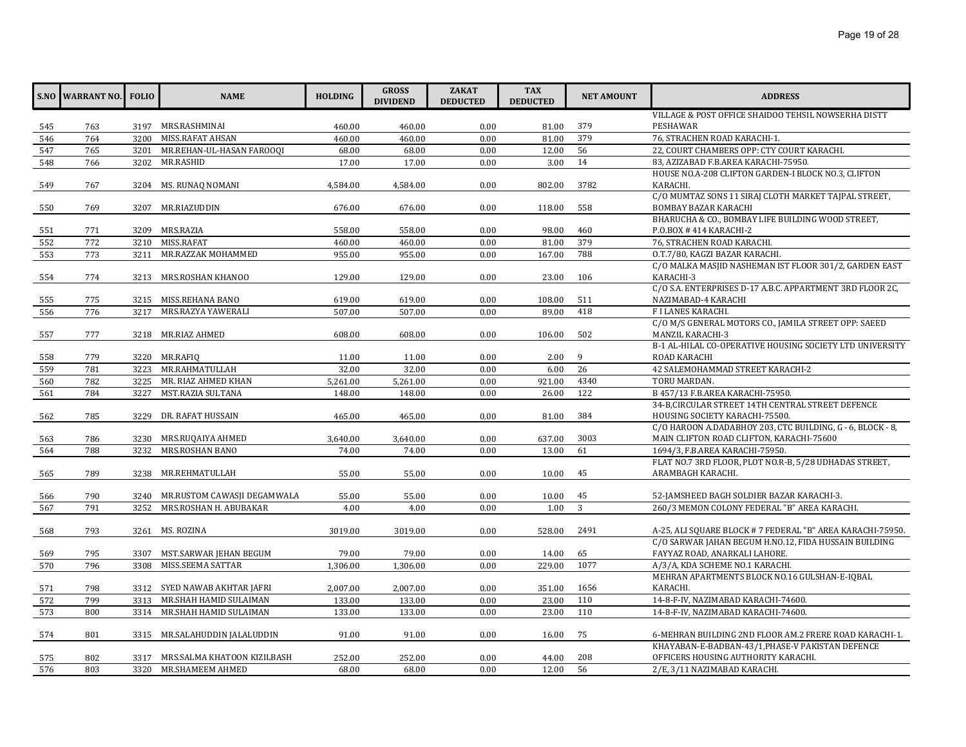|     | <b>S.NO WARRANT NO.</b> | <b>FOLIO</b> | <b>NAME</b>                      | <b>HOLDING</b>   | <b>GROSS</b><br><b>DIVIDEND</b> | <b>ZAKAT</b><br><b>DEDUCTED</b> | <b>TAX</b><br><b>DEDUCTED</b> | <b>NET AMOUNT</b> | <b>ADDRESS</b>                                             |
|-----|-------------------------|--------------|----------------------------------|------------------|---------------------------------|---------------------------------|-------------------------------|-------------------|------------------------------------------------------------|
|     |                         |              |                                  |                  |                                 |                                 |                               |                   | VILLAGE & POST OFFICE SHAIDOO TEHSIL NOWSERHA DISTT        |
| 545 | 763                     |              | 3197 MRS.RASHMINAI               | 460.00           | 460.00                          | 0.00                            | 81.00                         | 379               | PESHAWAR                                                   |
| 546 | 764                     | 3200         | MISS.RAFAT AHSAN                 | 460.00           | 460.00                          | 0.00                            | 81.00                         | 379               | 76, STRACHEN ROAD KARACHI-1.                               |
| 547 | 765                     | 3201         | MR.REHAN-UL-HASAN FAROOOI        | 68.00            | 68.00                           | 0.00                            | 12.00                         | 56                | 22, COURT CHAMBERS OPP: CTY COURT KARACHI.                 |
| 548 | 766                     | 3202         | MR.RASHID                        | 17.00            | 17.00                           | 0.00                            | 3.00                          | 14                | 83, AZIZABAD F.B.AREA KARACHI-75950.                       |
|     |                         |              |                                  |                  |                                 |                                 |                               |                   | HOUSE NO.A-208 CLIFTON GARDEN-I BLOCK NO.3, CLIFTON        |
| 549 | 767                     |              | 3204 MS. RUNAQ NOMANI            | 4,584.00         | 4,584.00                        | 0.00                            | 802.00                        | 3782              | KARACHI.                                                   |
|     |                         |              |                                  |                  |                                 |                                 |                               |                   | C/O MUMTAZ SONS 11 SIRAJ CLOTH MARKET TAJPAL STREET,       |
| 550 | 769                     |              | 3207 MR.RIAZUDDIN                | 676.00           | 676.00                          | 0.00                            | 118.00                        | 558               | <b>BOMBAY BAZAR KARACHI</b>                                |
|     |                         |              |                                  |                  |                                 |                                 |                               |                   | BHARUCHA & CO., BOMBAY LIFE BUILDING WOOD STREET,          |
| 551 | 771                     |              | 3209 MRS.RAZIA                   | 558.00           | 558.00                          | 0.00                            | 98.00                         | 460               | P.O.BOX #414 KARACHI-2                                     |
| 552 | 772                     |              | 3210 MISS.RAFAT                  | 460.00           | 460.00                          | 0.00                            | 81.00                         | 379               | 76, STRACHEN ROAD KARACHI.                                 |
| 553 | 773                     | 3211         | MR.RAZZAK MOHAMMED               | 955.00           | 955.00                          | 0.00                            | 167.00                        | 788               | O.T.7/80, KAGZI BAZAR KARACHI.                             |
|     |                         |              |                                  |                  |                                 |                                 |                               |                   | C/O MALKA MASJID NASHEMAN IST FLOOR 301/2, GARDEN EAST     |
| 554 | 774                     |              | 3213 MRS.ROSHAN KHANOO           | 129.00           | 129.00                          | 0.00                            | 23.00                         | 106               | KARACHI-3                                                  |
|     |                         |              | 3215 MISS.REHANA BANO            |                  |                                 |                                 |                               | 511               | C/O S.A. ENTERPRISES D-17 A.B.C. APPARTMENT 3RD FLOOR 2C,  |
| 555 | 775<br>776              | 3217         | MRS.RAZYA YAWERALI               | 619.00<br>507.00 | 619.00<br>507.00                | 0.00<br>0.00                    | 108.00<br>89.00               | 418               | NAZIMABAD-4 KARACHI<br><b>FILANES KARACHI.</b>             |
| 556 |                         |              |                                  |                  |                                 |                                 |                               |                   | C/O M/S GENERAL MOTORS CO., JAMILA STREET OPP: SAEED       |
|     | 777                     |              | 3218 MR.RIAZ AHMED               | 608.00           | 608.00                          | 0.00                            | 106.00                        | 502               | <b>MANZIL KARACHI-3</b>                                    |
| 557 |                         |              |                                  |                  |                                 |                                 |                               |                   | B-1 AL-HILAL CO-OPERATIVE HOUSING SOCIETY LTD UNIVERSITY   |
| 558 | 779                     | 3220         | MR.RAFIQ                         | 11.00            | 11.00                           | 0.00                            | 2.00                          | 9                 | ROAD KARACHI                                               |
| 559 | 781                     | 3223         | MR.RAHMATULLAH                   | 32.00            | 32.00                           | 0.00                            | 6.00                          | 26                | 42 SALEMOHAMMAD STREET KARACHI-2                           |
| 560 | 782                     | 3225         | MR. RIAZ AHMED KHAN              | 5,261.00         | 5,261.00                        | 0.00                            | 921.00                        | 4340              | TORU MARDAN.                                               |
| 561 | 784                     | 3227         | MST.RAZIA SULTANA                | 148.00           | 148.00                          | 0.00                            | 26.00                         | 122               | B 457/13 F.B.AREA KARACHI-75950.                           |
|     |                         |              |                                  |                  |                                 |                                 |                               |                   | 34-B, CIRCULAR STREET 14TH CENTRAL STREET DEFENCE          |
| 562 | 785                     | 3229         | DR. RAFAT HUSSAIN                | 465.00           | 465.00                          | 0.00                            | 81.00                         | 384               | HOUSING SOCIETY KARACHI-75500.                             |
|     |                         |              |                                  |                  |                                 |                                 |                               |                   | C/O HAROON A.DADABHOY 203, CTC BUILDING, G - 6, BLOCK - 8, |
| 563 | 786                     | 3230         | MRS.RUQAIYA AHMED                | 3,640.00         | 3,640.00                        | 0.00                            | 637.00                        | 3003              | MAIN CLIFTON ROAD CLIFTON, KARACHI-75600                   |
| 564 | 788                     | 3232         | MRS.ROSHAN BANO                  | 74.00            | 74.00                           | 0.00                            | 13.00                         | 61                | 1694/3, F.B.AREA KARACHI-75950.                            |
|     |                         |              |                                  |                  |                                 |                                 |                               |                   | FLAT NO.7 3RD FLOOR, PLOT NO.R-B, 5/28 UDHADAS STREET,     |
| 565 | 789                     |              | 3238 MR.REHMATULLAH              | 55.00            | 55.00                           | 0.00                            | 10.00                         | 45                | ARAMBAGH KARACHI.                                          |
|     |                         |              |                                  |                  |                                 |                                 |                               |                   |                                                            |
| 566 | 790                     |              | 3240 MR.RUSTOM CAWASJI DEGAMWALA | 55.00            | 55.00                           | 0.00                            | 10.00                         | 45                | 52-JAMSHEED BAGH SOLDIER BAZAR KARACHI-3.                  |
| 567 | 791                     | 3252         | MRS.ROSHAN H. ABUBAKAR           | 4.00             | 4.00                            | 0.00                            | 1.00                          | 3                 | 260/3 MEMON COLONY FEDERAL "B" AREA KARACHI.               |
|     |                         |              |                                  |                  |                                 |                                 |                               |                   |                                                            |
| 568 | 793                     |              | 3261 MS. ROZINA                  | 3019.00          | 3019.00                         | 0.00                            | 528.00                        | 2491              | A-25, ALI SQUARE BLOCK # 7 FEDERAL "B" AREA KARACHI-75950. |
|     |                         |              |                                  |                  |                                 |                                 |                               |                   | C/O SARWAR JAHAN BEGUM H.NO.12, FIDA HUSSAIN BUILDING      |
| 569 | 795                     | 3307         | MST.SARWAR JEHAN BEGUM           | 79.00            | 79.00                           | 0.00                            | 14.00                         | 65                | FAYYAZ ROAD, ANARKALI LAHORE.                              |
| 570 | 796                     | 3308         | MISS.SEEMA SATTAR                | 1,306.00         | 1,306.00                        | 0.00                            | 229.00                        | 1077              | A/3/A, KDA SCHEME NO.1 KARACHI.                            |
|     |                         |              |                                  |                  |                                 |                                 |                               |                   | MEHRAN APARTMENTS BLOCK NO.16 GULSHAN-E-IQBAL              |
| 571 | 798                     |              | 3312 SYED NAWAB AKHTAR JAFRI     | 2,007.00         | 2,007.00                        | 0.00                            | 351.00                        | 1656              | KARACHI.                                                   |
| 572 | 799                     | 3313         | MR.SHAH HAMID SULAIMAN           | 133.00           | 133.00                          | 0.00                            | 23.00                         | 110               | 14-8-F-IV, NAZIMABAD KARACHI-74600.                        |
| 573 | 800                     | 3314         | MR.SHAH HAMID SULAIMAN           | 133.00           | 133.00                          | 0.00                            | 23.00                         | 110               | 14-8-F-IV, NAZIMABAD KARACHI-74600.                        |
|     |                         |              |                                  |                  |                                 |                                 |                               |                   |                                                            |
| 574 | 801                     |              | 3315 MR.SALAHUDDIN JALALUDDIN    | 91.00            | 91.00                           | 0.00                            | 16.00                         | 75                | 6-MEHRAN BUILDING 2ND FLOOR AM.2 FRERE ROAD KARACHI-1.     |
|     |                         |              |                                  |                  |                                 |                                 |                               |                   | KHAYABAN-E-BADBAN-43/1, PHASE-V PAKISTAN DEFENCE           |
| 575 | 802                     |              | 3317 MRS.SALMA KHATOON KIZILBASH | 252.00           | 252.00                          | 0.00                            | 44.00                         | 208               | OFFICERS HOUSING AUTHORITY KARACHI.                        |
| 576 | 803                     |              | 3320 MR.SHAMEEM AHMED            | 68.00            | 68.00                           | 0.00                            | 12.00                         | 56                | 2/E, 3/11 NAZIMABAD KARACHI.                               |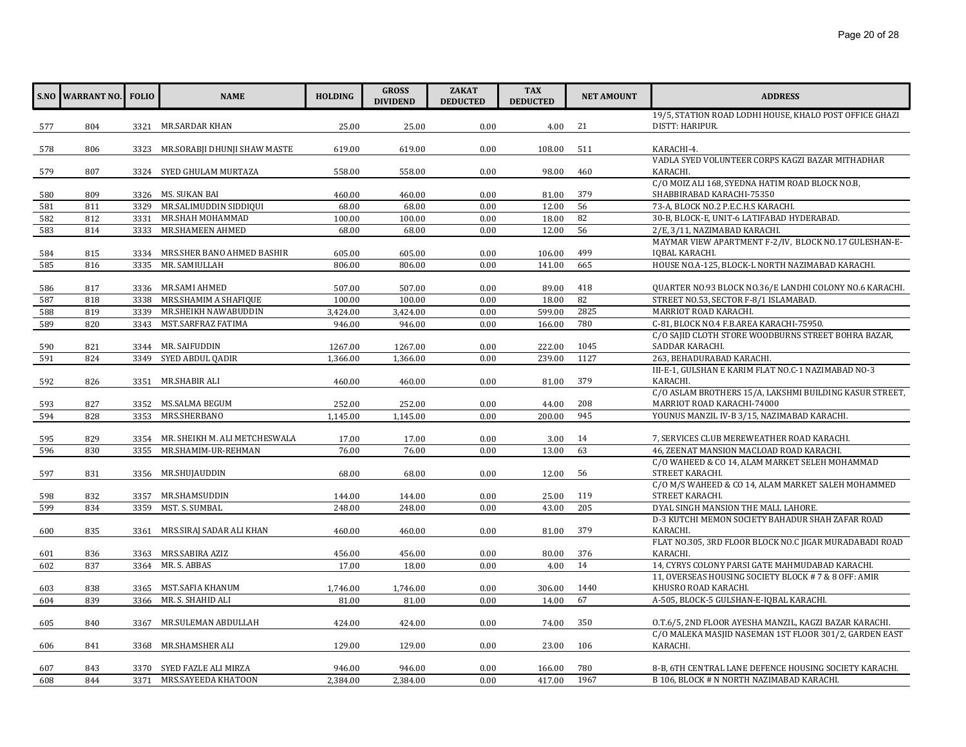|     | <b>S.NO WARRANT NO.</b> FOLIO |      | <b>NAME</b>                        | <b>HOLDING</b> | <b>GROSS</b><br><b>DIVIDEND</b> | <b>ZAKAT</b><br><b>DEDUCTED</b> | <b>TAX</b><br><b>DEDUCTED</b> | <b>NET AMOUNT</b> | <b>ADDRESS</b>                                                                                                   |
|-----|-------------------------------|------|------------------------------------|----------------|---------------------------------|---------------------------------|-------------------------------|-------------------|------------------------------------------------------------------------------------------------------------------|
|     |                               |      |                                    |                |                                 |                                 |                               |                   | 19/5, STATION ROAD LODHI HOUSE, KHALO POST OFFICE GHAZI                                                          |
| 577 | 804                           |      | 3321 MR.SARDAR KHAN                | 25.00          | 25.00                           | 0.00                            | 4.00                          | 21                | DISTT: HARIPUR.                                                                                                  |
|     |                               |      |                                    |                |                                 |                                 |                               |                   |                                                                                                                  |
| 578 | 806                           |      | 3323 MR.SORABJI DHUNJI SHAW MASTE  | 619.00         | 619.00                          | 0.00                            | 108.00                        | 511               | KARACHI-4.                                                                                                       |
|     |                               |      |                                    |                |                                 |                                 |                               | 460               | VADLA SYED VOLUNTEER CORPS KAGZI BAZAR MITHADHAR<br>KARACHI.                                                     |
| 579 | 807                           |      | 3324 SYED GHULAM MURTAZA           | 558.00         | 558.00                          | 0.00                            | 98.00                         |                   | C/O MOIZ ALI 168, SYEDNA HATIM ROAD BLOCK NO.B,                                                                  |
| 580 | 809                           |      | 3326 MS. SUKAN BAI                 | 460.00         | 460.00                          | 0.00                            | 81.00                         | 379               | SHABBIRABAD KARACHI-75350                                                                                        |
| 581 | 811                           | 3329 | MR.SALIMUDDIN SIDDIQUI             | 68.00          | 68.00                           | 0.00                            | 12.00                         | 56                | 73-A, BLOCK NO.2 P.E.C.H.S KARACHI.                                                                              |
| 582 | 812                           | 3331 | MR.SHAH MOHAMMAD                   | 100.00         | 100.00                          | 0.00                            | 18.00                         | 82                | 30-B, BLOCK-E, UNIT-6 LATIFABAD HYDERABAD.                                                                       |
| 583 | 814                           | 3333 | MR.SHAMEEN AHMED                   | 68.00          | 68.00                           | 0.00                            | 12.00                         | 56                | 2/E, 3/11, NAZIMABAD KARACHI.                                                                                    |
|     |                               |      |                                    |                |                                 |                                 |                               |                   | MAYMAR VIEW APARTMENT F-2/IV, BLOCK NO.17 GULESHAN-E-                                                            |
| 584 | 815                           |      | 3334 MRS.SHER BANO AHMED BASHIR    | 605.00         | 605.00                          | 0.00                            | 106.00                        | 499               | IQBAL KARACHI.                                                                                                   |
| 585 | 816                           | 3335 | MR. SAMIULLAH                      | 806.00         | 806.00                          | 0.00                            | 141.00                        | 665               | HOUSE NO.A-125, BLOCK-L NORTH NAZIMABAD KARACHI.                                                                 |
|     |                               |      |                                    |                |                                 |                                 |                               |                   |                                                                                                                  |
| 586 | 817                           |      | 3336 MR.SAMI AHMED                 | 507.00         | 507.00                          | 0.00                            | 89.00                         | 418               | QUARTER NO.93 BLOCK NO.36/E LANDHI COLONY NO.6 KARACHI.                                                          |
| 587 | 818                           | 3338 | MRS.SHAMIM A SHAFIQUE              | 100.00         | 100.00                          | 0.00                            | 18.00                         | 82                | STREET NO.53, SECTOR F-8/1 ISLAMABAD.                                                                            |
| 588 | 819                           | 3339 | MR.SHEIKH NAWABUDDIN               | 3,424.00       | 3,424.00                        | 0.00                            | 599.00                        | 2825              | MARRIOT ROAD KARACHI.                                                                                            |
| 589 | 820                           | 3343 | MST.SARFRAZ FATIMA                 | 946.00         | 946.00                          | 0.00                            | 166.00                        | 780               | C-81, BLOCK NO.4 F.B.AREA KARACHI-75950.                                                                         |
|     |                               |      |                                    |                |                                 |                                 |                               |                   | C/O SAIID CLOTH STORE WOODBURNS STREET BOHRA BAZAR,                                                              |
| 590 | 821                           |      | 3344 MR. SAIFUDDIN                 | 1267.00        | 1267.00                         | 0.00                            | 222.00                        | 1045              | SADDAR KARACHI.                                                                                                  |
| 591 | 824                           | 3349 | SYED ABDUL QADIR                   | 1,366.00       | 1,366.00                        | 0.00                            | 239.00                        | 1127              | 263, BEHADURABAD KARACHI.                                                                                        |
|     |                               |      |                                    |                |                                 |                                 |                               |                   | III-E-1, GULSHAN E KARIM FLAT NO.C-1 NAZIMABAD NO-3                                                              |
| 592 | 826                           |      | 3351 MR.SHABIR ALI                 | 460.00         | 460.00                          | 0.00                            | 81.00                         | 379               | KARACHI.                                                                                                         |
|     |                               |      |                                    |                |                                 |                                 |                               |                   | C/O ASLAM BROTHERS 15/A, LAKSHMI BUILDING KASUR STREET,                                                          |
| 593 | 827                           |      | 3352 MS.SALMA BEGUM                | 252.00         | 252.00                          | 0.00                            | 44.00                         | 208               | MARRIOT ROAD KARACHI-74000                                                                                       |
| 594 | 828                           | 3353 | MRS.SHERBANO                       | 1,145.00       | 1,145.00                        | 0.00                            | 200.00                        | 945               | YOUNUS MANZIL IV-B 3/15, NAZIMABAD KARACHI.                                                                      |
| 595 | 829                           |      | 3354 MR. SHEIKH M. ALI METCHESWALA | 17.00          | 17.00                           | 0.00                            | 3.00                          | 14                | 7, SERVICES CLUB MEREWEATHER ROAD KARACHI.                                                                       |
| 596 | 830                           | 3355 | MR.SHAMIM-UR-REHMAN                | 76.00          | 76.00                           | 0.00                            | 13.00                         | 63                | 46. ZEENAT MANSION MACLOAD ROAD KARACHI.                                                                         |
|     |                               |      |                                    |                |                                 |                                 |                               |                   | C/O WAHEED & CO 14, ALAM MARKET SELEH MOHAMMAD                                                                   |
| 597 | 831                           |      | 3356 MR.SHUJAUDDIN                 | 68.00          | 68.00                           | 0.00                            | 12.00                         | 56                | STREET KARACHI.                                                                                                  |
|     |                               |      |                                    |                |                                 |                                 |                               |                   | C/O M/S WAHEED & CO 14, ALAM MARKET SALEH MOHAMMED                                                               |
| 598 | 832                           | 3357 | MR.SHAMSUDDIN                      | 144.00         | 144.00                          | 0.00                            | 25.00                         | 119               | STREET KARACHI.                                                                                                  |
| 599 | 834                           | 3359 | MST. S. SUMBAL                     | 248.00         | 248.00                          | 0.00                            | 43.00                         | 205               | DYAL SINGH MANSION THE MALL LAHORE.                                                                              |
|     |                               |      |                                    |                |                                 |                                 |                               |                   | D-3 KUTCHI MEMON SOCIETY BAHADUR SHAH ZAFAR ROAD                                                                 |
| 600 | 835                           |      | 3361 MRS.SIRAJ SADAR ALI KHAN      | 460.00         | 460.00                          | 0.00                            | 81.00                         | 379               | KARACHI.                                                                                                         |
|     |                               |      |                                    |                |                                 |                                 |                               |                   | FLAT NO.305, 3RD FLOOR BLOCK NO.C JIGAR MURADABADI ROAD                                                          |
| 601 | 836                           |      | 3363 MRS.SABIRA AZIZ               | 456.00         | 456.00                          | 0.00                            | 80.00                         | 376               | KARACHI.                                                                                                         |
| 602 | 837                           | 3364 | MR. S. ABBAS                       | 17.00          | 18.00                           | 0.00                            | 4.00                          | 14                | 14, CYRYS COLONY PARSI GATE MAHMUDABAD KARACHI.                                                                  |
|     |                               |      |                                    |                |                                 |                                 |                               |                   | 11, OVERSEAS HOUSING SOCIETY BLOCK # 7 & 8 OFF: AMIR                                                             |
| 603 | 838                           |      | 3365 MST.SAFIA KHANUM              | 1,746.00       | 1,746.00                        | 0.00                            | 306.00                        | 1440              | KHUSRO ROAD KARACHI.                                                                                             |
| 604 | 839                           | 3366 | MR. S. SHAHID ALI                  | 81.00          | 81.00                           | 0.00                            | 14.00                         | 67                | A-505, BLOCK-5 GULSHAN-E-IOBAL KARACHI.                                                                          |
|     |                               |      |                                    |                |                                 |                                 |                               |                   |                                                                                                                  |
| 605 | 840                           | 3367 | MR.SULEMAN ABDULLAH                | 424.00         | 424.00                          | 0.00                            | 74.00                         | 350               | O.T.6/5, 2ND FLOOR AYESHA MANZIL, KAGZI BAZAR KARACHI.<br>C/O MALEKA MASJID NASEMAN 1ST FLOOR 301/2, GARDEN EAST |
| 606 | 841                           |      | 3368 MR.SHAMSHER ALI               | 129.00         | 129.00                          | 0.00                            | 23.00                         | 106               | KARACHI.                                                                                                         |
|     |                               |      |                                    |                |                                 |                                 |                               |                   |                                                                                                                  |
| 607 | 843                           |      | 3370 SYED FAZLE ALI MIRZA          | 946.00         | 946.00                          | 0.00                            | 166.00                        | 780               | 8-B, 6TH CENTRAL LANE DEFENCE HOUSING SOCIETY KARACHI.                                                           |
| 608 | 844                           |      | 3371 MRS.SAYEEDA KHATOON           | 2.384.00       | 2,384.00                        | 0.00                            | 417.00                        | 1967              | B 106, BLOCK # N NORTH NAZIMABAD KARACHI.                                                                        |
|     |                               |      |                                    |                |                                 |                                 |                               |                   |                                                                                                                  |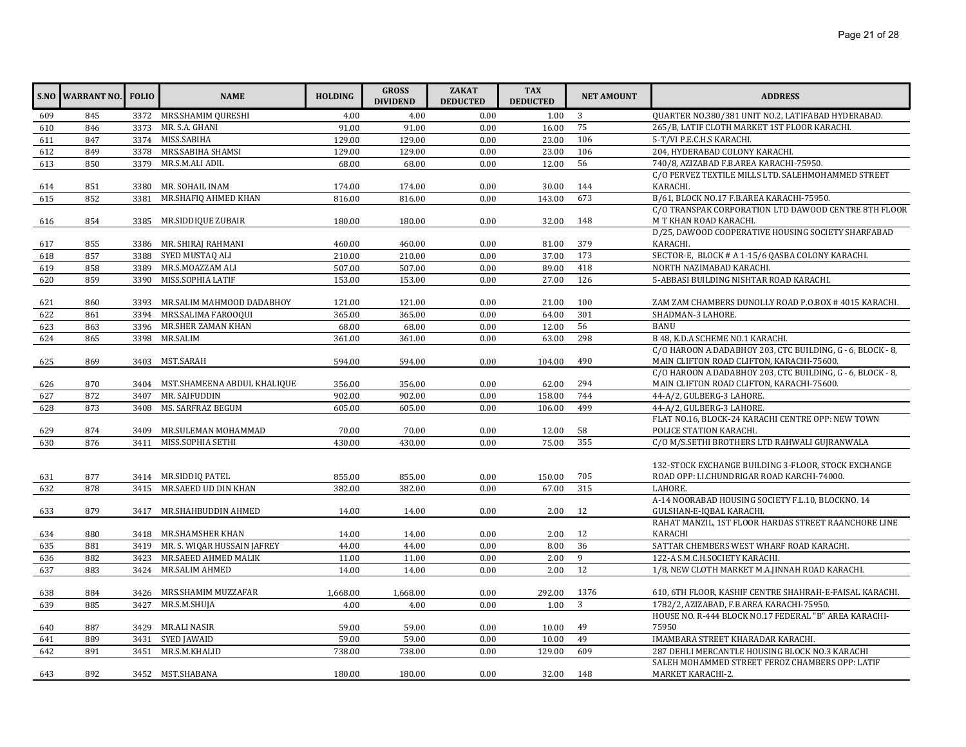|     | <b>S.NO WARRANT NO.</b> | <b>FOLIO</b> | <b>NAME</b>                      | <b>HOLDING</b> | <b>GROSS</b><br><b>DIVIDEND</b> | <b>ZAKAT</b><br><b>DEDUCTED</b> | <b>TAX</b><br><b>DEDUCTED</b> | <b>NET AMOUNT</b> | <b>ADDRESS</b>                                                                 |
|-----|-------------------------|--------------|----------------------------------|----------------|---------------------------------|---------------------------------|-------------------------------|-------------------|--------------------------------------------------------------------------------|
| 609 | 845                     |              | 3372 MRS.SHAMIM QURESHI          | 4.00           | 4.00                            | 0.00                            | 1.00                          | 3                 | QUARTER NO.380/381 UNIT NO.2, LATIFABAD HYDERABAD.                             |
| 610 | 846                     |              | 3373 MR. S.A. GHANI              | 91.00          | 91.00                           | 0.00                            | 16.00                         | 75                | 265/B, LATIF CLOTH MARKET 1ST FLOOR KARACHI.                                   |
| 611 | 847                     |              | 3374 MISS.SABIHA                 | 129.00         | 129.00                          | 0.00                            | 23.00                         | 106               | 5-T/VI P.E.C.H.S KARACHI.                                                      |
| 612 | 849                     |              | 3378 MRS.SABIHA SHAMSI           | 129.00         | 129.00                          | 0.00                            | 23.00                         | 106               | 204, HYDERABAD COLONY KARACHI.                                                 |
| 613 | 850                     | 3379         | MR.S.M.ALI ADIL                  | 68.00          | 68.00                           | 0.00                            | 12.00                         | 56                | 740/8, AZIZABAD F.B.AREA KARACHI-75950.                                        |
|     |                         |              |                                  |                |                                 |                                 |                               |                   | C/O PERVEZ TEXTILE MILLS LTD. SALEHMOHAMMED STREET                             |
| 614 | 851                     | 3380         | MR. SOHAIL INAM                  | 174.00         | 174.00                          | 0.00                            | 30.00                         | 144               | KARACHI.                                                                       |
| 615 | 852                     | 3381         | MR.SHAFIQ AHMED KHAN             | 816.00         | 816.00                          | 0.00                            | 143.00                        | 673               | B/61, BLOCK NO.17 F.B.AREA KARACHI-75950.                                      |
| 616 | 854                     |              | 3385 MR.SIDDIQUE ZUBAIR          | 180.00         | 180.00                          | 0.00                            | 32.00                         | 148               | C/O TRANSPAK CORPORATION LTD DAWOOD CENTRE 8TH FLOOR<br>M T KHAN ROAD KARACHI. |
|     |                         |              |                                  |                |                                 |                                 |                               |                   | D/25, DAWOOD COOPERATIVE HOUSING SOCIETY SHARFABAD                             |
| 617 | 855                     |              | 3386 MR. SHIRAJ RAHMANI          | 460.00         | 460.00                          | 0.00                            | 81.00                         | 379               | KARACHI.                                                                       |
| 618 | 857                     | 3388         | SYED MUSTAQ ALI                  | 210.00         | 210.00                          | 0.00                            | 37.00                         | 173               | SECTOR-E, BLOCK # A 1-15/6 QASBA COLONY KARACHI.                               |
| 619 | 858                     |              | 3389 MR.S.MOAZZAM ALI            | 507.00         | 507.00                          | 0.00                            | 89.00                         | 418               | NORTH NAZIMABAD KARACHI.                                                       |
| 620 | 859                     | 3390         | MISS.SOPHIA LATIF                | 153.00         | 153.00                          | 0.00                            | 27.00                         | 126               | 5-ABBASI BUILDING NISHTAR ROAD KARACHI.                                        |
|     |                         |              |                                  |                |                                 |                                 |                               |                   |                                                                                |
| 621 | 860                     |              | 3393 MR.SALIM MAHMOOD DADABHOY   | 121.00         | 121.00                          | 0.00                            | 21.00                         | 100               | ZAM ZAM CHAMBERS DUNOLLY ROAD P.O.BOX #4015 KARACHI.                           |
| 622 | 861                     | 3394         | MRS.SALIMA FAROOQUI              | 365.00         | 365.00                          | 0.00                            | 64.00                         | 301               | SHADMAN-3 LAHORE.                                                              |
| 623 | 863                     | 3396         | MR.SHER ZAMAN KHAN               | 68.00          | 68.00                           | 0.00                            | 12.00                         | 56                | <b>BANU</b>                                                                    |
| 624 | 865                     | 3398         | <b>MR.SALIM</b>                  | 361.00         | 361.00                          | 0.00                            | 63.00                         | 298               | B 48, K.D.A SCHEME NO.1 KARACHI.                                               |
|     |                         |              |                                  |                |                                 |                                 |                               |                   | C/O HAROON A.DADABHOY 203, CTC BUILDING, G - 6, BLOCK - 8,                     |
| 625 | 869                     | 3403         | MST.SARAH                        | 594.00         | 594.00                          | 0.00                            | 104.00                        | 490               | MAIN CLIFTON ROAD CLIFTON, KARACHI-75600.                                      |
|     |                         |              |                                  |                |                                 |                                 |                               |                   | C/O HAROON A.DADABHOY 203, CTC BUILDING, G - 6, BLOCK - 8,                     |
| 626 | 870                     |              | 3404 MST.SHAMEENA ABDUL KHALIQUE | 356.00         | 356.00                          | 0.00                            | 62.00                         | 294               | MAIN CLIFTON ROAD CLIFTON, KARACHI-75600.                                      |
| 627 | 872                     | 3407         | MR. SAIFUDDIN                    | 902.00         | 902.00                          | 0.00                            | 158.00                        | 744               | 44-A/2, GULBERG-3 LAHORE.                                                      |
| 628 | 873                     | 3408         | MS. SARFRAZ BEGUM                | 605.00         | 605.00                          | 0.00                            | 106.00                        | 499               | 44-A/2, GULBERG-3 LAHORE.                                                      |
|     |                         |              |                                  |                |                                 |                                 |                               |                   | FLAT NO.16, BLOCK-24 KARACHI CENTRE OPP: NEW TOWN                              |
| 629 | 874                     |              | 3409 MR.SULEMAN MOHAMMAD         | 70.00          | 70.00                           | 0.00                            | 12.00                         | 58                | POLICE STATION KARACHI.                                                        |
| 630 | 876                     |              | 3411 MISS.SOPHIA SETHI           | 430.00         | 430.00                          | 0.00                            | 75.00                         | 355               | C/O M/S.SETHI BROTHERS LTD RAHWALI GUJRANWALA                                  |
|     |                         |              |                                  |                |                                 |                                 |                               |                   |                                                                                |
|     |                         |              |                                  |                |                                 |                                 |                               |                   | 132-STOCK EXCHANGE BUILDING 3-FLOOR, STOCK EXCHANGE                            |
| 631 | 877                     |              | 3414 MR.SIDDIO PATEL             | 855.00         | 855.00                          | 0.00                            | 150.00                        | 705               | ROAD OPP: I.I.CHUNDRIGAR ROAD KARCHI-74000.                                    |
| 632 | 878                     |              | 3415 MR.SAEED UD DIN KHAN        | 382.00         | 382.00                          | 0.00                            | 67.00                         | 315               | LAHORE.<br>A-14 NOORABAD HOUSING SOCIETY F.L.10, BLOCKNO. 14                   |
|     | 879                     |              | 3417 MR.SHAHBUDDIN AHMED         | 14.00          |                                 | 0.00                            | 2.00                          | 12                | GULSHAN-E-IQBAL KARACHI.                                                       |
| 633 |                         |              |                                  |                | 14.00                           |                                 |                               |                   | RAHAT MANZIL, 1ST FLOOR HARDAS STREET RAANCHORE LINE                           |
| 634 | 880                     |              | 3418 MR.SHAMSHER KHAN            | 14.00          | 14.00                           | 0.00                            | 2.00                          | 12                | <b>KARACHI</b>                                                                 |
| 635 | 881                     |              | 3419 MR. S. WIQAR HUSSAIN JAFREY | 44.00          | 44.00                           | 0.00                            | 8.00                          | 36                | SATTAR CHEMBERS WEST WHARF ROAD KARACHI.                                       |
| 636 | 882                     | 3423         | MR.SAEED AHMED MALIK             | 11.00          | 11.00                           | 0.00                            | 2.00                          | 9                 | 122-A S.M.C.H.SOCIETY KARACHI.                                                 |
| 637 | 883                     |              | 3424 MR.SALIM AHMED              | 14.00          | 14.00                           | 0.00                            | 2.00                          | 12                | 1/8, NEW CLOTH MARKET M.A.JINNAH ROAD KARACHI.                                 |
|     |                         |              |                                  |                |                                 |                                 |                               |                   |                                                                                |
| 638 | 884                     |              | 3426 MRS.SHAMIM MUZZAFAR         | 1,668.00       | 1,668.00                        | 0.00                            | 292.00                        | 1376              | 610, 6TH FLOOR, KASHIF CENTRE SHAHRAH-E-FAISAL KARACHI.                        |
| 639 | 885                     | 3427         | MR.S.M.SHUJA                     | 4.00           | 4.00                            | 0.00                            | 1.00                          | 3                 | 1782/2, AZIZABAD, F.B.AREA KARACHI-75950.                                      |
|     |                         |              |                                  |                |                                 |                                 |                               |                   | HOUSE NO. R-444 BLOCK NO.17 FEDERAL "B" AREA KARACHI-                          |
| 640 | 887                     |              | 3429 MR.ALI NASIR                | 59.00          | 59.00                           | 0.00                            | 10.00                         | 49                | 75950                                                                          |
| 641 | 889                     | 3431         | <b>SYED JAWAID</b>               | 59.00          | 59.00                           | 0.00                            | 10.00                         | 49                | IMAMBARA STREET KHARADAR KARACHI.                                              |
| 642 | 891                     | 3451         | MR.S.M.KHALID                    | 738.00         | 738.00                          | 0.00                            | 129.00                        | 609               | 287 DEHLI MERCANTLE HOUSING BLOCK NO.3 KARACHI                                 |
|     |                         |              |                                  |                |                                 |                                 |                               |                   | SALEH MOHAMMED STREET FEROZ CHAMBERS OPP: LATIF                                |
| 643 | 892                     |              | 3452 MST.SHABANA                 | 180.00         | 180.00                          | 0.00                            | 32.00                         | 148               | MARKET KARACHI-2.                                                              |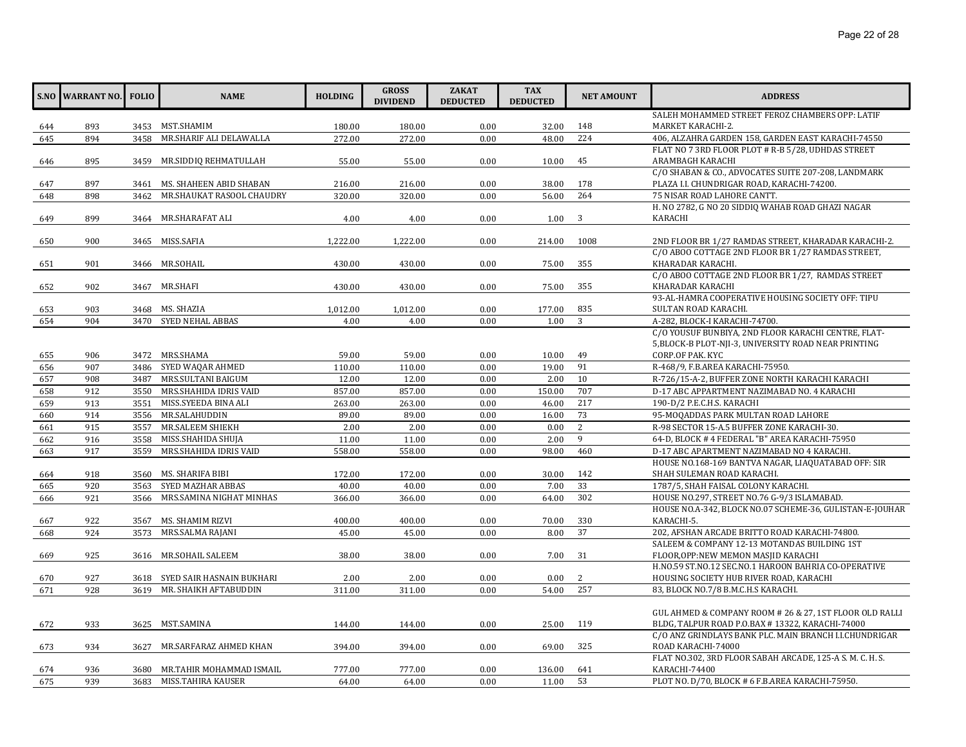|     | <b>S.NO WARRANT NO.</b> | <b>FOLIO</b> | <b>NAME</b>               | <b>HOLDING</b> | <b>GROSS</b><br><b>DIVIDEND</b> | <b>ZAKAT</b><br><b>DEDUCTED</b> | <b>TAX</b><br><b>DEDUCTED</b> | <b>NET AMOUNT</b> | <b>ADDRESS</b>                                                                                          |
|-----|-------------------------|--------------|---------------------------|----------------|---------------------------------|---------------------------------|-------------------------------|-------------------|---------------------------------------------------------------------------------------------------------|
|     |                         |              |                           |                |                                 |                                 |                               |                   | SALEH MOHAMMED STREET FEROZ CHAMBERS OPP: LATIF                                                         |
| 644 | 893                     |              | 3453 MST.SHAMIM           | 180.00         | 180.00                          | 0.00                            | 32.00                         | 148               | MARKET KARACHI-2.                                                                                       |
| 645 | 894                     | 3458         | MR.SHARIF ALI DELAWALLA   | 272.00         | 272.00                          | 0.00                            | 48.00                         | 224               | 406, ALZAHRA GARDEN 158, GARDEN EAST KARACHI-74550                                                      |
|     |                         |              |                           |                |                                 |                                 |                               |                   | FLAT NO 7 3RD FLOOR PLOT # R-B 5/28, UDHDAS STREET                                                      |
| 646 | 895                     | 3459         | MR.SIDDIQ REHMATULLAH     | 55.00          | 55.00                           | 0.00                            | 10.00                         | 45                | ARAMBAGH KARACHI                                                                                        |
| 647 | 897                     | 3461         | MS. SHAHEEN ABID SHABAN   | 216.00         | 216.00                          | 0.00                            | 38.00                         | 178               | C/O SHABAN & CO., ADVOCATES SUITE 207-208, LANDMARK<br>PLAZA I.I. CHUNDRIGAR ROAD, KARACHI-74200.       |
| 648 | 898                     | 3462         | MR.SHAUKAT RASOOL CHAUDRY | 320.00         | 320.00                          | 0.00                            | 56.00                         | 264               | 75 NISAR ROAD LAHORE CANTT.                                                                             |
| 649 | 899                     |              | 3464 MR.SHARAFAT ALI      | 4.00           | 4.00                            | 0.00                            | 1.00                          | 3                 | H. NO 2782, G NO 20 SIDDIQ WAHAB ROAD GHAZI NAGAR<br>KARACHI                                            |
| 650 | 900                     |              | 3465 MISS.SAFIA           | 1,222.00       | 1,222.00                        | 0.00                            | 214.00                        | 1008              | 2ND FLOOR BR 1/27 RAMDAS STREET, KHARADAR KARACHI-2.                                                    |
| 651 | 901                     |              | 3466 MR.SOHAIL            | 430.00         | 430.00                          | 0.00                            | 75.00                         | 355               | C/O ABOO COTTAGE 2ND FLOOR BR 1/27 RAMDAS STREET.<br>KHARADAR KARACHI.                                  |
|     |                         |              |                           |                |                                 |                                 |                               |                   | C/O ABOO COTTAGE 2ND FLOOR BR 1/27, RAMDAS STREET                                                       |
| 652 | 902                     |              | 3467 MR.SHAFI             | 430.00         | 430.00                          | 0.00                            | 75.00                         | 355               | KHARADAR KARACHI                                                                                        |
|     |                         |              |                           |                |                                 |                                 |                               |                   | 93-AL-HAMRA COOPERATIVE HOUSING SOCIETY OFF: TIPU                                                       |
| 653 | 903                     |              | 3468 MS. SHAZIA           | 1,012.00       | 1,012.00                        | 0.00                            | 177.00                        | 835               | SULTAN ROAD KARACHI.                                                                                    |
| 654 | 904                     | 3470         | SYED NEHAL ABBAS          | 4.00           | 4.00                            | 0.00                            | 1.00                          | 3                 | A-282, BLOCK-I KARACHI-74700.                                                                           |
|     |                         |              |                           |                |                                 |                                 |                               |                   | C/O YOUSUF BUNBIYA, 2ND FLOOR KARACHI CENTRE, FLAT-                                                     |
|     |                         |              |                           |                |                                 |                                 |                               |                   | 5, BLOCK-B PLOT-NJI-3, UNIVERSITY ROAD NEAR PRINTING                                                    |
| 655 | 906                     |              | 3472 MRS.SHAMA            | 59.00          | 59.00                           | 0.00                            | 10.00                         | 49                | CORP.OF PAK. KYC                                                                                        |
| 656 | 907                     | 3486         | SYED WAQAR AHMED          | 110.00         | 110.00                          | 0.00                            | 19.00                         | 91                | R-468/9, F.B.AREA KARACHI-75950.                                                                        |
| 657 | 908                     | 3487         | MRS.SULTANI BAIGUM        | 12.00          | 12.00                           | 0.00                            | 2.00                          | 10                | R-726/15-A-2, BUFFER ZONE NORTH KARACHI KARACHI                                                         |
| 658 | 912                     | 3550         | MRS.SHAHIDA IDRIS VAID    | 857.00         | 857.00                          | 0.00                            | 150.00                        | 707               | D-17 ABC APPARTMENT NAZIMABAD NO. 4 KARACHI                                                             |
| 659 | 913                     | 3551         | MISS.SYEEDA BINA ALI      | 263.00         | 263.00                          | 0.00                            | 46.00                         | 217               | 190-D/2 P.E.C.H.S. KARACHI                                                                              |
| 660 | 914                     | 3556         | MR.SALAHUDDIN             | 89.00          | 89.00                           | 0.00                            | 16.00                         | 73                | 95-MOQADDAS PARK MULTAN ROAD LAHORE                                                                     |
| 661 | 915                     | 3557         | MR.SALEEM SHIEKH          | 2.00           | 2.00                            | 0.00                            | 0.00                          | 2                 | R-98 SECTOR 15-A.5 BUFFER ZONE KARACHI-30.                                                              |
| 662 | 916                     | 3558         | MISS.SHAHIDA SHUJA        | 11.00          | 11.00                           | 0.00                            | 2.00                          | 9                 | 64-D, BLOCK #4 FEDERAL "B" AREA KARACHI-75950                                                           |
| 663 | 917                     | 3559         | MRS.SHAHIDA IDRIS VAID    | 558.00         | 558.00                          | 0.00                            | 98.00                         | 460               | D-17 ABC APARTMENT NAZIMABAD NO 4 KARACHI.                                                              |
|     |                         |              |                           |                |                                 |                                 |                               |                   | HOUSE NO.168-169 BANTVA NAGAR, LIAQUATABAD OFF: SIR                                                     |
| 664 | 918                     |              | 3560 MS. SHARIFA BIBI     | 172.00         | 172.00                          | 0.00                            | 30.00                         | 142               | SHAH SULEMAN ROAD KARACHI.                                                                              |
| 665 | 920                     | 3563         | SYED MAZHAR ABBAS         | 40.00          | 40.00                           | 0.00                            | 7.00                          | 33                | 1787/5, SHAH FAISAL COLONY KARACHI.                                                                     |
| 666 | 921                     | 3566         | MRS.SAMINA NIGHAT MINHAS  | 366.00         | 366.00                          | 0.00                            | 64.00                         | 302               | HOUSE NO.297, STREET NO.76 G-9/3 ISLAMABAD.<br>HOUSE NO.A-342, BLOCK NO.07 SCHEME-36, GULISTAN-E-JOUHAR |
| 667 | 922                     | 3567         | MS. SHAMIM RIZVI          | 400.00         | 400.00                          | 0.00                            | 70.00                         | 330               | KARACHI-5.                                                                                              |
| 668 | 924                     | 3573         | MRS.SALMA RAJANI          | 45.00          | 45.00                           | 0.00                            | 8.00                          | 37                | 202, AFSHAN ARCADE BRITTO ROAD KARACHI-74800.                                                           |
|     |                         |              |                           |                |                                 |                                 |                               |                   | SALEEM & COMPANY 12-13 MOTANDAS BUILDING 1ST                                                            |
| 669 | 925                     |              | 3616 MR.SOHAIL SALEEM     | 38.00          | 38.00                           | 0.00                            | 7.00                          | 31                | FLOOR, OPP:NEW MEMON MASJID KARACHI                                                                     |
|     |                         |              |                           |                |                                 |                                 |                               |                   | H.NO.59 ST.NO.12 SEC.NO.1 HAROON BAHRIA CO-OPERATIVE                                                    |
| 670 | 927                     | 3618         | SYED SAIR HASNAIN BUKHARI | 2.00           | 2.00                            | 0.00                            | 0.00                          | 2                 | HOUSING SOCIETY HUB RIVER ROAD, KARACHI                                                                 |
| 671 | 928                     | 3619         | MR. SHAIKH AFTABUDDIN     | 311.00         | 311.00                          | 0.00                            | 54.00                         | 257               | 83, BLOCK NO.7/8 B.M.C.H.S KARACHI.                                                                     |
|     |                         |              |                           |                |                                 |                                 |                               |                   |                                                                                                         |
|     |                         |              |                           |                |                                 |                                 |                               |                   | GUL AHMED & COMPANY ROOM # 26 & 27, 1ST FLOOR OLD RALLI                                                 |
| 672 | 933                     |              | 3625 MST.SAMINA           | 144.00         | 144.00                          | 0.00                            | 25.00                         | 119               | BLDG, TALPUR ROAD P.O.BAX # 13322, KARACHI-74000                                                        |
|     |                         |              |                           |                |                                 |                                 |                               |                   | C/O ANZ GRINDLAYS BANK PLC. MAIN BRANCH I.I.CHUNDRIGAR                                                  |
| 673 | 934                     | 3627         | MR.SARFARAZ AHMED KHAN    | 394.00         | 394.00                          | 0.00                            | 69.00                         | 325               | ROAD KARACHI-74000                                                                                      |
|     |                         |              |                           |                |                                 |                                 |                               |                   | FLAT NO.302, 3RD FLOOR SABAH ARCADE, 125-A S. M. C. H. S.                                               |
| 674 | 936                     | 3680         | MR.TAHIR MOHAMMAD ISMAIL  | 777.00         | 777.00                          | 0.00                            | 136.00                        | 641               | KARACHI-74400                                                                                           |
| 675 | 939                     |              | 3683 MISS.TAHIRA KAUSER   | 64.00          | 64.00                           | 0.00                            | 11.00                         | 53                | PLOT NO. D/70, BLOCK # 6 F.B.AREA KARACHI-75950.                                                        |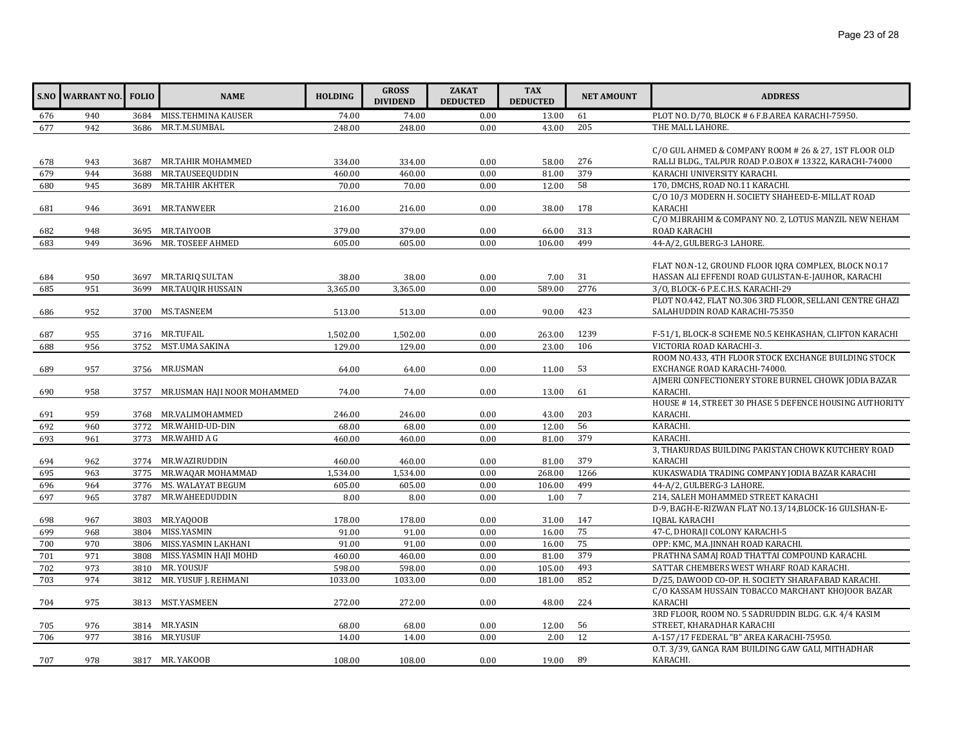|     | S.NO WARRANT NO. FOLIO |              | <b>NAME</b>                            | <b>HOLDING</b> | <b>GROSS</b><br><b>DIVIDEND</b> | <b>ZAKAT</b><br><b>DEDUCTED</b> | <b>TAX</b><br><b>DEDUCTED</b> | <b>NET AMOUNT</b> | <b>ADDRESS</b>                                                                                                  |
|-----|------------------------|--------------|----------------------------------------|----------------|---------------------------------|---------------------------------|-------------------------------|-------------------|-----------------------------------------------------------------------------------------------------------------|
| 676 | 940                    | 3684         | MISS.TEHMINA KAUSER                    | 74.00          | 74.00                           | 0.00                            | 13.00                         | 61                | PLOT NO. D/70, BLOCK # 6 F.B.AREA KARACHI-75950.                                                                |
| 677 | 942                    | 3686         | MR.T.M.SUMBAL                          | 248.00         | 248.00                          | 0.00                            | 43.00                         | 205               | THE MALL LAHORE.                                                                                                |
| 678 | 943                    |              | 3687 MR.TAHIR MOHAMMED                 | 334.00         | 334.00                          | 0.00                            | 58.00                         | 276               | C/O GUL AHMED & COMPANY ROOM # 26 & 27, 1ST FLOOR OLD<br>RALLI BLDG., TALPUR ROAD P.O.BOX #13322, KARACHI-74000 |
| 679 | 944                    | 3688         | MR.TAUSEEQUDDIN                        | 460.00         | 460.00                          | 0.00                            | 81.00                         | 379               | KARACHI UNIVERSITY KARACHI.                                                                                     |
| 680 | 945                    | 3689         | MR.TAHIR AKHTER                        | 70.00          | 70.00                           | 0.00                            | 12.00                         | 58                | 170, DMCHS, ROAD NO.11 KARACHI.                                                                                 |
| 681 | 946                    |              | 3691 MR.TANWEER                        | 216.00         | 216.00                          | 0.00                            | 38.00                         | 178               | C/O 10/3 MODERN H. SOCIETY SHAHEED-E-MILLAT ROAD<br><b>KARACHI</b>                                              |
| 682 | 948                    |              | 3695 MR.TAIYOOB                        | 379.00         | 379.00                          | 0.00                            | 66.00                         | 313               | C/O M.IBRAHIM & COMPANY NO. 2, LOTUS MANZIL NEW NEHAM<br>ROAD KARACHI                                           |
| 683 | 949                    | 3696         | MR. TOSEEF AHMED                       | 605.00         | 605.00                          | 0.00                            | 106.00                        | 499               | 44-A/2, GULBERG-3 LAHORE.                                                                                       |
| 684 | 950<br>951             | 3697<br>3699 | MR.TARIQ SULTAN                        | 38.00          | 38.00                           | 0.00<br>0.00                    | 7.00                          | 31                | FLAT NO.N-12, GROUND FLOOR IQRA COMPLEX, BLOCK NO.17<br>HASSAN ALI EFFENDI ROAD GULISTAN-E-JAUHOR, KARACHI      |
| 685 |                        |              | <b>MR.TAUQIR HUSSAIN</b>               | 3,365.00       | 3,365.00                        |                                 | 589.00                        | 2776              | 3/0, BLOCK-6 P.E.C.H.S. KARACHI-29<br>PLOT NO.442, FLAT NO.306 3RD FLOOR, SELLANI CENTRE GHAZI                  |
|     | 952                    |              | 3700 MS.TASNEEM                        | 513.00         | 513.00                          | 0.00                            | 90.00                         | 423               | SALAHUDDIN ROAD KARACHI-75350                                                                                   |
| 686 |                        |              |                                        |                |                                 |                                 |                               |                   |                                                                                                                 |
| 687 | 955                    |              | 3716 MR.TUFAIL                         | 1,502.00       | 1,502.00                        | 0.00                            | 263.00                        | 1239              | F-51/1, BLOCK-8 SCHEME NO.5 KEHKASHAN, CLIFTON KARACHI                                                          |
| 688 | 956                    |              | 3752 MST.UMA SAKINA                    | 129.00         | 129.00                          | 0.00                            | 23.00                         | 106               | VICTORIA ROAD KARACHI-3.                                                                                        |
| 689 | 957                    |              | 3756 MR.USMAN                          | 64.00          | 64.00                           | 0.00                            | 11.00                         | 53                | ROOM NO.433, 4TH FLOOR STOCK EXCHANGE BUILDING STOCK<br>EXCHANGE ROAD KARACHI-74000.                            |
| 690 | 958                    | 3757         | MR.USMAN HAJI NOOR MOHAMMED            | 74.00          | 74.00                           | 0.00                            | 13.00                         | 61                | AIMERI CONFECTIONERY STORE BURNEL CHOWK JODIA BAZAR<br>KARACHI.                                                 |
| 691 | 959                    |              | 3768 MR.VALIMOHAMMED                   | 246.00         | 246.00                          | 0.00                            | 43.00                         | 203               | HOUSE #14, STREET 30 PHASE 5 DEFENCE HOUSING AUTHORITY<br>KARACHI.                                              |
| 692 | 960                    | 3772         | MR.WAHID-UD-DIN                        | 68.00          | 68.00                           | 0.00                            | 12.00                         | 56                | KARACHI.                                                                                                        |
| 693 | 961                    | 3773         | MR.WAHID A G                           | 460.00         | 460.00                          | 0.00                            | 81.00                         | 379               | KARACHI.                                                                                                        |
|     |                        |              |                                        |                |                                 |                                 |                               |                   | 3, THAKURDAS BUILDING PAKISTAN CHOWK KUTCHERY ROAD                                                              |
| 694 | 962                    |              | 3774 MR.WAZIRUDDIN                     | 460.00         | 460.00                          | 0.00                            | 81.00                         | 379<br>1266       | KARACHI                                                                                                         |
| 695 | 963                    | 3775         | MR.WAQAR MOHAMMAD<br>MS. WALAYAT BEGUM | 1,534.00       | 1,534.00                        | 0.00                            | 268.00                        | 499               | KUKASWADIA TRADING COMPANY JODIA BAZAR KARACHI<br>44-A/2, GULBERG-3 LAHORE.                                     |
| 696 | 964                    | 3776         |                                        | 605.00         | 605.00                          | 0.00                            | 106.00                        | $\overline{7}$    |                                                                                                                 |
| 697 | 965                    | 3787         | MR.WAHEEDUDDIN                         | 8.00           | 8.00                            | 0.00                            | 1.00                          |                   | 214, SALEH MOHAMMED STREET KARACHI                                                                              |
| 698 | 967                    |              | 3803 MR.YAQOOB                         | 178.00         | 178.00                          | 0.00                            | 31.00                         | 147               | D-9, BAGH-E-RIZWAN FLAT NO.13/14, BLOCK-16 GULSHAN-E-<br><b>IOBAL KARACHI</b>                                   |
| 699 | 968                    | 3804         | MISS.YASMIN                            | 91.00          | 91.00                           | 0.00                            | 16.00                         | 75                | 47-C, DHORAJI COLONY KARACHI-5                                                                                  |
| 700 | 970                    | 3806         | MISS.YASMIN LAKHANI                    | 91.00          | 91.00                           | 0.00                            | 16.00                         | 75                | OPP: KMC, M.A.JINNAH ROAD KARACHI.                                                                              |
| 701 | 971                    | 3808         | MISS.YASMIN HAJI MOHD                  | 460.00         | 460.00                          | 0.00                            | 81.00                         | 379               | PRATHNA SAMAJ ROAD THATTAI COMPOUND KARACHI.                                                                    |
| 702 | 973                    | 3810         | MR. YOUSUF                             | 598.00         | 598.00                          | 0.00                            | 105.00                        | 493               | SATTAR CHEMBERS WEST WHARF ROAD KARACHI.                                                                        |
| 703 | 974                    | 3812         | MR. YUSUF J. REHMANI                   | 1033.00        | 1033.00                         | 0.00                            | 181.00                        | 852               | D/25, DAWOOD CO-OP. H. SOCIETY SHARAFABAD KARACHI.                                                              |
|     |                        |              |                                        |                |                                 |                                 |                               |                   | C/O KASSAM HUSSAIN TOBACCO MARCHANT KHOJOOR BAZAR                                                               |
| 704 | 975                    |              | 3813 MST.YASMEEN                       | 272.00         | 272.00                          | 0.00                            | 48.00                         | 224               | KARACHI                                                                                                         |
| 705 | 976                    |              | 3814 MR.YASIN                          | 68.00          | 68.00                           | 0.00                            | 12.00                         | 56                | 3RD FLOOR, ROOM NO. 5 SADRUDDIN BLDG. G.K. 4/4 KASIM<br>STREET, KHARADHAR KARACHI                               |
| 706 | 977                    |              | 3816 MR.YUSUF                          | 14.00          | 14.00                           | 0.00                            | 2.00                          | 12                | A-157/17 FEDERAL "B" AREA KARACHI-75950.                                                                        |
| 707 | 978                    |              | 3817 MR. YAKOOB                        | 108.00         | 108.00                          | 0.00                            | 19.00                         | 89                | O.T. 3/39, GANGA RAM BUILDING GAW GALI, MITHADHAR<br>KARACHI.                                                   |
|     |                        |              |                                        |                |                                 |                                 |                               |                   |                                                                                                                 |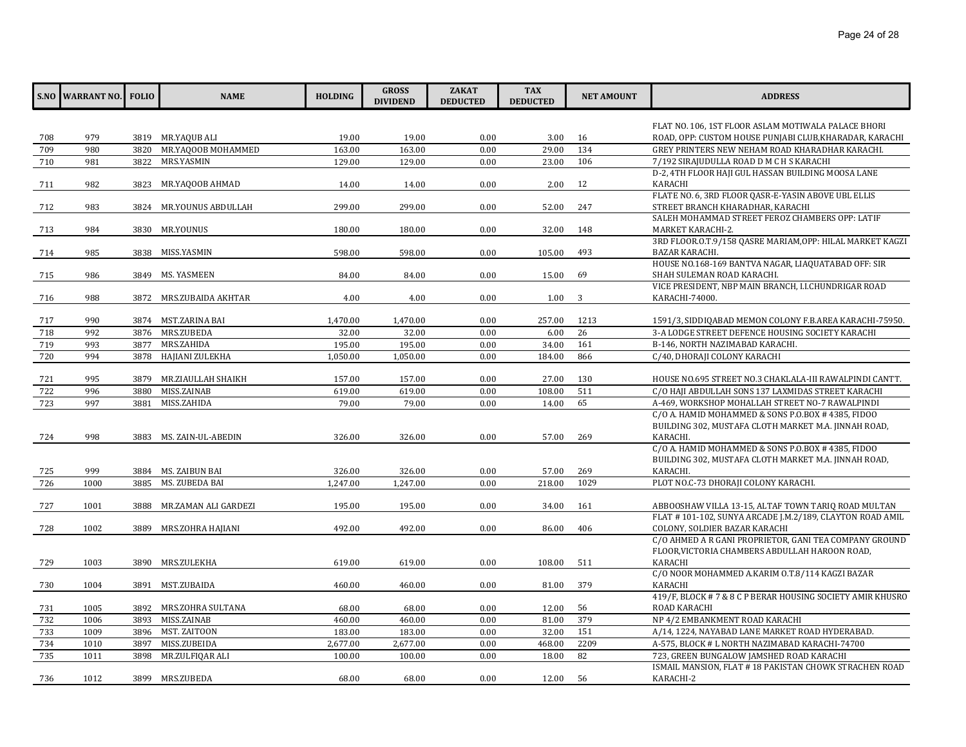|     | <b>S.NO WARRANT NO.</b> | <b>FOLIO</b> | <b>NAME</b>             | <b>HOLDING</b> | <b>GROSS</b><br><b>DIVIDEND</b> | <b>ZAKAT</b><br><b>DEDUCTED</b> | <b>TAX</b><br><b>DEDUCTED</b> | <b>NET AMOUNT</b> | <b>ADDRESS</b>                                                   |
|-----|-------------------------|--------------|-------------------------|----------------|---------------------------------|---------------------------------|-------------------------------|-------------------|------------------------------------------------------------------|
|     |                         |              |                         |                |                                 |                                 |                               |                   | FLAT NO. 106, 1ST FLOOR ASLAM MOTIWALA PALACE BHORI              |
| 708 | 979                     |              | 3819 MR.YAQUB ALI       | 19.00          | 19.00                           | 0.00                            | 3.00                          | 16                | ROAD, OPP: CUSTOM HOUSE PUNJABI CLUB, KHARADAR, KARACHI          |
| 709 | 980                     | 3820         | MR.YAQOOB MOHAMMED      | 163.00         | 163.00                          | 0.00                            | 29.00                         | 134               | GREY PRINTERS NEW NEHAM ROAD KHARADHAR KARACHI.                  |
| 710 | 981                     |              | 3822 MRS.YASMIN         | 129.00         | 129.00                          | 0.00                            | 23.00                         | 106               | 7/192 SIRAJUDULLA ROAD D M C H S KARACHI                         |
|     |                         |              |                         |                |                                 |                                 |                               |                   | D-2, 4TH FLOOR HAJI GUL HASSAN BUILDING MOOSA LANE               |
| 711 | 982                     |              | 3823 MR.YAQOOB AHMAD    | 14.00          | 14.00                           | 0.00                            | 2.00                          | 12                | KARACHI                                                          |
|     |                         |              |                         |                |                                 |                                 |                               |                   | FLATE NO. 6, 3RD FLOOR QASR-E-YASIN ABOVE UBL ELLIS              |
| 712 | 983                     |              | 3824 MR.YOUNUS ABDULLAH | 299.00         | 299.00                          | 0.00                            | 52.00                         | 247               | STREET BRANCH KHARADHAR, KARACHI                                 |
|     |                         |              |                         |                |                                 |                                 |                               |                   | SALEH MOHAMMAD STREET FEROZ CHAMBERS OPP: LATIF                  |
| 713 | 984                     |              | 3830 MR.YOUNUS          | 180.00         | 180.00                          | 0.00                            | 32.00                         | 148               | MARKET KARACHI-2.                                                |
|     |                         |              |                         |                |                                 |                                 |                               |                   | 3RD FLOOR.O.T.9/158 QASRE MARIAM, OPP: HILAL MARKET KAGZI        |
| 714 | 985                     |              | 3838 MISS.YASMIN        | 598.00         | 598.00                          | 0.00                            | 105.00                        | 493               | BAZAR KARACHI.                                                   |
|     |                         |              |                         |                |                                 |                                 |                               |                   | HOUSE NO.168-169 BANTVA NAGAR, LIAQUATABAD OFF: SIR              |
| 715 | 986                     | 3849         | MS. YASMEEN             | 84.00          | 84.00                           | 0.00                            | 15.00                         | 69                | SHAH SULEMAN ROAD KARACHI.                                       |
|     |                         |              |                         |                |                                 |                                 |                               |                   | VICE PRESIDENT, NBP MAIN BRANCH, I.I.CHUNDRIGAR ROAD             |
| 716 | 988                     | 3872         | MRS.ZUBAIDA AKHTAR      | 4.00           | 4.00                            | 0.00                            | 1.00                          | 3                 | KARACHI-74000.                                                   |
|     |                         |              |                         |                |                                 |                                 |                               |                   |                                                                  |
| 717 | 990                     |              | 3874 MST.ZARINA BAI     | 1,470.00       | 1,470.00                        | 0.00                            | 257.00                        | 1213              | 1591/3, SIDDIQABAD MEMON COLONY F.B.AREA KARACHI-75950.          |
| 718 | 992                     | 3876         | MRS.ZUBEDA              | 32.00          | 32.00                           | 0.00                            | 6.00                          | 26                | 3-A LODGE STREET DEFENCE HOUSING SOCIETY KARACHI                 |
| 719 | 993                     | 3877         | MRS.ZAHIDA              | 195.00         | 195.00                          | 0.00                            | 34.00                         | 161               | B-146, NORTH NAZIMABAD KARACHI.                                  |
| 720 | 994                     | 3878         | HAJIANI ZULEKHA         | 1,050.00       | 1,050.00                        | 0.00                            | 184.00                        | 866               | C/40, DHORAJI COLONY KARACHI                                     |
|     |                         |              |                         |                |                                 |                                 |                               |                   |                                                                  |
| 721 | 995                     | 3879         | MR.ZIAULLAH SHAIKH      | 157.00         | 157.00                          | 0.00                            | 27.00                         | 130               | HOUSE NO.695 STREET NO.3 CHAKLALA-III RAWALPINDI CANTT.          |
| 722 | 996                     | 3880         | MISS.ZAINAB             | 619.00         | 619.00                          | 0.00                            | 108.00                        | 511               | C/O HAJI ABDULLAH SONS 137 LAXMIDAS STREET KARACHI               |
| 723 | 997                     | 3881         | MISS.ZAHIDA             | 79.00          | 79.00                           | 0.00                            | 14.00                         | 65                | A-469, WORKSHOP MOHALLAH STREET NO-7 RAWALPINDI                  |
|     |                         |              |                         |                |                                 |                                 |                               |                   | C/O A. HAMID MOHAMMED & SONS P.O.BOX #4385, FIDOO                |
|     |                         |              |                         |                |                                 |                                 |                               |                   | BUILDING 302, MUSTAFA CLOTH MARKET M.A. JINNAH ROAD,             |
| 724 | 998                     |              | 3883 MS. ZAIN-UL-ABEDIN | 326.00         | 326.00                          | 0.00                            | 57.00                         | 269               | KARACHI.                                                         |
|     |                         |              |                         |                |                                 |                                 |                               |                   | C/O A. HAMID MOHAMMED & SONS P.O.BOX # 4385, FIDOO               |
| 725 | 999                     |              | 3884 MS. ZAIBUN BAI     | 326.00         | 326.00                          | 0.00                            | 57.00                         | 269               | BUILDING 302, MUSTAFA CLOTH MARKET M.A. JINNAH ROAD,<br>KARACHI. |
| 726 | 1000                    | 3885         | MS. ZUBEDA BAI          | 1,247.00       | 1,247.00                        | 0.00                            | 218.00                        | 1029              | PLOT NO.C-73 DHORAJI COLONY KARACHI.                             |
|     |                         |              |                         |                |                                 |                                 |                               |                   |                                                                  |
| 727 | 1001                    | 3888         | MR.ZAMAN ALI GARDEZI    | 195.00         | 195.00                          | 0.00                            | 34.00                         | 161               | ABBOOSHAW VILLA 13-15, ALTAF TOWN TARIQ ROAD MULTAN              |
|     |                         |              |                         |                |                                 |                                 |                               |                   | FLAT #101-102, SUNYA ARCADE J.M.2/189, CLAYTON ROAD AMIL         |
| 728 | 1002                    | 3889         | MRS.ZOHRA HAJIANI       | 492.00         | 492.00                          | 0.00                            | 86.00                         | 406               | COLONY, SOLDIER BAZAR KARACHI                                    |
|     |                         |              |                         |                |                                 |                                 |                               |                   | C/O AHMED A R GANI PROPRIETOR, GANI TEA COMPANY GROUND           |
|     |                         |              |                         |                |                                 |                                 |                               |                   | FLOOR, VICTORIA CHAMBERS ABDULLAH HAROON ROAD,                   |
| 729 | 1003                    | 3890         | MRS.ZULEKHA             | 619.00         | 619.00                          | 0.00                            | 108.00                        | 511               | KARACHI                                                          |
|     |                         |              |                         |                |                                 |                                 |                               |                   | C/O NOOR MOHAMMED A.KARIM 0.T.8/114 KAGZI BAZAR                  |
| 730 | 1004                    | 3891         | MST.ZUBAIDA             | 460.00         | 460.00                          | 0.00                            | 81.00                         | 379               | KARACHI                                                          |
|     |                         |              |                         |                |                                 |                                 |                               |                   | 419/F, BLOCK #7&8CP BERAR HOUSING SOCIETY AMIR KHUSRO            |
| 731 | 1005                    |              | 3892 MRS.ZOHRA SULTANA  | 68.00          | 68.00                           | 0.00                            | 12.00                         | 56                | ROAD KARACHI                                                     |
| 732 | 1006                    | 3893         | MISS.ZAINAB             | 460.00         | 460.00                          | 0.00                            | 81.00                         | 379               | NP 4/2 EMBANKMENT ROAD KARACHI                                   |
| 733 | 1009                    |              | 3896 MST. ZAITOON       | 183.00         | 183.00                          | 0.00                            | 32.00                         | 151               | A/14, 1224, NAYABAD LANE MARKET ROAD HYDERABAD.                  |
| 734 | 1010                    | 3897         | MISS.ZUBEIDA            | 2,677.00       | 2,677.00                        | 0.00                            | 468.00                        | 2209              | A-575, BLOCK # L NORTH NAZIMABAD KARACHI-74700                   |
| 735 | 1011                    | 3898         | MR.ZULFIQAR ALI         | 100.00         | 100.00                          | 0.00                            | 18.00                         | 82                | 723, GREEN BUNGALOW JAMSHED ROAD KARACHI                         |
|     |                         |              |                         |                |                                 |                                 |                               |                   | ISMAIL MANSION, FLAT # 18 PAKISTAN CHOWK STRACHEN ROAD           |
| 736 | 1012                    |              | 3899 MRS.ZUBEDA         | 68.00          | 68.00                           | 0.00                            | 12.00                         | 56                | KARACHI-2                                                        |
|     |                         |              |                         |                |                                 |                                 |                               |                   |                                                                  |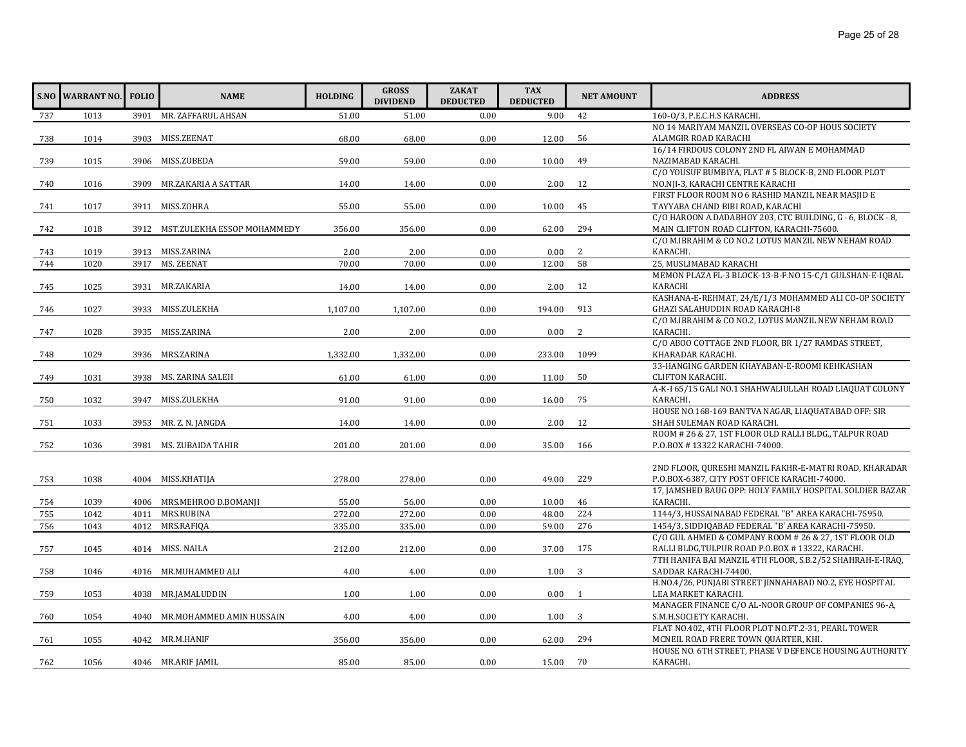| 1013<br>3901 MR. ZAFFARUL AHSAN<br>51.00<br>51.00<br>0.00<br>42<br>160-0/3, P.E.C.H.S KARACHI.<br>737<br>9.00<br>NO 14 MARIYAM MANZIL OVERSEAS CO-OP HOUS SOCIETY<br>3903 MISS.ZEENAT<br>56<br>68.00<br>68.00<br>0.00<br>ALAMGIR ROAD KARACHI<br>738<br>1014<br>12.00<br>16/14 FIRDOUS COLONY 2ND FL AIWAN E MOHAMMAD<br>59.00<br>739<br>1015<br>3906 MISS.ZUBEDA<br>59.00<br>0.00<br>10.00<br>49<br>NAZIMABAD KARACHI.<br>C/O YOUSUF BUMBIYA, FLAT # 5 BLOCK-B, 2ND FLOOR PLOT<br>NO.NJI-3, KARACHI CENTRE KARACHI<br>MR.ZAKARIA A SATTAR<br>14.00<br>0.00<br>2.00<br>12<br>740<br>1016<br>3909<br>14.00<br>FIRST FLOOR ROOM NO 6 RASHID MANZIL NEAR MASJID E<br>3911 MISS.ZOHRA<br>55.00<br>55.00<br>0.00<br>10.00<br>45<br>TAYYABA CHAND BIBI ROAD, KARACHI<br>1017<br>741<br>C/O HAROON A.DADABHOY 203, CTC BUILDING, G - 6, BLOCK - 8,<br>3912 MST.ZULEKHA ESSOP MOHAMMEDY<br>0.00<br>294<br>MAIN CLIFTON ROAD CLIFTON, KARACHI-75600.<br>742<br>1018<br>356.00<br>356.00<br>62.00<br>C/O M.IBRAHIM & CO NO.2 LOTUS MANZIL NEW NEHAM ROAD<br>KARACHI.<br>3913 MISS.ZARINA<br>2<br>1019<br>2.00<br>2.00<br>0.00<br>0.00<br>743<br>3917 MS. ZEENAT<br>58<br>25, MUSLIMABAD KARACHI<br>744<br>1020<br>70.00<br>70.00<br>0.00<br>12.00<br>MEMON PLAZA FL-3 BLOCK-13-B-F.NO 15-C/1 GULSHAN-E-IQBAL<br>1025<br>3931 MR.ZAKARIA<br>14.00<br>14.00<br>0.00<br>2.00<br>12<br>KARACHI<br>745<br>KASHANA-E-REHMAT, 24/E/1/3 MOHAMMED ALI CO-OP SOCIETY<br>1027<br>194.00<br>GHAZI SALAHUDDIN ROAD KARACHI-8<br>3933 MISS.ZULEKHA<br>1,107.00<br>1,107.00<br>0.00<br>913<br>746<br>C/O M.IBRAHIM & CO NO.2, LOTUS MANZIL NEW NEHAM ROAD<br>KARACHI.<br>3935 MISS.ZARINA<br>2.00<br>2.00<br>0.00<br>0.00<br>2<br>747<br>1028<br>C/O ABOO COTTAGE 2ND FLOOR, BR 1/27 RAMDAS STREET,<br>1099<br>KHARADAR KARACHI.<br>3936 MRS.ZARINA<br>1,332.00<br>1029<br>1,332.00<br>0.00<br>233.00<br>748<br>33-HANGING GARDEN KHAYABAN-E-ROOMI KEHKASHAN<br>3938 MS. ZARINA SALEH<br>61.00<br>0.00<br>11.00<br>50<br><b>CLIFTON KARACHI.</b><br>749<br>1031<br>61.00<br>A-K-I 65/15 GALI NO.1 SHAHWALIULLAH ROAD LIAQUAT COLONY<br>75<br>1032<br>3947 MISS.ZULEKHA<br>91.00<br>KARACHI.<br>91.00<br>0.00<br>16.00<br>750<br>HOUSE NO.168-169 BANTVA NAGAR, LIAQUATABAD OFF: SIR<br>14.00<br>0.00<br>SHAH SULEMAN ROAD KARACHI.<br>751<br>1033<br>3953 MR. Z. N. JANGDA<br>14.00<br>2.00<br>12<br>ROOM # 26 & 27, 1ST FLOOR OLD RALLI BLDG., TALPUR ROAD<br>1036<br>0.00<br>166<br>P.O.BOX #13322 KARACHI-74000.<br>752<br>3981 MS. ZUBAIDA TAHIR<br>201.00<br>201.00<br>35.00<br>2ND FLOOR, QURESHI MANZIL FAKHR-E-MATRI ROAD, KHARADAR<br>278.00<br>229<br>P.O.BOX-6387, CITY POST OFFICE KARACHI-74000.<br>1038<br>4004 MISS.KHATIJA<br>278.00<br>0.00<br>49.00<br>753<br>17, JAMSHED BAUG OPP: HOLY FAMILY HOSPITAL SOLDIER BAZAR<br>4006 MRS.MEHROO D.BOMANJI<br>46<br>KARACHI.<br>1039<br>55.00<br>56.00<br>0.00<br>10.00<br>754<br>MRS.RUBINA<br>224<br>1144/3, HUSSAINABAD FEDERAL "B" AREA KARACHI-75950.<br>1042<br>272.00<br>272.00<br>0.00<br>48.00<br>755<br>4011<br>756<br>1043<br>335.00<br>335.00<br>59.00<br>276<br>1454/3, SIDDIOABAD FEDERAL "B' AREA KARACHI-75950.<br>4012<br>MRS.RAFIQA<br>0.00<br>C/O GUL AHMED & COMPANY ROOM # 26 & 27, 1ST FLOOR OLD<br>212.00<br>175<br>RALLI BLDG, TULPUR ROAD P.O.BOX #13322, KARACHI.<br>757<br>1045<br>4014 MISS. NAILA<br>212.00<br>0.00<br>37.00<br>7TH HANIFA BAI MANZIL 4TH FLOOR, S.B.2/52 SHAHRAH-E-IRAQ,<br>3<br>4016 MR.MUHAMMED ALI<br>4.00<br>4.00<br>0.00<br>1.00<br>SADDAR KARACHI-74400.<br>758<br>1046<br>H.NO.4/26, PUNJABI STREET JINNAHABAD NO.2, EYE HOSPITAL<br>759<br>1053<br>1.00<br>1.00<br>0.00<br>0.00<br>LEA MARKET KARACHI.<br>4038 MR.JAMALUDDIN<br>1<br>MANAGER FINANCE C/O AL-NOOR GROUP OF COMPANIES 96-A,<br>S.M.H.SOCIETY KARACHI.<br>MR.MOHAMMED AMIN HUSSAIN<br>4.00<br>4.00<br>3<br>760<br>1054<br>4040<br>0.00<br>1.00<br>FLAT NO.402, 4TH FLOOR PLOT NO.FT.2-31, PEARL TOWER<br>MCNEIL ROAD FRERE TOWN QUARTER, KHI.<br>1055<br>4042 MR.M.HANIF<br>356.00<br>356.00<br>0.00<br>62.00<br>294<br>761<br>HOUSE NO. 6TH STREET, PHASE V DEFENCE HOUSING AUTHORITY<br>4046 MR.ARIF JAMIL<br>70<br>KARACHI.<br>762<br>1056<br>85.00<br>85.00<br>0.00<br>15.00 | <b>S.NO WARRANT NO.</b> | <b>FOLIO</b> | <b>NAME</b> | <b>HOLDING</b> | <b>GROSS</b><br><b>DIVIDEND</b> | <b>ZAKAT</b><br><b>DEDUCTED</b> | <b>TAX</b><br><b>DEDUCTED</b> | <b>NET AMOUNT</b> | <b>ADDRESS</b> |
|---------------------------------------------------------------------------------------------------------------------------------------------------------------------------------------------------------------------------------------------------------------------------------------------------------------------------------------------------------------------------------------------------------------------------------------------------------------------------------------------------------------------------------------------------------------------------------------------------------------------------------------------------------------------------------------------------------------------------------------------------------------------------------------------------------------------------------------------------------------------------------------------------------------------------------------------------------------------------------------------------------------------------------------------------------------------------------------------------------------------------------------------------------------------------------------------------------------------------------------------------------------------------------------------------------------------------------------------------------------------------------------------------------------------------------------------------------------------------------------------------------------------------------------------------------------------------------------------------------------------------------------------------------------------------------------------------------------------------------------------------------------------------------------------------------------------------------------------------------------------------------------------------------------------------------------------------------------------------------------------------------------------------------------------------------------------------------------------------------------------------------------------------------------------------------------------------------------------------------------------------------------------------------------------------------------------------------------------------------------------------------------------------------------------------------------------------------------------------------------------------------------------------------------------------------------------------------------------------------------------------------------------------------------------------------------------------------------------------------------------------------------------------------------------------------------------------------------------------------------------------------------------------------------------------------------------------------------------------------------------------------------------------------------------------------------------------------------------------------------------------------------------------------------------------------------------------------------------------------------------------------------------------------------------------------------------------------------------------------------------------------------------------------------------------------------------------------------------------------------------------------------------------------------------------------------------------------------------------------------------------------------------------------------------------------------------------------------------------------------------------------------------------------------------------------------------------------------------------------------------------------------------------------------------------------------------------------------------------------------------------------------------------------------------------------------------------------------------------------------------------------------------------------------------------------------------------------------------------------------|-------------------------|--------------|-------------|----------------|---------------------------------|---------------------------------|-------------------------------|-------------------|----------------|
|                                                                                                                                                                                                                                                                                                                                                                                                                                                                                                                                                                                                                                                                                                                                                                                                                                                                                                                                                                                                                                                                                                                                                                                                                                                                                                                                                                                                                                                                                                                                                                                                                                                                                                                                                                                                                                                                                                                                                                                                                                                                                                                                                                                                                                                                                                                                                                                                                                                                                                                                                                                                                                                                                                                                                                                                                                                                                                                                                                                                                                                                                                                                                                                                                                                                                                                                                                                                                                                                                                                                                                                                                                                                                                                                                                                                                                                                                                                                                                                                                                                                                                                                                                                                                                       |                         |              |             |                |                                 |                                 |                               |                   |                |
|                                                                                                                                                                                                                                                                                                                                                                                                                                                                                                                                                                                                                                                                                                                                                                                                                                                                                                                                                                                                                                                                                                                                                                                                                                                                                                                                                                                                                                                                                                                                                                                                                                                                                                                                                                                                                                                                                                                                                                                                                                                                                                                                                                                                                                                                                                                                                                                                                                                                                                                                                                                                                                                                                                                                                                                                                                                                                                                                                                                                                                                                                                                                                                                                                                                                                                                                                                                                                                                                                                                                                                                                                                                                                                                                                                                                                                                                                                                                                                                                                                                                                                                                                                                                                                       |                         |              |             |                |                                 |                                 |                               |                   |                |
|                                                                                                                                                                                                                                                                                                                                                                                                                                                                                                                                                                                                                                                                                                                                                                                                                                                                                                                                                                                                                                                                                                                                                                                                                                                                                                                                                                                                                                                                                                                                                                                                                                                                                                                                                                                                                                                                                                                                                                                                                                                                                                                                                                                                                                                                                                                                                                                                                                                                                                                                                                                                                                                                                                                                                                                                                                                                                                                                                                                                                                                                                                                                                                                                                                                                                                                                                                                                                                                                                                                                                                                                                                                                                                                                                                                                                                                                                                                                                                                                                                                                                                                                                                                                                                       |                         |              |             |                |                                 |                                 |                               |                   |                |
|                                                                                                                                                                                                                                                                                                                                                                                                                                                                                                                                                                                                                                                                                                                                                                                                                                                                                                                                                                                                                                                                                                                                                                                                                                                                                                                                                                                                                                                                                                                                                                                                                                                                                                                                                                                                                                                                                                                                                                                                                                                                                                                                                                                                                                                                                                                                                                                                                                                                                                                                                                                                                                                                                                                                                                                                                                                                                                                                                                                                                                                                                                                                                                                                                                                                                                                                                                                                                                                                                                                                                                                                                                                                                                                                                                                                                                                                                                                                                                                                                                                                                                                                                                                                                                       |                         |              |             |                |                                 |                                 |                               |                   |                |
|                                                                                                                                                                                                                                                                                                                                                                                                                                                                                                                                                                                                                                                                                                                                                                                                                                                                                                                                                                                                                                                                                                                                                                                                                                                                                                                                                                                                                                                                                                                                                                                                                                                                                                                                                                                                                                                                                                                                                                                                                                                                                                                                                                                                                                                                                                                                                                                                                                                                                                                                                                                                                                                                                                                                                                                                                                                                                                                                                                                                                                                                                                                                                                                                                                                                                                                                                                                                                                                                                                                                                                                                                                                                                                                                                                                                                                                                                                                                                                                                                                                                                                                                                                                                                                       |                         |              |             |                |                                 |                                 |                               |                   |                |
|                                                                                                                                                                                                                                                                                                                                                                                                                                                                                                                                                                                                                                                                                                                                                                                                                                                                                                                                                                                                                                                                                                                                                                                                                                                                                                                                                                                                                                                                                                                                                                                                                                                                                                                                                                                                                                                                                                                                                                                                                                                                                                                                                                                                                                                                                                                                                                                                                                                                                                                                                                                                                                                                                                                                                                                                                                                                                                                                                                                                                                                                                                                                                                                                                                                                                                                                                                                                                                                                                                                                                                                                                                                                                                                                                                                                                                                                                                                                                                                                                                                                                                                                                                                                                                       |                         |              |             |                |                                 |                                 |                               |                   |                |
|                                                                                                                                                                                                                                                                                                                                                                                                                                                                                                                                                                                                                                                                                                                                                                                                                                                                                                                                                                                                                                                                                                                                                                                                                                                                                                                                                                                                                                                                                                                                                                                                                                                                                                                                                                                                                                                                                                                                                                                                                                                                                                                                                                                                                                                                                                                                                                                                                                                                                                                                                                                                                                                                                                                                                                                                                                                                                                                                                                                                                                                                                                                                                                                                                                                                                                                                                                                                                                                                                                                                                                                                                                                                                                                                                                                                                                                                                                                                                                                                                                                                                                                                                                                                                                       |                         |              |             |                |                                 |                                 |                               |                   |                |
|                                                                                                                                                                                                                                                                                                                                                                                                                                                                                                                                                                                                                                                                                                                                                                                                                                                                                                                                                                                                                                                                                                                                                                                                                                                                                                                                                                                                                                                                                                                                                                                                                                                                                                                                                                                                                                                                                                                                                                                                                                                                                                                                                                                                                                                                                                                                                                                                                                                                                                                                                                                                                                                                                                                                                                                                                                                                                                                                                                                                                                                                                                                                                                                                                                                                                                                                                                                                                                                                                                                                                                                                                                                                                                                                                                                                                                                                                                                                                                                                                                                                                                                                                                                                                                       |                         |              |             |                |                                 |                                 |                               |                   |                |
|                                                                                                                                                                                                                                                                                                                                                                                                                                                                                                                                                                                                                                                                                                                                                                                                                                                                                                                                                                                                                                                                                                                                                                                                                                                                                                                                                                                                                                                                                                                                                                                                                                                                                                                                                                                                                                                                                                                                                                                                                                                                                                                                                                                                                                                                                                                                                                                                                                                                                                                                                                                                                                                                                                                                                                                                                                                                                                                                                                                                                                                                                                                                                                                                                                                                                                                                                                                                                                                                                                                                                                                                                                                                                                                                                                                                                                                                                                                                                                                                                                                                                                                                                                                                                                       |                         |              |             |                |                                 |                                 |                               |                   |                |
|                                                                                                                                                                                                                                                                                                                                                                                                                                                                                                                                                                                                                                                                                                                                                                                                                                                                                                                                                                                                                                                                                                                                                                                                                                                                                                                                                                                                                                                                                                                                                                                                                                                                                                                                                                                                                                                                                                                                                                                                                                                                                                                                                                                                                                                                                                                                                                                                                                                                                                                                                                                                                                                                                                                                                                                                                                                                                                                                                                                                                                                                                                                                                                                                                                                                                                                                                                                                                                                                                                                                                                                                                                                                                                                                                                                                                                                                                                                                                                                                                                                                                                                                                                                                                                       |                         |              |             |                |                                 |                                 |                               |                   |                |
|                                                                                                                                                                                                                                                                                                                                                                                                                                                                                                                                                                                                                                                                                                                                                                                                                                                                                                                                                                                                                                                                                                                                                                                                                                                                                                                                                                                                                                                                                                                                                                                                                                                                                                                                                                                                                                                                                                                                                                                                                                                                                                                                                                                                                                                                                                                                                                                                                                                                                                                                                                                                                                                                                                                                                                                                                                                                                                                                                                                                                                                                                                                                                                                                                                                                                                                                                                                                                                                                                                                                                                                                                                                                                                                                                                                                                                                                                                                                                                                                                                                                                                                                                                                                                                       |                         |              |             |                |                                 |                                 |                               |                   |                |
|                                                                                                                                                                                                                                                                                                                                                                                                                                                                                                                                                                                                                                                                                                                                                                                                                                                                                                                                                                                                                                                                                                                                                                                                                                                                                                                                                                                                                                                                                                                                                                                                                                                                                                                                                                                                                                                                                                                                                                                                                                                                                                                                                                                                                                                                                                                                                                                                                                                                                                                                                                                                                                                                                                                                                                                                                                                                                                                                                                                                                                                                                                                                                                                                                                                                                                                                                                                                                                                                                                                                                                                                                                                                                                                                                                                                                                                                                                                                                                                                                                                                                                                                                                                                                                       |                         |              |             |                |                                 |                                 |                               |                   |                |
|                                                                                                                                                                                                                                                                                                                                                                                                                                                                                                                                                                                                                                                                                                                                                                                                                                                                                                                                                                                                                                                                                                                                                                                                                                                                                                                                                                                                                                                                                                                                                                                                                                                                                                                                                                                                                                                                                                                                                                                                                                                                                                                                                                                                                                                                                                                                                                                                                                                                                                                                                                                                                                                                                                                                                                                                                                                                                                                                                                                                                                                                                                                                                                                                                                                                                                                                                                                                                                                                                                                                                                                                                                                                                                                                                                                                                                                                                                                                                                                                                                                                                                                                                                                                                                       |                         |              |             |                |                                 |                                 |                               |                   |                |
|                                                                                                                                                                                                                                                                                                                                                                                                                                                                                                                                                                                                                                                                                                                                                                                                                                                                                                                                                                                                                                                                                                                                                                                                                                                                                                                                                                                                                                                                                                                                                                                                                                                                                                                                                                                                                                                                                                                                                                                                                                                                                                                                                                                                                                                                                                                                                                                                                                                                                                                                                                                                                                                                                                                                                                                                                                                                                                                                                                                                                                                                                                                                                                                                                                                                                                                                                                                                                                                                                                                                                                                                                                                                                                                                                                                                                                                                                                                                                                                                                                                                                                                                                                                                                                       |                         |              |             |                |                                 |                                 |                               |                   |                |
|                                                                                                                                                                                                                                                                                                                                                                                                                                                                                                                                                                                                                                                                                                                                                                                                                                                                                                                                                                                                                                                                                                                                                                                                                                                                                                                                                                                                                                                                                                                                                                                                                                                                                                                                                                                                                                                                                                                                                                                                                                                                                                                                                                                                                                                                                                                                                                                                                                                                                                                                                                                                                                                                                                                                                                                                                                                                                                                                                                                                                                                                                                                                                                                                                                                                                                                                                                                                                                                                                                                                                                                                                                                                                                                                                                                                                                                                                                                                                                                                                                                                                                                                                                                                                                       |                         |              |             |                |                                 |                                 |                               |                   |                |
|                                                                                                                                                                                                                                                                                                                                                                                                                                                                                                                                                                                                                                                                                                                                                                                                                                                                                                                                                                                                                                                                                                                                                                                                                                                                                                                                                                                                                                                                                                                                                                                                                                                                                                                                                                                                                                                                                                                                                                                                                                                                                                                                                                                                                                                                                                                                                                                                                                                                                                                                                                                                                                                                                                                                                                                                                                                                                                                                                                                                                                                                                                                                                                                                                                                                                                                                                                                                                                                                                                                                                                                                                                                                                                                                                                                                                                                                                                                                                                                                                                                                                                                                                                                                                                       |                         |              |             |                |                                 |                                 |                               |                   |                |
|                                                                                                                                                                                                                                                                                                                                                                                                                                                                                                                                                                                                                                                                                                                                                                                                                                                                                                                                                                                                                                                                                                                                                                                                                                                                                                                                                                                                                                                                                                                                                                                                                                                                                                                                                                                                                                                                                                                                                                                                                                                                                                                                                                                                                                                                                                                                                                                                                                                                                                                                                                                                                                                                                                                                                                                                                                                                                                                                                                                                                                                                                                                                                                                                                                                                                                                                                                                                                                                                                                                                                                                                                                                                                                                                                                                                                                                                                                                                                                                                                                                                                                                                                                                                                                       |                         |              |             |                |                                 |                                 |                               |                   |                |
|                                                                                                                                                                                                                                                                                                                                                                                                                                                                                                                                                                                                                                                                                                                                                                                                                                                                                                                                                                                                                                                                                                                                                                                                                                                                                                                                                                                                                                                                                                                                                                                                                                                                                                                                                                                                                                                                                                                                                                                                                                                                                                                                                                                                                                                                                                                                                                                                                                                                                                                                                                                                                                                                                                                                                                                                                                                                                                                                                                                                                                                                                                                                                                                                                                                                                                                                                                                                                                                                                                                                                                                                                                                                                                                                                                                                                                                                                                                                                                                                                                                                                                                                                                                                                                       |                         |              |             |                |                                 |                                 |                               |                   |                |
|                                                                                                                                                                                                                                                                                                                                                                                                                                                                                                                                                                                                                                                                                                                                                                                                                                                                                                                                                                                                                                                                                                                                                                                                                                                                                                                                                                                                                                                                                                                                                                                                                                                                                                                                                                                                                                                                                                                                                                                                                                                                                                                                                                                                                                                                                                                                                                                                                                                                                                                                                                                                                                                                                                                                                                                                                                                                                                                                                                                                                                                                                                                                                                                                                                                                                                                                                                                                                                                                                                                                                                                                                                                                                                                                                                                                                                                                                                                                                                                                                                                                                                                                                                                                                                       |                         |              |             |                |                                 |                                 |                               |                   |                |
|                                                                                                                                                                                                                                                                                                                                                                                                                                                                                                                                                                                                                                                                                                                                                                                                                                                                                                                                                                                                                                                                                                                                                                                                                                                                                                                                                                                                                                                                                                                                                                                                                                                                                                                                                                                                                                                                                                                                                                                                                                                                                                                                                                                                                                                                                                                                                                                                                                                                                                                                                                                                                                                                                                                                                                                                                                                                                                                                                                                                                                                                                                                                                                                                                                                                                                                                                                                                                                                                                                                                                                                                                                                                                                                                                                                                                                                                                                                                                                                                                                                                                                                                                                                                                                       |                         |              |             |                |                                 |                                 |                               |                   |                |
|                                                                                                                                                                                                                                                                                                                                                                                                                                                                                                                                                                                                                                                                                                                                                                                                                                                                                                                                                                                                                                                                                                                                                                                                                                                                                                                                                                                                                                                                                                                                                                                                                                                                                                                                                                                                                                                                                                                                                                                                                                                                                                                                                                                                                                                                                                                                                                                                                                                                                                                                                                                                                                                                                                                                                                                                                                                                                                                                                                                                                                                                                                                                                                                                                                                                                                                                                                                                                                                                                                                                                                                                                                                                                                                                                                                                                                                                                                                                                                                                                                                                                                                                                                                                                                       |                         |              |             |                |                                 |                                 |                               |                   |                |
|                                                                                                                                                                                                                                                                                                                                                                                                                                                                                                                                                                                                                                                                                                                                                                                                                                                                                                                                                                                                                                                                                                                                                                                                                                                                                                                                                                                                                                                                                                                                                                                                                                                                                                                                                                                                                                                                                                                                                                                                                                                                                                                                                                                                                                                                                                                                                                                                                                                                                                                                                                                                                                                                                                                                                                                                                                                                                                                                                                                                                                                                                                                                                                                                                                                                                                                                                                                                                                                                                                                                                                                                                                                                                                                                                                                                                                                                                                                                                                                                                                                                                                                                                                                                                                       |                         |              |             |                |                                 |                                 |                               |                   |                |
|                                                                                                                                                                                                                                                                                                                                                                                                                                                                                                                                                                                                                                                                                                                                                                                                                                                                                                                                                                                                                                                                                                                                                                                                                                                                                                                                                                                                                                                                                                                                                                                                                                                                                                                                                                                                                                                                                                                                                                                                                                                                                                                                                                                                                                                                                                                                                                                                                                                                                                                                                                                                                                                                                                                                                                                                                                                                                                                                                                                                                                                                                                                                                                                                                                                                                                                                                                                                                                                                                                                                                                                                                                                                                                                                                                                                                                                                                                                                                                                                                                                                                                                                                                                                                                       |                         |              |             |                |                                 |                                 |                               |                   |                |
|                                                                                                                                                                                                                                                                                                                                                                                                                                                                                                                                                                                                                                                                                                                                                                                                                                                                                                                                                                                                                                                                                                                                                                                                                                                                                                                                                                                                                                                                                                                                                                                                                                                                                                                                                                                                                                                                                                                                                                                                                                                                                                                                                                                                                                                                                                                                                                                                                                                                                                                                                                                                                                                                                                                                                                                                                                                                                                                                                                                                                                                                                                                                                                                                                                                                                                                                                                                                                                                                                                                                                                                                                                                                                                                                                                                                                                                                                                                                                                                                                                                                                                                                                                                                                                       |                         |              |             |                |                                 |                                 |                               |                   |                |
|                                                                                                                                                                                                                                                                                                                                                                                                                                                                                                                                                                                                                                                                                                                                                                                                                                                                                                                                                                                                                                                                                                                                                                                                                                                                                                                                                                                                                                                                                                                                                                                                                                                                                                                                                                                                                                                                                                                                                                                                                                                                                                                                                                                                                                                                                                                                                                                                                                                                                                                                                                                                                                                                                                                                                                                                                                                                                                                                                                                                                                                                                                                                                                                                                                                                                                                                                                                                                                                                                                                                                                                                                                                                                                                                                                                                                                                                                                                                                                                                                                                                                                                                                                                                                                       |                         |              |             |                |                                 |                                 |                               |                   |                |
|                                                                                                                                                                                                                                                                                                                                                                                                                                                                                                                                                                                                                                                                                                                                                                                                                                                                                                                                                                                                                                                                                                                                                                                                                                                                                                                                                                                                                                                                                                                                                                                                                                                                                                                                                                                                                                                                                                                                                                                                                                                                                                                                                                                                                                                                                                                                                                                                                                                                                                                                                                                                                                                                                                                                                                                                                                                                                                                                                                                                                                                                                                                                                                                                                                                                                                                                                                                                                                                                                                                                                                                                                                                                                                                                                                                                                                                                                                                                                                                                                                                                                                                                                                                                                                       |                         |              |             |                |                                 |                                 |                               |                   |                |
|                                                                                                                                                                                                                                                                                                                                                                                                                                                                                                                                                                                                                                                                                                                                                                                                                                                                                                                                                                                                                                                                                                                                                                                                                                                                                                                                                                                                                                                                                                                                                                                                                                                                                                                                                                                                                                                                                                                                                                                                                                                                                                                                                                                                                                                                                                                                                                                                                                                                                                                                                                                                                                                                                                                                                                                                                                                                                                                                                                                                                                                                                                                                                                                                                                                                                                                                                                                                                                                                                                                                                                                                                                                                                                                                                                                                                                                                                                                                                                                                                                                                                                                                                                                                                                       |                         |              |             |                |                                 |                                 |                               |                   |                |
|                                                                                                                                                                                                                                                                                                                                                                                                                                                                                                                                                                                                                                                                                                                                                                                                                                                                                                                                                                                                                                                                                                                                                                                                                                                                                                                                                                                                                                                                                                                                                                                                                                                                                                                                                                                                                                                                                                                                                                                                                                                                                                                                                                                                                                                                                                                                                                                                                                                                                                                                                                                                                                                                                                                                                                                                                                                                                                                                                                                                                                                                                                                                                                                                                                                                                                                                                                                                                                                                                                                                                                                                                                                                                                                                                                                                                                                                                                                                                                                                                                                                                                                                                                                                                                       |                         |              |             |                |                                 |                                 |                               |                   |                |
|                                                                                                                                                                                                                                                                                                                                                                                                                                                                                                                                                                                                                                                                                                                                                                                                                                                                                                                                                                                                                                                                                                                                                                                                                                                                                                                                                                                                                                                                                                                                                                                                                                                                                                                                                                                                                                                                                                                                                                                                                                                                                                                                                                                                                                                                                                                                                                                                                                                                                                                                                                                                                                                                                                                                                                                                                                                                                                                                                                                                                                                                                                                                                                                                                                                                                                                                                                                                                                                                                                                                                                                                                                                                                                                                                                                                                                                                                                                                                                                                                                                                                                                                                                                                                                       |                         |              |             |                |                                 |                                 |                               |                   |                |
|                                                                                                                                                                                                                                                                                                                                                                                                                                                                                                                                                                                                                                                                                                                                                                                                                                                                                                                                                                                                                                                                                                                                                                                                                                                                                                                                                                                                                                                                                                                                                                                                                                                                                                                                                                                                                                                                                                                                                                                                                                                                                                                                                                                                                                                                                                                                                                                                                                                                                                                                                                                                                                                                                                                                                                                                                                                                                                                                                                                                                                                                                                                                                                                                                                                                                                                                                                                                                                                                                                                                                                                                                                                                                                                                                                                                                                                                                                                                                                                                                                                                                                                                                                                                                                       |                         |              |             |                |                                 |                                 |                               |                   |                |
|                                                                                                                                                                                                                                                                                                                                                                                                                                                                                                                                                                                                                                                                                                                                                                                                                                                                                                                                                                                                                                                                                                                                                                                                                                                                                                                                                                                                                                                                                                                                                                                                                                                                                                                                                                                                                                                                                                                                                                                                                                                                                                                                                                                                                                                                                                                                                                                                                                                                                                                                                                                                                                                                                                                                                                                                                                                                                                                                                                                                                                                                                                                                                                                                                                                                                                                                                                                                                                                                                                                                                                                                                                                                                                                                                                                                                                                                                                                                                                                                                                                                                                                                                                                                                                       |                         |              |             |                |                                 |                                 |                               |                   |                |
|                                                                                                                                                                                                                                                                                                                                                                                                                                                                                                                                                                                                                                                                                                                                                                                                                                                                                                                                                                                                                                                                                                                                                                                                                                                                                                                                                                                                                                                                                                                                                                                                                                                                                                                                                                                                                                                                                                                                                                                                                                                                                                                                                                                                                                                                                                                                                                                                                                                                                                                                                                                                                                                                                                                                                                                                                                                                                                                                                                                                                                                                                                                                                                                                                                                                                                                                                                                                                                                                                                                                                                                                                                                                                                                                                                                                                                                                                                                                                                                                                                                                                                                                                                                                                                       |                         |              |             |                |                                 |                                 |                               |                   |                |
|                                                                                                                                                                                                                                                                                                                                                                                                                                                                                                                                                                                                                                                                                                                                                                                                                                                                                                                                                                                                                                                                                                                                                                                                                                                                                                                                                                                                                                                                                                                                                                                                                                                                                                                                                                                                                                                                                                                                                                                                                                                                                                                                                                                                                                                                                                                                                                                                                                                                                                                                                                                                                                                                                                                                                                                                                                                                                                                                                                                                                                                                                                                                                                                                                                                                                                                                                                                                                                                                                                                                                                                                                                                                                                                                                                                                                                                                                                                                                                                                                                                                                                                                                                                                                                       |                         |              |             |                |                                 |                                 |                               |                   |                |
|                                                                                                                                                                                                                                                                                                                                                                                                                                                                                                                                                                                                                                                                                                                                                                                                                                                                                                                                                                                                                                                                                                                                                                                                                                                                                                                                                                                                                                                                                                                                                                                                                                                                                                                                                                                                                                                                                                                                                                                                                                                                                                                                                                                                                                                                                                                                                                                                                                                                                                                                                                                                                                                                                                                                                                                                                                                                                                                                                                                                                                                                                                                                                                                                                                                                                                                                                                                                                                                                                                                                                                                                                                                                                                                                                                                                                                                                                                                                                                                                                                                                                                                                                                                                                                       |                         |              |             |                |                                 |                                 |                               |                   |                |
|                                                                                                                                                                                                                                                                                                                                                                                                                                                                                                                                                                                                                                                                                                                                                                                                                                                                                                                                                                                                                                                                                                                                                                                                                                                                                                                                                                                                                                                                                                                                                                                                                                                                                                                                                                                                                                                                                                                                                                                                                                                                                                                                                                                                                                                                                                                                                                                                                                                                                                                                                                                                                                                                                                                                                                                                                                                                                                                                                                                                                                                                                                                                                                                                                                                                                                                                                                                                                                                                                                                                                                                                                                                                                                                                                                                                                                                                                                                                                                                                                                                                                                                                                                                                                                       |                         |              |             |                |                                 |                                 |                               |                   |                |
|                                                                                                                                                                                                                                                                                                                                                                                                                                                                                                                                                                                                                                                                                                                                                                                                                                                                                                                                                                                                                                                                                                                                                                                                                                                                                                                                                                                                                                                                                                                                                                                                                                                                                                                                                                                                                                                                                                                                                                                                                                                                                                                                                                                                                                                                                                                                                                                                                                                                                                                                                                                                                                                                                                                                                                                                                                                                                                                                                                                                                                                                                                                                                                                                                                                                                                                                                                                                                                                                                                                                                                                                                                                                                                                                                                                                                                                                                                                                                                                                                                                                                                                                                                                                                                       |                         |              |             |                |                                 |                                 |                               |                   |                |
|                                                                                                                                                                                                                                                                                                                                                                                                                                                                                                                                                                                                                                                                                                                                                                                                                                                                                                                                                                                                                                                                                                                                                                                                                                                                                                                                                                                                                                                                                                                                                                                                                                                                                                                                                                                                                                                                                                                                                                                                                                                                                                                                                                                                                                                                                                                                                                                                                                                                                                                                                                                                                                                                                                                                                                                                                                                                                                                                                                                                                                                                                                                                                                                                                                                                                                                                                                                                                                                                                                                                                                                                                                                                                                                                                                                                                                                                                                                                                                                                                                                                                                                                                                                                                                       |                         |              |             |                |                                 |                                 |                               |                   |                |
|                                                                                                                                                                                                                                                                                                                                                                                                                                                                                                                                                                                                                                                                                                                                                                                                                                                                                                                                                                                                                                                                                                                                                                                                                                                                                                                                                                                                                                                                                                                                                                                                                                                                                                                                                                                                                                                                                                                                                                                                                                                                                                                                                                                                                                                                                                                                                                                                                                                                                                                                                                                                                                                                                                                                                                                                                                                                                                                                                                                                                                                                                                                                                                                                                                                                                                                                                                                                                                                                                                                                                                                                                                                                                                                                                                                                                                                                                                                                                                                                                                                                                                                                                                                                                                       |                         |              |             |                |                                 |                                 |                               |                   |                |
|                                                                                                                                                                                                                                                                                                                                                                                                                                                                                                                                                                                                                                                                                                                                                                                                                                                                                                                                                                                                                                                                                                                                                                                                                                                                                                                                                                                                                                                                                                                                                                                                                                                                                                                                                                                                                                                                                                                                                                                                                                                                                                                                                                                                                                                                                                                                                                                                                                                                                                                                                                                                                                                                                                                                                                                                                                                                                                                                                                                                                                                                                                                                                                                                                                                                                                                                                                                                                                                                                                                                                                                                                                                                                                                                                                                                                                                                                                                                                                                                                                                                                                                                                                                                                                       |                         |              |             |                |                                 |                                 |                               |                   |                |
|                                                                                                                                                                                                                                                                                                                                                                                                                                                                                                                                                                                                                                                                                                                                                                                                                                                                                                                                                                                                                                                                                                                                                                                                                                                                                                                                                                                                                                                                                                                                                                                                                                                                                                                                                                                                                                                                                                                                                                                                                                                                                                                                                                                                                                                                                                                                                                                                                                                                                                                                                                                                                                                                                                                                                                                                                                                                                                                                                                                                                                                                                                                                                                                                                                                                                                                                                                                                                                                                                                                                                                                                                                                                                                                                                                                                                                                                                                                                                                                                                                                                                                                                                                                                                                       |                         |              |             |                |                                 |                                 |                               |                   |                |
|                                                                                                                                                                                                                                                                                                                                                                                                                                                                                                                                                                                                                                                                                                                                                                                                                                                                                                                                                                                                                                                                                                                                                                                                                                                                                                                                                                                                                                                                                                                                                                                                                                                                                                                                                                                                                                                                                                                                                                                                                                                                                                                                                                                                                                                                                                                                                                                                                                                                                                                                                                                                                                                                                                                                                                                                                                                                                                                                                                                                                                                                                                                                                                                                                                                                                                                                                                                                                                                                                                                                                                                                                                                                                                                                                                                                                                                                                                                                                                                                                                                                                                                                                                                                                                       |                         |              |             |                |                                 |                                 |                               |                   |                |
|                                                                                                                                                                                                                                                                                                                                                                                                                                                                                                                                                                                                                                                                                                                                                                                                                                                                                                                                                                                                                                                                                                                                                                                                                                                                                                                                                                                                                                                                                                                                                                                                                                                                                                                                                                                                                                                                                                                                                                                                                                                                                                                                                                                                                                                                                                                                                                                                                                                                                                                                                                                                                                                                                                                                                                                                                                                                                                                                                                                                                                                                                                                                                                                                                                                                                                                                                                                                                                                                                                                                                                                                                                                                                                                                                                                                                                                                                                                                                                                                                                                                                                                                                                                                                                       |                         |              |             |                |                                 |                                 |                               |                   |                |
|                                                                                                                                                                                                                                                                                                                                                                                                                                                                                                                                                                                                                                                                                                                                                                                                                                                                                                                                                                                                                                                                                                                                                                                                                                                                                                                                                                                                                                                                                                                                                                                                                                                                                                                                                                                                                                                                                                                                                                                                                                                                                                                                                                                                                                                                                                                                                                                                                                                                                                                                                                                                                                                                                                                                                                                                                                                                                                                                                                                                                                                                                                                                                                                                                                                                                                                                                                                                                                                                                                                                                                                                                                                                                                                                                                                                                                                                                                                                                                                                                                                                                                                                                                                                                                       |                         |              |             |                |                                 |                                 |                               |                   |                |
|                                                                                                                                                                                                                                                                                                                                                                                                                                                                                                                                                                                                                                                                                                                                                                                                                                                                                                                                                                                                                                                                                                                                                                                                                                                                                                                                                                                                                                                                                                                                                                                                                                                                                                                                                                                                                                                                                                                                                                                                                                                                                                                                                                                                                                                                                                                                                                                                                                                                                                                                                                                                                                                                                                                                                                                                                                                                                                                                                                                                                                                                                                                                                                                                                                                                                                                                                                                                                                                                                                                                                                                                                                                                                                                                                                                                                                                                                                                                                                                                                                                                                                                                                                                                                                       |                         |              |             |                |                                 |                                 |                               |                   |                |
|                                                                                                                                                                                                                                                                                                                                                                                                                                                                                                                                                                                                                                                                                                                                                                                                                                                                                                                                                                                                                                                                                                                                                                                                                                                                                                                                                                                                                                                                                                                                                                                                                                                                                                                                                                                                                                                                                                                                                                                                                                                                                                                                                                                                                                                                                                                                                                                                                                                                                                                                                                                                                                                                                                                                                                                                                                                                                                                                                                                                                                                                                                                                                                                                                                                                                                                                                                                                                                                                                                                                                                                                                                                                                                                                                                                                                                                                                                                                                                                                                                                                                                                                                                                                                                       |                         |              |             |                |                                 |                                 |                               |                   |                |
|                                                                                                                                                                                                                                                                                                                                                                                                                                                                                                                                                                                                                                                                                                                                                                                                                                                                                                                                                                                                                                                                                                                                                                                                                                                                                                                                                                                                                                                                                                                                                                                                                                                                                                                                                                                                                                                                                                                                                                                                                                                                                                                                                                                                                                                                                                                                                                                                                                                                                                                                                                                                                                                                                                                                                                                                                                                                                                                                                                                                                                                                                                                                                                                                                                                                                                                                                                                                                                                                                                                                                                                                                                                                                                                                                                                                                                                                                                                                                                                                                                                                                                                                                                                                                                       |                         |              |             |                |                                 |                                 |                               |                   |                |
|                                                                                                                                                                                                                                                                                                                                                                                                                                                                                                                                                                                                                                                                                                                                                                                                                                                                                                                                                                                                                                                                                                                                                                                                                                                                                                                                                                                                                                                                                                                                                                                                                                                                                                                                                                                                                                                                                                                                                                                                                                                                                                                                                                                                                                                                                                                                                                                                                                                                                                                                                                                                                                                                                                                                                                                                                                                                                                                                                                                                                                                                                                                                                                                                                                                                                                                                                                                                                                                                                                                                                                                                                                                                                                                                                                                                                                                                                                                                                                                                                                                                                                                                                                                                                                       |                         |              |             |                |                                 |                                 |                               |                   |                |
|                                                                                                                                                                                                                                                                                                                                                                                                                                                                                                                                                                                                                                                                                                                                                                                                                                                                                                                                                                                                                                                                                                                                                                                                                                                                                                                                                                                                                                                                                                                                                                                                                                                                                                                                                                                                                                                                                                                                                                                                                                                                                                                                                                                                                                                                                                                                                                                                                                                                                                                                                                                                                                                                                                                                                                                                                                                                                                                                                                                                                                                                                                                                                                                                                                                                                                                                                                                                                                                                                                                                                                                                                                                                                                                                                                                                                                                                                                                                                                                                                                                                                                                                                                                                                                       |                         |              |             |                |                                 |                                 |                               |                   |                |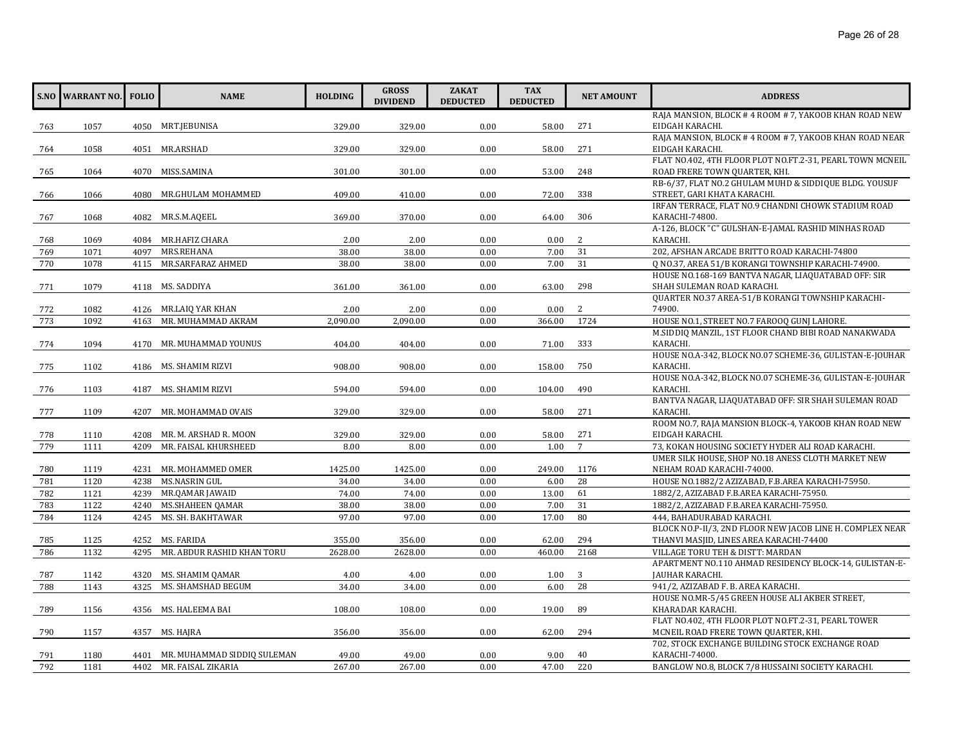|     | <b>S.NO WARRANT NO. FOLIO</b> |      | <b>NAME</b>                      | <b>HOLDING</b> | <b>GROSS</b><br><b>DIVIDEND</b> | <b>ZAKAT</b><br><b>DEDUCTED</b> | <b>TAX</b><br><b>DEDUCTED</b> | <b>NET AMOUNT</b> | <b>ADDRESS</b>                                            |
|-----|-------------------------------|------|----------------------------------|----------------|---------------------------------|---------------------------------|-------------------------------|-------------------|-----------------------------------------------------------|
|     |                               |      |                                  |                |                                 |                                 |                               |                   | RAJA MANSION, BLOCK #4 ROOM #7, YAKOOB KHAN ROAD NEW      |
| 763 | 1057                          |      | 4050 MRT.JEBUNISA                | 329.00         | 329.00                          | 0.00                            | 58.00                         | 271               | EIDGAH KARACHI.                                           |
|     |                               |      |                                  |                |                                 |                                 |                               |                   | RAJA MANSION, BLOCK #4 ROOM #7, YAKOOB KHAN ROAD NEAR     |
| 764 | 1058                          |      | 4051 MR.ARSHAD                   | 329.00         | 329.00                          | 0.00                            | 58.00                         | 271               | EIDGAH KARACHI.                                           |
|     |                               |      |                                  |                |                                 |                                 |                               |                   | FLAT NO.402, 4TH FLOOR PLOT NO.FT.2-31, PEARL TOWN MCNEIL |
| 765 | 1064                          |      | 4070 MISS.SAMINA                 | 301.00         | 301.00                          | 0.00                            | 53.00                         | 248               | ROAD FRERE TOWN QUARTER, KHI.                             |
|     |                               |      |                                  |                |                                 |                                 |                               |                   | RB-6/37, FLAT NO.2 GHULAM MUHD & SIDDIQUE BLDG. YOUSUF    |
| 766 | 1066                          | 4080 | MR.GHULAM MOHAMMED               | 409.00         | 410.00                          | 0.00                            | 72.00                         | 338               | STREET, GARI KHATA KARACHI.                               |
|     |                               |      |                                  |                |                                 |                                 |                               |                   | IRFAN TERRACE, FLAT NO.9 CHANDNI CHOWK STADIUM ROAD       |
| 767 | 1068                          |      | 4082 MR.S.M.AQEEL                | 369.00         | 370.00                          | 0.00                            | 64.00                         | 306               | KARACHI-74800.                                            |
|     |                               |      |                                  |                |                                 |                                 |                               |                   | A-126, BLOCK "C" GULSHAN-E-JAMAL RASHID MINHAS ROAD       |
| 768 | 1069                          |      | 4084 MR.HAFIZ CHARA              | 2.00           | 2.00                            | 0.00                            | 0.00                          | 2                 | KARACHI.                                                  |
| 769 | 1071                          | 4097 | MRS.REHANA                       | 38.00          | 38.00                           | 0.00                            | 7.00                          | 31                | 202, AFSHAN ARCADE BRITTO ROAD KARACHI-74800              |
| 770 | 1078                          |      | 4115 MR.SARFARAZ AHMED           | 38.00          | 38.00                           | 0.00                            | 7.00                          | 31                | O NO.37, AREA 51/B KORANGI TOWNSHIP KARACHI-74900.        |
|     |                               |      |                                  |                |                                 |                                 |                               |                   | HOUSE NO.168-169 BANTVA NAGAR, LIAQUATABAD OFF: SIR       |
| 771 | 1079                          |      | 4118 MS. SADDIYA                 | 361.00         | 361.00                          | 0.00                            | 63.00                         | 298               | SHAH SULEMAN ROAD KARACHI.                                |
|     |                               |      |                                  |                |                                 |                                 |                               |                   | QUARTER NO.37 AREA-51/B KORANGI TOWNSHIP KARACHI-         |
| 772 | 1082                          |      | 4126 MR.LAIQ YAR KHAN            | 2.00           | 2.00                            | 0.00                            | 0.00                          | 2                 | 74900.                                                    |
| 773 | 1092                          | 4163 | MR. MUHAMMAD AKRAM               | 2,090.00       | 2,090.00                        | 0.00                            | 366.00                        | 1724              | HOUSE NO.1, STREET NO.7 FAROOQ GUNJ LAHORE.               |
|     |                               |      |                                  |                |                                 |                                 |                               |                   | M.SIDDIQ MANZIL, 1ST FLOOR CHAND BIBI ROAD NANAKWADA      |
| 774 | 1094                          |      | 4170 MR. MUHAMMAD YOUNUS         | 404.00         | 404.00                          | 0.00                            | 71.00                         | 333               | KARACHI.                                                  |
|     |                               |      |                                  |                |                                 |                                 |                               |                   | HOUSE NO.A-342, BLOCK NO.07 SCHEME-36, GULISTAN-E-JOUHAR  |
| 775 | 1102                          |      | 4186 MS. SHAMIM RIZVI            | 908.00         | 908.00                          | 0.00                            | 158.00                        | 750               | KARACHI.                                                  |
|     |                               |      |                                  |                |                                 |                                 |                               |                   | HOUSE NO.A-342, BLOCK NO.07 SCHEME-36, GULISTAN-E-JOUHAR  |
| 776 | 1103                          |      | 4187 MS. SHAMIM RIZVI            | 594.00         | 594.00                          | 0.00                            | 104.00                        | 490               | KARACHI.                                                  |
|     |                               |      |                                  |                |                                 |                                 |                               |                   | BANTVA NAGAR, LIAQUATABAD OFF: SIR SHAH SULEMAN ROAD      |
| 777 | 1109                          |      | 4207 MR. MOHAMMAD OVAIS          | 329.00         | 329.00                          | 0.00                            | 58.00                         | 271               | KARACHI.                                                  |
|     |                               |      |                                  |                |                                 |                                 |                               |                   | ROOM NO.7, RAJA MANSION BLOCK-4, YAKOOB KHAN ROAD NEW     |
| 778 | 1110                          | 4208 | MR. M. ARSHAD R. MOON            | 329.00         | 329.00                          | 0.00                            | 58.00                         | 271               | EIDGAH KARACHI.                                           |
| 779 | 1111                          | 4209 | MR. FAISAL KHURSHEED             | 8.00           | 8.00                            | 0.00                            | 1.00                          | $\overline{7}$    | 73, KOKAN HOUSING SOCIETY HYDER ALI ROAD KARACHI.         |
|     |                               |      |                                  |                |                                 |                                 |                               |                   | UMER SILK HOUSE, SHOP NO.18 ANESS CLOTH MARKET NEW        |
| 780 | 1119                          |      | 4231 MR. MOHAMMED OMER           | 1425.00        | 1425.00                         | 0.00                            | 249.00                        | 1176              | NEHAM ROAD KARACHI-74000.                                 |
| 781 | 1120                          | 4238 | MS.NASRIN GUL                    | 34.00          | 34.00                           | 0.00                            | 6.00                          | 28                | HOUSE NO.1882/2 AZIZABAD, F.B.AREA KARACHI-75950.         |
| 782 | 1121                          | 4239 | MR.QAMAR JAWAID                  | 74.00          | 74.00                           | 0.00                            | 13.00                         | 61                | 1882/2, AZIZABAD F.B.AREA KARACHI-75950.                  |
| 783 | 1122                          | 4240 | <b>MS.SHAHEEN QAMAR</b>          | 38.00          | 38.00                           | 0.00                            | 7.00                          | 31                | 1882/2, AZIZABAD F.B.AREA KARACHI-75950.                  |
| 784 | 1124                          |      | 4245 MS. SH. BAKHTAWAR           | 97.00          | 97.00                           | 0.00                            | 17.00                         | 80                | 444, BAHADURABAD KARACHI.                                 |
|     |                               |      |                                  |                |                                 |                                 |                               |                   | BLOCK NO.P-II/3, 2ND FLOOR NEW JACOB LINE H. COMPLEX NEAR |
| 785 | 1125                          | 4252 | MS. FARIDA                       | 355.00         | 356.00                          | 0.00                            | 62.00                         | 294               | THANVI MASJID, LINES AREA KARACHI-74400                   |
| 786 | 1132                          | 4295 | MR. ABDUR RASHID KHAN TORU       | 2628.00        | 2628.00                         | 0.00                            | 460.00                        | 2168              | VILLAGE TORU TEH & DISTT: MARDAN                          |
|     |                               |      |                                  |                |                                 |                                 |                               |                   | APARTMENT NO.110 AHMAD RESIDENCY BLOCK-14, GULISTAN-E-    |
| 787 | 1142                          |      | 4320 MS. SHAMIM QAMAR            | 4.00           | 4.00                            | 0.00                            | 1.00                          | 3                 | JAUHAR KARACHI.                                           |
| 788 | 1143                          | 4325 | MS. SHAMSHAD BEGUM               | 34.00          | 34.00                           | 0.00                            | 6.00                          | 28                | 941/2, AZIZABAD F. B. AREA KARACHI.                       |
|     |                               |      |                                  |                |                                 |                                 |                               |                   | HOUSE NO.MR-5/45 GREEN HOUSE ALI AKBER STREET,            |
| 789 | 1156                          |      | 4356 MS. HALEEMA BAI             | 108.00         | 108.00                          | 0.00                            | 19.00                         | 89                | KHARADAR KARACHI.                                         |
|     |                               |      |                                  |                |                                 |                                 |                               |                   | FLAT NO.402, 4TH FLOOR PLOT NO.FT.2-31, PEARL TOWER       |
| 790 | 1157                          |      | 4357 MS. HAJRA                   | 356.00         | 356.00                          | 0.00                            | 62.00                         | 294               | MCNEIL ROAD FRERE TOWN QUARTER, KHI.                      |
|     |                               |      |                                  |                |                                 |                                 |                               |                   | 702, STOCK EXCHANGE BUILDING STOCK EXCHANGE ROAD          |
| 791 | 1180                          |      | 4401 MR. MUHAMMAD SIDDIQ SULEMAN | 49.00          | 49.00                           | 0.00                            | 9.00                          | 40                | KARACHI-74000.                                            |
| 792 | 1181                          |      | 4402 MR. FAISAL ZIKARIA          | 267.00         | 267.00                          | 0.00                            | 47.00                         | 220               | BANGLOW NO.8, BLOCK 7/8 HUSSAINI SOCIETY KARACHI.         |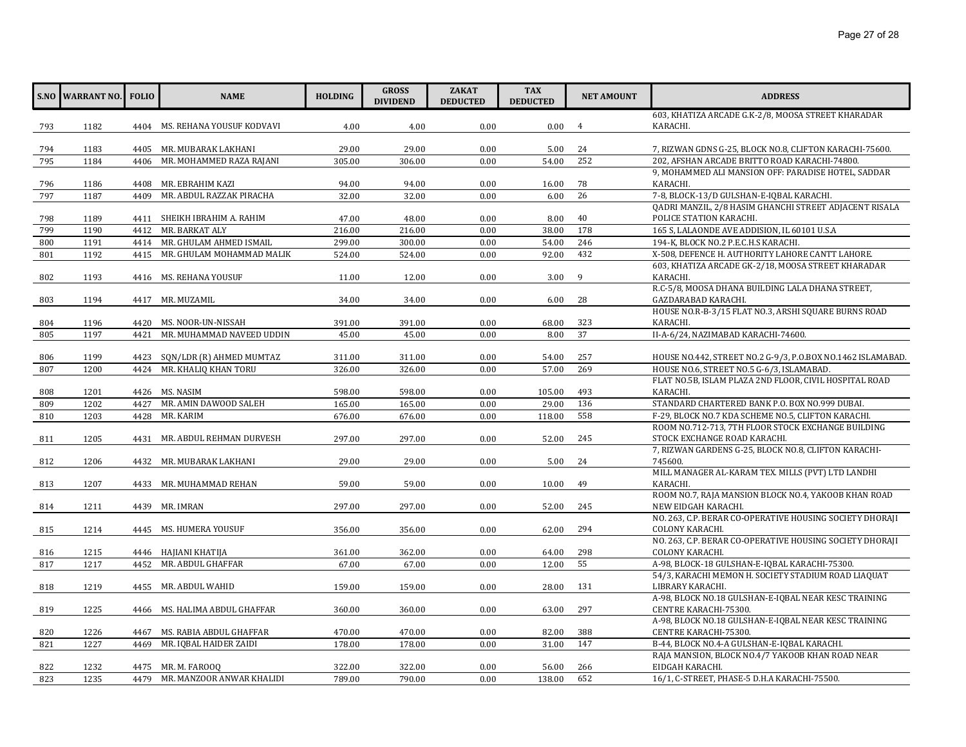|     | <b>S.NO WARRANT NO.</b> FOLIO |      | <b>NAME</b>                    | <b>HOLDING</b> | <b>GROSS</b><br><b>DIVIDEND</b> | <b>ZAKAT</b><br><b>DEDUCTED</b> | <b>TAX</b><br><b>DEDUCTED</b> | <b>NET AMOUNT</b> | <b>ADDRESS</b>                                                              |
|-----|-------------------------------|------|--------------------------------|----------------|---------------------------------|---------------------------------|-------------------------------|-------------------|-----------------------------------------------------------------------------|
|     |                               |      |                                |                |                                 |                                 |                               |                   | 603, KHATIZA ARCADE G.K-2/8, MOOSA STREET KHARADAR                          |
| 793 | 1182                          |      | 4404 MS. REHANA YOUSUF KODVAVI | 4.00           | 4.00                            | 0.00                            | 0.00                          | $\overline{4}$    | KARACHI.                                                                    |
|     |                               |      |                                |                |                                 |                                 |                               |                   |                                                                             |
| 794 | 1183                          |      | 4405 MR. MUBARAK LAKHANI       | 29.00          | 29.00                           | 0.00                            | 5.00                          | 24                | 7, RIZWAN GDNS G-25, BLOCK NO.8, CLIFTON KARACHI-75600.                     |
| 795 | 1184                          | 4406 | MR. MOHAMMED RAZA RAJANI       | 305.00         | 306.00                          | 0.00                            | 54.00                         | 252               | 202, AFSHAN ARCADE BRITTO ROAD KARACHI-74800.                               |
|     |                               |      |                                |                |                                 |                                 |                               |                   | 9, MOHAMMED ALI MANSION OFF: PARADISE HOTEL, SADDAR                         |
| 796 | 1186                          | 4408 | MR. EBRAHIM KAZI               | 94.00          | 94.00                           | 0.00                            | 16.00                         | 78                | KARACHI.                                                                    |
| 797 | 1187                          | 4409 | MR. ABDUL RAZZAK PIRACHA       | 32.00          | 32.00                           | 0.00                            | 6.00                          | 26                | 7-8, BLOCK-13/D GULSHAN-E-IOBAL KARACHI.                                    |
|     |                               |      |                                |                |                                 |                                 |                               |                   | QADRI MANZIL, 2/8 HASIM GHANCHI STREET ADJACENT RISALA                      |
| 798 | 1189                          |      | 4411 SHEIKH IBRAHIM A. RAHIM   | 47.00          | 48.00                           | 0.00                            | 8.00                          | 40                | POLICE STATION KARACHI.                                                     |
| 799 | 1190                          | 4412 | MR. BARKAT ALY                 | 216.00         | 216.00                          | 0.00                            | 38.00                         | 178               | 165 S, LALAONDE AVE ADDISION, IL 60101 U.S.A                                |
| 800 | 1191                          |      | 4414 MR. GHULAM AHMED ISMAIL   | 299.00         | 300.00                          | 0.00                            | 54.00                         | 246               | 194-K, BLOCK NO.2 P.E.C.H.S KARACHI.                                        |
| 801 | 1192                          |      | 4415 MR. GHULAM MOHAMMAD MALIK | 524.00         | 524.00                          | 0.00                            | 92.00                         | 432               | X-508, DEFENCE H. AUTHORITY LAHORE CANTT LAHORE.                            |
|     |                               |      |                                |                |                                 |                                 |                               |                   | 603, KHATIZA ARCADE GK-2/18, MOOSA STREET KHARADAR                          |
| 802 | 1193                          |      | 4416 MS. REHANA YOUSUF         | 11.00          | 12.00                           | 0.00                            | 3.00                          | 9                 | KARACHI.                                                                    |
|     |                               |      |                                |                |                                 |                                 |                               |                   | R.C-5/8, MOOSA DHANA BUILDING LALA DHANA STREET,                            |
| 803 | 1194                          |      | 4417 MR. MUZAMIL               | 34.00          | 34.00                           | 0.00                            | 6.00                          | 28                | GAZDARABAD KARACHI.                                                         |
|     |                               |      |                                |                |                                 |                                 |                               |                   | HOUSE NO.R-B-3/15 FLAT NO.3, ARSHI SQUARE BURNS ROAD                        |
| 804 | 1196                          |      | 4420 MS. NOOR-UN-NISSAH        | 391.00         | 391.00                          | 0.00                            | 68.00                         | 323               | KARACHI.                                                                    |
| 805 | 1197                          | 4421 | MR. MUHAMMAD NAVEED UDDIN      | 45.00          | 45.00                           | 0.00                            | 8.00                          | 37                | II-A-6/24, NAZIMABAD KARACHI-74600.                                         |
|     |                               |      |                                |                |                                 |                                 |                               |                   |                                                                             |
| 806 | 1199                          | 4423 | SQN/LDR (R) AHMED MUMTAZ       | 311.00         | 311.00                          | 0.00                            | 54.00                         | 257               | HOUSE NO.442, STREET NO.2 G-9/3, P.O.BOX NO.1462 ISLAMABAD.                 |
| 807 | 1200                          | 4424 | MR. KHALIQ KHAN TORU           | 326.00         | 326.00                          | 0.00                            | 57.00                         | 269               | HOUSE NO.6, STREET NO.5 G-6/3, ISLAMABAD.                                   |
|     |                               |      |                                |                |                                 |                                 |                               |                   | FLAT NO.5B, ISLAM PLAZA 2ND FLOOR, CIVIL HOSPITAL ROAD                      |
| 808 | 1201                          |      | 4426 MS. NASIM                 | 598.00         | 598.00                          | 0.00                            | 105.00                        | 493               | KARACHI.                                                                    |
| 809 | 1202                          | 4427 | MR. AMIN DAWOOD SALEH          | 165.00         | 165.00                          | 0.00                            | 29.00                         | 136               | STANDARD CHARTERED BANK P.O. BOX NO.999 DUBAI.                              |
| 810 | 1203                          | 4428 | MR. KARIM                      | 676.00         | 676.00                          | 0.00                            | 118.00                        | 558               | F-29, BLOCK NO.7 KDA SCHEME NO.5, CLIFTON KARACHI.                          |
|     |                               |      |                                |                |                                 |                                 |                               |                   | ROOM NO.712-713, 7TH FLOOR STOCK EXCHANGE BUILDING                          |
| 811 | 1205                          |      | 4431 MR. ABDUL REHMAN DURVESH  | 297.00         | 297.00                          | 0.00                            | 52.00                         | 245               | STOCK EXCHANGE ROAD KARACHI.                                                |
|     |                               |      |                                |                |                                 |                                 |                               |                   | 7, RIZWAN GARDENS G-25, BLOCK NO.8, CLIFTON KARACHI-                        |
| 812 | 1206                          |      | 4432 MR. MUBARAK LAKHANI       | 29.00          | 29.00                           | 0.00                            | 5.00                          | 24                | 745600.                                                                     |
|     |                               |      |                                |                |                                 |                                 |                               |                   | MILL MANAGER AL-KARAM TEX. MILLS (PVT) LTD LANDHI                           |
| 813 | 1207                          |      | 4433 MR. MUHAMMAD REHAN        | 59.00          | 59.00                           | 0.00                            | 10.00                         | 49                | KARACHI.                                                                    |
|     |                               |      |                                |                |                                 |                                 |                               |                   | ROOM NO.7, RAJA MANSION BLOCK NO.4, YAKOOB KHAN ROAD                        |
| 814 | 1211                          |      | 4439 MR. IMRAN                 | 297.00         | 297.00                          | 0.00                            | 52.00                         | 245               | NEW EIDGAH KARACHI.                                                         |
|     |                               |      |                                |                |                                 |                                 |                               | 294               | NO. 263, C.P. BERAR CO-OPERATIVE HOUSING SOCIETY DHORAJI                    |
| 815 | 1214                          |      | 4445 MS. HUMERA YOUSUF         | 356.00         | 356.00                          | 0.00                            | 62.00                         |                   | COLONY KARACHI.<br>NO. 263, C.P. BERAR CO-OPERATIVE HOUSING SOCIETY DHORAJI |
| 816 | 1215                          |      | 4446 HAJIANI KHATIJA           | 361.00         | 362.00                          | 0.00                            | 64.00                         | 298               | COLONY KARACHI.                                                             |
|     | 1217                          | 4452 | MR. ABDUL GHAFFAR              | 67.00          |                                 | 0.00                            | 12.00                         | 55                | A-98, BLOCK-18 GULSHAN-E-IQBAL KARACHI-75300.                               |
| 817 |                               |      |                                |                | 67.00                           |                                 |                               |                   | 54/3, KARACHI MEMON H. SOCIETY STADIUM ROAD LIAQUAT                         |
| 818 | 1219                          |      | 4455 MR. ABDUL WAHID           | 159.00         | 159.00                          | 0.00                            | 28.00                         | 131               | LIBRARY KARACHI.                                                            |
|     |                               |      |                                |                |                                 |                                 |                               |                   | A-98, BLOCK NO.18 GULSHAN-E-IQBAL NEAR KESC TRAINING                        |
| 819 | 1225                          |      | 4466 MS. HALIMA ABDUL GHAFFAR  | 360.00         | 360.00                          | 0.00                            | 63.00                         | 297               | CENTRE KARACHI-75300.                                                       |
|     |                               |      |                                |                |                                 |                                 |                               |                   | A-98, BLOCK NO.18 GULSHAN-E-IQBAL NEAR KESC TRAINING                        |
| 820 | 1226                          | 4467 | MS. RABIA ABDUL GHAFFAR        | 470.00         | 470.00                          | 0.00                            | 82.00                         | 388               | CENTRE KARACHI-75300.                                                       |
| 821 | 1227                          | 4469 | MR. IQBAL HAIDER ZAIDI         | 178.00         | 178.00                          | 0.00                            | 31.00                         | 147               | B-44, BLOCK NO.4-A GULSHAN-E-IQBAL KARACHI.                                 |
|     |                               |      |                                |                |                                 |                                 |                               |                   | RAJA MANSION, BLOCK NO.4/7 YAKOOB KHAN ROAD NEAR                            |
| 822 | 1232                          |      | 4475 MR. M. FAROOO             | 322.00         | 322.00                          | 0.00                            | 56.00                         | 266               | EIDGAH KARACHI.                                                             |
| 823 | 1235                          | 4479 | MR. MANZOOR ANWAR KHALIDI      | 789.00         | 790.00                          | 0.00                            | 138.00                        | 652               | 16/1, C-STREET, PHASE-5 D.H.A KARACHI-75500.                                |
|     |                               |      |                                |                |                                 |                                 |                               |                   |                                                                             |